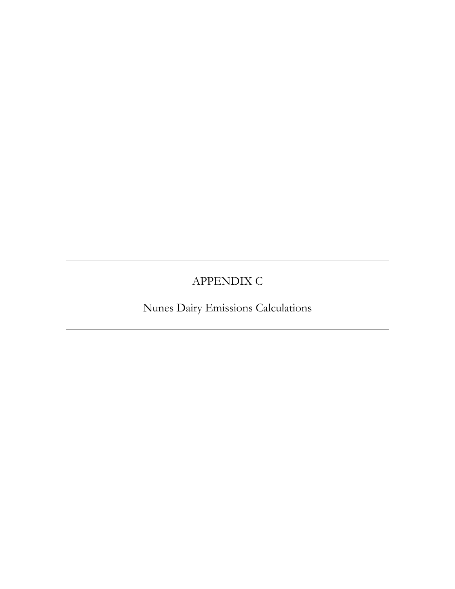# APPENDIX C

Nunes Dairy Emissions Calculations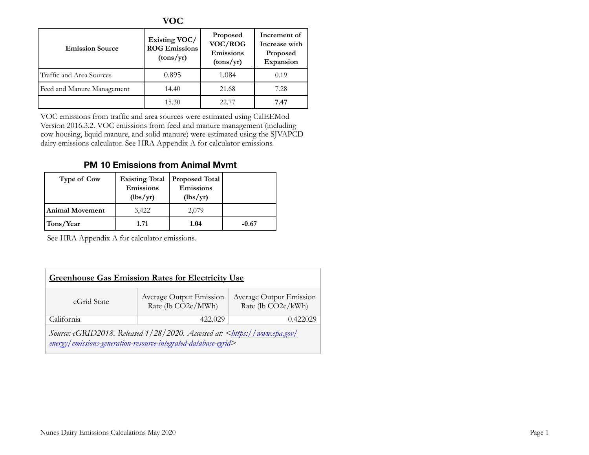|                            | <b>VOC</b>                                         |                                               |                                                        |
|----------------------------|----------------------------------------------------|-----------------------------------------------|--------------------------------------------------------|
| <b>Emission Source</b>     | Existing VOC/<br><b>ROG Emissions</b><br>(tons/yr) | Proposed<br>VOC/ROG<br>Emissions<br>(tons/yr) | Increment of<br>Increase with<br>Proposed<br>Expansion |
| Traffic and Area Sources   | 0.895                                              | 1.084                                         | 0.19                                                   |
| Feed and Manure Management | 14.40                                              | 21.68                                         | 7.28                                                   |
|                            | 15.30                                              | 22.77                                         | 7.47                                                   |

VOC emissions from traffic and area sources were estimated using CalEEMod Version 2016.3.2. VOC emissions from feed and manure management (including cow housing, liquid manure, and solid manure) were estimated using the SJVAPCD dairy emissions calculator. See HRA Appendix A for calculator emissions.

# **PM 10 Emissions from Animal Mvmt**

| <b>Type of Cow</b>     | <b>Existing Total</b><br><b>Emissions</b><br>(lbs/yr) | <b>Proposed Total</b><br>Emissions<br>(lbs/yr) |         |
|------------------------|-------------------------------------------------------|------------------------------------------------|---------|
| <b>Animal Movement</b> | 3,422                                                 | 2,079                                          |         |
| Tons/Year              | 1.71                                                  | 1.04                                           | $-0.67$ |

See HRA Appendix A for calculator emissions.

| <b>Greenhouse Gas Emission Rates for Electricity Use</b> |                                                                                                                                                |                                               |  |  |  |  |  |  |  |  |  |
|----------------------------------------------------------|------------------------------------------------------------------------------------------------------------------------------------------------|-----------------------------------------------|--|--|--|--|--|--|--|--|--|
| eGrid State                                              | Average Output Emission<br>Rate (lb CO2e/MWh)                                                                                                  | Average Output Emission<br>Rate (lb CO2e/kWh) |  |  |  |  |  |  |  |  |  |
| California                                               | 422.029                                                                                                                                        | 0.422029                                      |  |  |  |  |  |  |  |  |  |
|                                                          | Source: eGRID2018. Released 1/28/2020. Accessed at:<br>https://www.epa.gov/<br>energy/emissions-generation-resource-integrated-database-egrid> |                                               |  |  |  |  |  |  |  |  |  |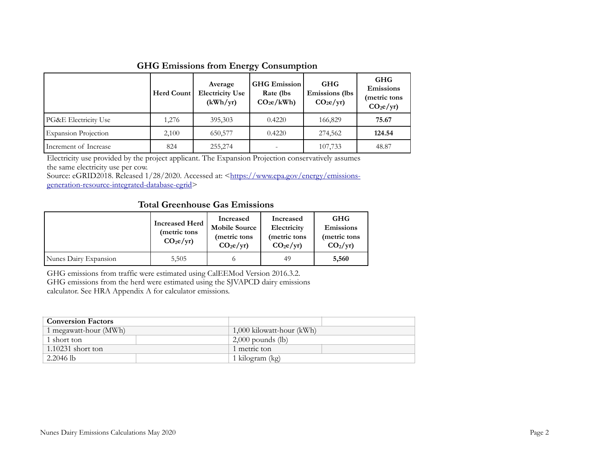#### **GHG Emissions from Energy Consumption**

|                             | <b>Herd Count</b> | Average<br><b>Electricity Use</b><br>(kWh/yr) | <b>GHG</b> Emission<br>Rate (lbs)<br>CO <sub>2</sub> e/kWh | <b>GHG</b><br><b>Emissions</b> (lbs<br>CO <sub>2</sub> e/yr | <b>GHG</b><br>Emissions<br>(metric tons<br>CO <sub>2</sub> e/yr |  |
|-----------------------------|-------------------|-----------------------------------------------|------------------------------------------------------------|-------------------------------------------------------------|-----------------------------------------------------------------|--|
| PG&E Electricity Use        | 1,276             | 395,303                                       | 0.4220                                                     | 166,829                                                     | 75.67                                                           |  |
| <b>Expansion Projection</b> | 2,100             | 650,577                                       | 0.4220                                                     | 274,562                                                     | 124.54                                                          |  |
| Increment of Increase       | 824               | 255,274                                       |                                                            | 107,733                                                     | 48.87                                                           |  |

Electricity use provided by the project applicant. The Expansion Projection conservatively assumes the same electricity use per cow.

Source: eGRID2018. Released 1/28/2020. Accessed at: <https://www.epa.gov/energy/emissionsgeneration-resource-integrated-database-egrid>

#### **Total Greenhouse Gas Emissions**

|                       | <b>Increased Herd</b><br>(metric tons<br>CO <sub>2</sub> e/yr | Increased<br><b>Mobile Source</b><br>(metric tons<br>CO <sub>2</sub> e/yr | Increased<br>Electricity<br>(metric tons<br>CO <sub>2</sub> e/yr | <b>GHG</b><br>Emissions<br>(metric tons<br>$CO2/yr$ ) |
|-----------------------|---------------------------------------------------------------|---------------------------------------------------------------------------|------------------------------------------------------------------|-------------------------------------------------------|
| Nunes Dairy Expansion | 5,505                                                         |                                                                           | 49                                                               | 5,560                                                 |

GHG emissions from traffic were estimated using CalEEMod Version 2016.3.2. GHG emissions from the herd were estimated using the SJVAPCD dairy emissions

calculator. See HRA Appendix A for calculator emissions.

| <b>Conversion Factors</b> |                           |  |  |  |  |  |
|---------------------------|---------------------------|--|--|--|--|--|
| 1 megawatt-hour (MWh)     | 1,000 kilowatt-hour (kWh) |  |  |  |  |  |
| 1 short ton               | $2,000$ pounds (lb)       |  |  |  |  |  |
| $1.10231$ short ton       | 1 metric ton              |  |  |  |  |  |
| 2.2046 lb                 | 1 kilogram (kg)           |  |  |  |  |  |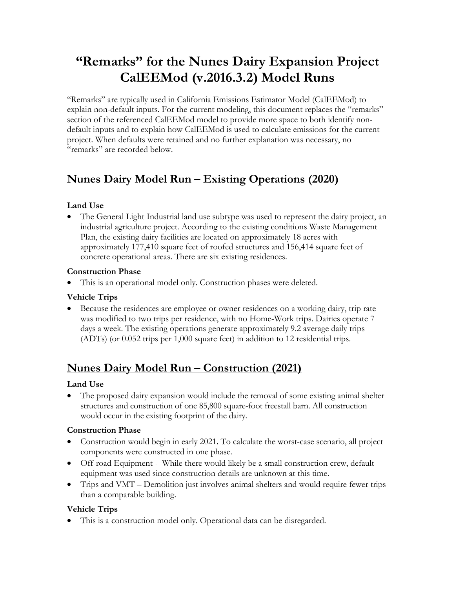# **"Remarks" for the Nunes Dairy Expansion Project CalEEMod (v.2016.3.2) Model Runs**

"Remarks" are typically used in California Emissions Estimator Model (CalEEMod) to explain non-default inputs. For the current modeling, this document replaces the "remarks" section of the referenced CalEEMod model to provide more space to both identify nondefault inputs and to explain how CalEEMod is used to calculate emissions for the current project. When defaults were retained and no further explanation was necessary, no "remarks" are recorded below.

# **Nunes Dairy Model Run – Existing Operations (2020)**

# **Land Use**

• The General Light Industrial land use subtype was used to represent the dairy project, an industrial agriculture project. According to the existing conditions Waste Management Plan, the existing dairy facilities are located on approximately 18 acres with approximately 177,410 square feet of roofed structures and 156,414 square feet of concrete operational areas. There are six existing residences.

#### **Construction Phase**

• This is an operational model only. Construction phases were deleted.

#### **Vehicle Trips**

• Because the residences are employee or owner residences on a working dairy, trip rate was modified to two trips per residence, with no Home-Work trips. Dairies operate 7 days a week. The existing operations generate approximately 9.2 average daily trips (ADTs) (or 0.052 trips per 1,000 square feet) in addition to 12 residential trips.

# **Nunes Dairy Model Run – Construction (2021)**

#### **Land Use**

• The proposed dairy expansion would include the removal of some existing animal shelter structures and construction of one 85,800 square-foot freestall barn. All construction would occur in the existing footprint of the dairy.

#### **Construction Phase**

- Construction would begin in early 2021. To calculate the worst-case scenario, all project components were constructed in one phase.
- Off-road Equipment While there would likely be a small construction crew, default equipment was used since construction details are unknown at this time.
- Trips and VMT Demolition just involves animal shelters and would require fewer trips than a comparable building.

# **Vehicle Trips**

• This is a construction model only. Operational data can be disregarded.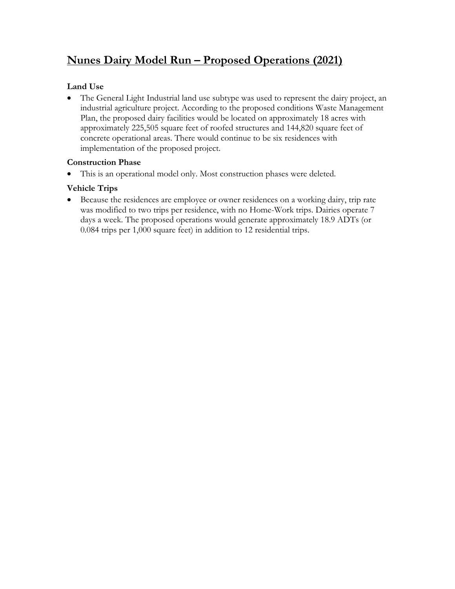# **Nunes Dairy Model Run – Proposed Operations (2021)**

### **Land Use**

• The General Light Industrial land use subtype was used to represent the dairy project, an industrial agriculture project. According to the proposed conditions Waste Management Plan, the proposed dairy facilities would be located on approximately 18 acres with approximately 225,505 square feet of roofed structures and 144,820 square feet of concrete operational areas. There would continue to be six residences with implementation of the proposed project.

#### **Construction Phase**

• This is an operational model only. Most construction phases were deleted.

#### **Vehicle Trips**

• Because the residences are employee or owner residences on a working dairy, trip rate was modified to two trips per residence, with no Home-Work trips. Dairies operate 7 days a week. The proposed operations would generate approximately 18.9 ADTs (or 0.084 trips per 1,000 square feet) in addition to 12 residential trips.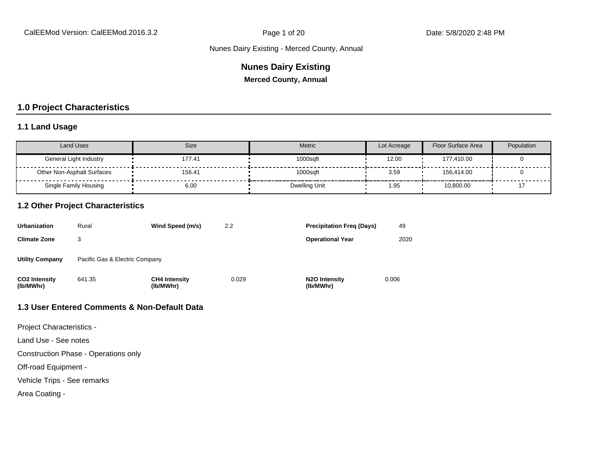#### **Nunes Dairy Existing**

**Merced County, Annual**

#### **1.0 Project Characteristics**

#### **1.1 Land Usage**

| <b>Land Uses</b>           | Size   | Metric        | Lot Acreage | Floor Surface Area | Population |
|----------------------------|--------|---------------|-------------|--------------------|------------|
| General Light Industry     | 177.41 | 1000sqft      | 12.00       | 177.410.00         |            |
| Other Non-Asphalt Surfaces | 156.41 | 1000saft      | 3.59        | 156.414.00         |            |
| Single Family Housing      | 6.00   | Dwelling Unit | 1.95        | 10,800.00          |            |

#### **1.2 Other Project Characteristics**

| <b>Urbanization</b>               | Rural                          | Wind Speed (m/s)                  | 2.2   | <b>Precipitation Freg (Days)</b>        | 49    |
|-----------------------------------|--------------------------------|-----------------------------------|-------|-----------------------------------------|-------|
| <b>Climate Zone</b>               |                                |                                   |       | <b>Operational Year</b>                 | 2020  |
| <b>Utility Company</b>            | Pacific Gas & Electric Company |                                   |       |                                         |       |
| <b>CO2 Intensity</b><br>(lb/MWhr) | 641.35                         | <b>CH4 Intensity</b><br>(lb/MWhr) | 0.029 | N <sub>2</sub> O Intensity<br>(lb/MWhr) | 0.006 |

#### **1.3 User Entered Comments & Non-Default Data**

Project Characteristics -

Land Use - See notes

Construction Phase - Operations only

Off-road Equipment -

Vehicle Trips - See remarks

Area Coating -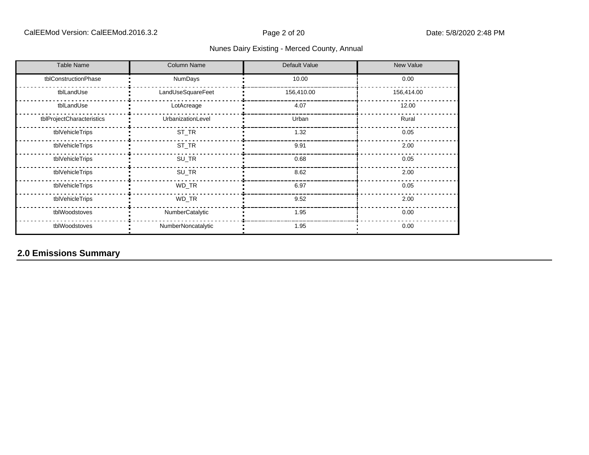| <b>Table Name</b>         | <b>Column Name</b> | Default Value | New Value  |  |  |
|---------------------------|--------------------|---------------|------------|--|--|
| tblConstructionPhase      | <b>NumDays</b>     | 10.00         | 0.00       |  |  |
| tblLandUse                | LandUseSquareFeet  | 156,410.00    | 156,414.00 |  |  |
| tblLandUse                | LotAcreage         | 4.07          | 12.00      |  |  |
| tblProjectCharacteristics | UrbanizationLevel  | Urban         | Rural      |  |  |
| tblVehicleTrips           | ST_TR              | 1.32          | 0.05       |  |  |
| tblVehicleTrips           | ST_TR              | 9.91          | 2.00       |  |  |
| tblVehicleTrips           | SU_TR              | 0.68          | 0.05       |  |  |
| tblVehicleTrips           | SU_TR              | 8.62          | 2.00       |  |  |
| tblVehicleTrips           | WD_TR              | 6.97          | 0.05       |  |  |
| tblVehicleTrips           | WD_TR              | 9.52          | 2.00       |  |  |
| tblWoodstoves             | NumberCatalytic    | 1.95          | 0.00       |  |  |
| tblWoodstoves             | NumberNoncatalytic | 1.95          | 0.00       |  |  |

# **2.0 Emissions Summary**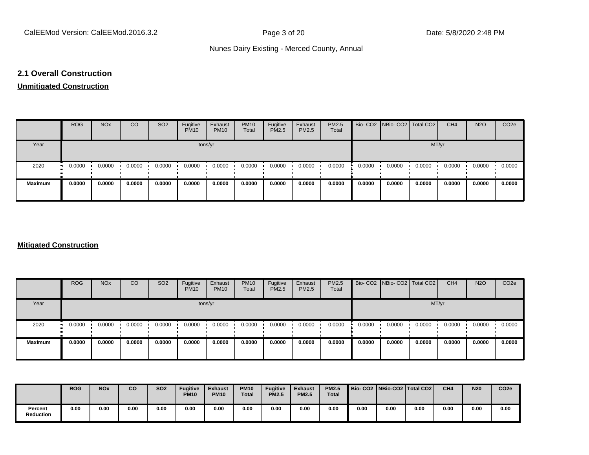#### **2.1 Overall Construction**

#### **Unmitigated Construction**

|                | <b>ROG</b>          | <b>NO<sub>x</sub></b> | CO     | SO <sub>2</sub> | Fugitive<br><b>PM10</b> | Exhaust<br><b>PM10</b> | <b>PM10</b><br>Total | Fugitive<br><b>PM2.5</b> | Exhaust<br>PM2.5 | <b>PM2.5</b><br>Total |        | Bio- CO2   NBio- CO2   Total CO2 |        | CH <sub>4</sub> | <b>N2O</b> | CO <sub>2</sub> e |
|----------------|---------------------|-----------------------|--------|-----------------|-------------------------|------------------------|----------------------|--------------------------|------------------|-----------------------|--------|----------------------------------|--------|-----------------|------------|-------------------|
| Year           | tons/yr             |                       |        |                 |                         |                        |                      |                          |                  |                       | MT/yr  |                                  |        |                 |            |                   |
| 2020           | 0.0000<br>$\bullet$ | 0.0000                | 0.0000 | 0.0000          | 0.0000                  | 0.0000                 | 0.0000               | 0.0000                   | 0.0000           | 0.0000                | 0.0000 | 0.0000                           | 0.0000 | 0.0000          | 0.0000     | 0.0000            |
| <b>Maximum</b> | 0.0000              | 0.0000                | 0.0000 | 0.0000          | 0.0000                  | 0.0000                 | 0.0000               | 0.0000                   | 0.0000           | 0.0000                | 0.0000 | 0.0000                           | 0.0000 | 0.0000          | 0.0000     | 0.0000            |

#### **Mitigated Construction**

|                | <b>ROG</b>                 | <b>NO<sub>x</sub></b> | CO     | SO <sub>2</sub> | Fugitive<br><b>PM10</b> | Exhaust<br><b>PM10</b> | <b>PM10</b><br>Total | Fugitive<br><b>PM2.5</b> | Exhaust<br>PM2.5 | <b>PM2.5</b><br>Total |        | Bio- CO2   NBio- CO2   Total CO2 |        | CH <sub>4</sub> | <b>N2O</b> | CO <sub>2</sub> e |
|----------------|----------------------------|-----------------------|--------|-----------------|-------------------------|------------------------|----------------------|--------------------------|------------------|-----------------------|--------|----------------------------------|--------|-----------------|------------|-------------------|
| Year           | tons/yr                    |                       |        |                 |                         |                        |                      |                          |                  |                       | MT/yr  |                                  |        |                 |            |                   |
| 2020           | 0.0000<br>$\bullet\bullet$ | 0.0000                | 0.0000 | 0.0000          | 0.0000                  | 0.0000                 | 0.0000               | 0.0000                   | 0.0000           | 0.0000                | 0.0000 | 0.0000                           | 0.0000 | 0.0000          | 0.0000     | 0.0000            |
| <b>Maximum</b> | 0.0000                     | 0.0000                | 0.0000 | 0.0000          | 0.0000                  | 0.0000                 | 0.0000               | 0.0000                   | 0.0000           | 0.0000                | 0.0000 | 0.0000                           | 0.0000 | 0.0000          | 0.0000     | 0.0000            |

|                             | <b>ROG</b> | <b>NO<sub>x</sub></b> | CO   | <b>SO2</b> | <b>Fugitive</b><br><b>PM10</b> | <b>Exhaust</b><br><b>PM10</b> | <b>PM10</b><br>Total | <b>Fugitive</b><br><b>PM2.5</b> | <b>Exhaust</b><br><b>PM2.5</b> | <b>PM2.5</b><br><b>Total</b> |      |      | Bio- CO2   NBio-CO2   Total CO2 | CH <sub>4</sub> | <b>N20</b> | CO <sub>2e</sub> |
|-----------------------------|------------|-----------------------|------|------------|--------------------------------|-------------------------------|----------------------|---------------------------------|--------------------------------|------------------------------|------|------|---------------------------------|-----------------|------------|------------------|
| Percent<br><b>Reduction</b> | 0.00       | 0.00                  | 0.00 | 0.00       | 0.00                           | 0.00                          | 0.00                 | 0.00                            | 0.00                           | 0.00                         | 0.00 | 0.00 | 0.00                            | 0.00            | 0.00       | 0.00             |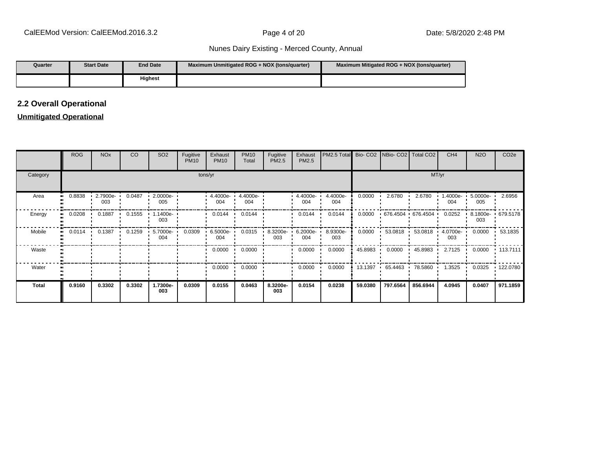| Quarter | <b>Start Date</b> | <b>End Date</b> | Maximum Unmitigated ROG + NOX (tons/quarter) | Maximum Mitigated ROG + NOX (tons/quarter) |
|---------|-------------------|-----------------|----------------------------------------------|--------------------------------------------|
|         |                   | <b>Highest</b>  |                                              |                                            |

## **2.2 Overall Operational**

## **Unmitigated Operational**

|              | <b>ROG</b> | <b>NO<sub>x</sub></b> | CO     | SO <sub>2</sub>          | Fugitive<br><b>PM10</b> | Exhaust<br><b>PM10</b> | <b>PM10</b><br>Total       | Fugitive<br>PM2.5 | Exhaust<br>PM2.5 | PM2.5 Total Bio- CO2 NBio- CO2 Total CO2 |         |                        |          | CH <sub>4</sub>          | <b>N2O</b>         | CO <sub>2e</sub> |
|--------------|------------|-----------------------|--------|--------------------------|-------------------------|------------------------|----------------------------|-------------------|------------------|------------------------------------------|---------|------------------------|----------|--------------------------|--------------------|------------------|
| Category     |            |                       |        |                          |                         | tons/yr                |                            |                   |                  |                                          |         |                        | MT/yr    |                          |                    |                  |
| Area         | 0.8838     | 2.7900e-<br>003       | 0.0487 | $-2.0000e -$<br>005      |                         | 004                    | 4.4000e- 1 4.4000e-<br>004 |                   | 4.4000e-<br>004  | 4.4000e-<br>004                          | 0.0000  | 2.6780                 | 2.6780   | $1.4000e -$<br>004       | $5.0000e -$<br>005 | 2.6956           |
| Energy       | 0.0208     | 0.1887                | 0.1555 | 1.1400e- <b>∙</b><br>003 |                         | 0.0144                 | 0.0144                     |                   | 0.0144           | 0.0144                                   | 0.0000  | $+676.4504 + 676.4504$ |          | 0.0252                   | 8.1800e-<br>003    | .679.5178        |
| Mobile       | 0.0114     | 0.1387                | 0.1259 | 5.7000e-<br>004          | 0.0309                  | $6.5000e-$<br>004      | 0.0315                     | 8.3200e-<br>003   | 6.2000e-<br>004  | 8.9300e-<br>003                          | 0.0000  | $53.0818$ $\cdot$      |          | 53.0818  4.0700e-<br>003 | 0.0000             | 53.1835          |
| Waste        |            |                       |        |                          |                         | 0.0000                 | 0.0000                     |                   | 0.0000           | 0.0000                                   | 45.8983 | 0.0000                 | 45.8983  | 2.7125                   | 0.0000             | $+ 113.7111$     |
| Water        |            |                       |        |                          |                         | 0.0000                 | 0.0000                     |                   | 0.0000           | 0.0000                                   | 13.1397 | 65.4463                | 78.5860  | 1.3525                   | 0.0325             | $\cdot$ 122.0780 |
| <b>Total</b> | 0.9160     | 0.3302                | 0.3302 | 1.7300e-<br>003          | 0.0309                  | 0.0155                 | 0.0463                     | 8.3200e-<br>003   | 0.0154           | 0.0238                                   | 59.0380 | 797.6564               | 856.6944 | 4.0945                   | 0.0407             | 971.1859         |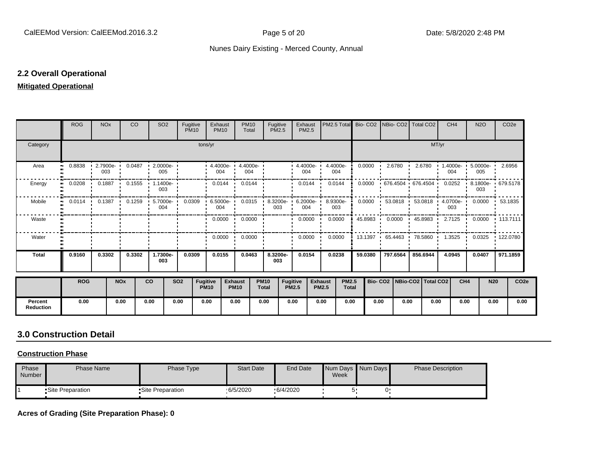#### **2.2 Overall Operational**

#### **Mitigated Operational**

|                             | <b>ROG</b>                 | <b>NO<sub>x</sub></b> |                       | <b>CO</b> | SO <sub>2</sub>                         | Fugitive<br><b>PM10</b> |                 | Exhaust<br><b>PM10</b>                                                            | <b>PM10</b><br>Total          | Fugitive<br><b>PM2.5</b>    |                                 | Exhaust<br><b>PM2.5</b> |                                | PM2.5 Total                  |         |              | Bio- CO2 INBio- CO2 Total CO2    |          |       | CH <sub>4</sub> | <b>N2O</b>                              |            | CO <sub>2e</sub>  |
|-----------------------------|----------------------------|-----------------------|-----------------------|-----------|-----------------------------------------|-------------------------|-----------------|-----------------------------------------------------------------------------------|-------------------------------|-----------------------------|---------------------------------|-------------------------|--------------------------------|------------------------------|---------|--------------|----------------------------------|----------|-------|-----------------|-----------------------------------------|------------|-------------------|
| Category                    |                            |                       |                       |           |                                         |                         |                 | tons/yr                                                                           |                               |                             |                                 |                         |                                |                              |         |              |                                  |          | MT/yr |                 |                                         |            |                   |
| Area                        | 0.8838<br>$\bullet\bullet$ | 003                   |                       |           | $\cdot$ 2.7900e- 0.0487 2.0000e-<br>005 |                         |                 | $\cdot$ 4.4000e- $\cdot$ 4.4000e- $\cdot$<br>004                                  | 004                           |                             |                                 | 4.4000e<br>004          |                                | 4.4000e-<br>004              | 0.0000  |              | 2.6780                           | 2.6780   |       | 004             | $1.4000e - 5.0000e - 2.6956$<br>005     |            |                   |
| Energy                      | 0.0208                     | 0.1887                |                       | 0.1555    | $1.1400e -$<br>003                      |                         |                 | 0.0144                                                                            | 0.0144<br>$\cdot$             |                             |                                 | 0.0144                  |                                | 0.0144                       | 0.0000  |              | 676.4504 676.4504                |          |       | 0.0252          | $\sim 10^{-1}$<br>003                   |            | 8.1800e- 679.5178 |
| Mobile                      | $\bullet$                  |                       |                       |           | 004                                     |                         |                 | 0.0114 0.1387 0.1259 5.7000e 0.0309 6.5000e 0.0315 8.3200e 6.2000e 8.9300e<br>004 |                               | 003                         |                                 | 004                     |                                | 003                          | 0.0000  |              |                                  |          |       | 003             | 53.0818 53.0818 4.0700e- 0.0000 53.1835 |            |                   |
| Waste                       |                            |                       |                       |           |                                         |                         |                 |                                                                                   | $0.0000 \cdot 0.0000$         |                             |                                 | $0.0000$ $\cdot$        |                                | 0.0000                       | 45.8983 | $\mathbf{r}$ | $0.0000$ $\cdot$ 45.8983 $\cdot$ |          |       |                 | 2.7125 0.0000 113.7111                  |            |                   |
| Water                       |                            |                       |                       |           |                                         |                         |                 | 0.0000                                                                            | 0.0000<br>$\mathbf{r}$        |                             |                                 | 0.0000                  |                                | 0.0000                       | 13.1397 |              | .65.4463                         | 78.5860  |       | 1.3525          | $\mathbf{r}$                            |            | 0.0325 122.0780   |
| <b>Total</b>                | 0.9160                     | 0.3302                |                       | 0.3302    | 1.7300e-<br>003                         | 0.0309                  |                 | 0.0155                                                                            | 0.0463                        | 8.3200e-<br>003             |                                 | 0.0154                  |                                | 0.0238                       | 59.0380 |              | 797.6564                         | 856.6944 |       | 4.0945          | 0.0407                                  |            | 971.1859          |
|                             | <b>ROG</b>                 |                       | <b>NO<sub>x</sub></b> |           | <b>CO</b>                               | <b>SO2</b>              | <b>Fugitive</b> | <b>PM10</b>                                                                       | <b>Exhaust</b><br><b>PM10</b> | <b>PM10</b><br><b>Total</b> | <b>Fugitive</b><br><b>PM2.5</b> |                         | <b>Exhaust</b><br><b>PM2.5</b> | <b>PM2.5</b><br><b>Total</b> |         |              | Bio- CO2   NBio-CO2   Total CO2  |          |       |                 | CH <sub>4</sub>                         | <b>N20</b> | CO <sub>2e</sub>  |
| Percent<br><b>Reduction</b> | 0.00                       |                       | 0.00                  |           | 0.00                                    | 0.00                    |                 | 0.00                                                                              | 0.00                          | 0.00                        | 0.00                            |                         | 0.00                           | 0.00                         |         | 0.00         | 0.00                             |          | 0.00  |                 | 0.00                                    | 0.00       | 0.00              |

# **3.0 Construction Detail**

#### **Construction Phase**

| Phase<br>Number | Phase Name        | Phase Type         | <b>Start Date</b> | <b>End Date</b> | Week | Num Days Num Days | <b>Phase Description</b> |
|-----------------|-------------------|--------------------|-------------------|-----------------|------|-------------------|--------------------------|
|                 | •Site Preparation | • Site Preparation | .6/5/2020         | .6/4/2020       |      |                   |                          |

**Acres of Grading (Site Preparation Phase): 0**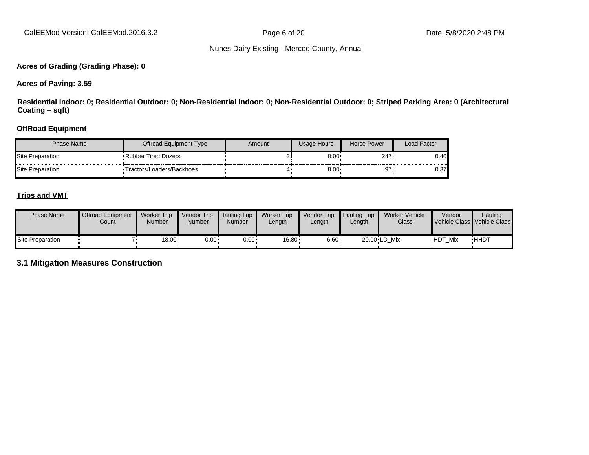#### **Acres of Grading (Grading Phase): 0**

**Acres of Paving: 3.59**

**Residential Indoor: 0; Residential Outdoor: 0; Non-Residential Indoor: 0; Non-Residential Outdoor: 0; Striped Parking Area: 0 (Architectural Coating ±sqft)**

#### **OffRoad Equipment**

| Phase Name       | Offroad Equipment Type     | Amount | Usage Hours | Horse Power | Load Factor |
|------------------|----------------------------|--------|-------------|-------------|-------------|
| Site Preparation | <b>Rubber Tired Dozers</b> |        | 8.00        | 247.        | 0.40        |
| Site Preparation | Tractors/Loaders/Backhoes  |        | $8.00*$     | 97          | 0.37        |

#### **Trips and VMT**

| <b>Phase Name</b> | <b>Offroad Equipment</b><br>Count | <b>Worker Trip</b><br>Number | <b>Vendor Trip</b><br><b>Number</b> | <b>Hauling Trip</b><br>Number | <b>Worker Trip</b><br>Length | Vendor Trip<br>$L$ ength | <b>Hauling Trip</b><br>∟ength | Worker Vehicle<br>Class | Vendor         | <b>Hauling</b><br>Vehicle Class Vehicle Class |
|-------------------|-----------------------------------|------------------------------|-------------------------------------|-------------------------------|------------------------------|--------------------------|-------------------------------|-------------------------|----------------|-----------------------------------------------|
| Site Preparation  |                                   | $18.00 \cdot$                | $0.00 \cdot$                        | $0.00 \cdot$                  | $16.80 \cdot$                | $6.60 \cdot$             |                               | 20.00 LD Mix            | <b>HDT Mix</b> | <b>HHDT</b>                                   |

**3.1 Mitigation Measures Construction**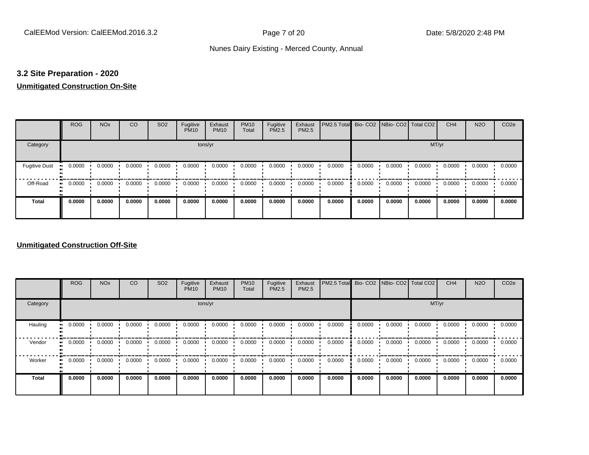#### **3.2 Site Preparation - 2020**

#### **Unmitigated Construction On-Site**

|                      | <b>ROG</b>                 | <b>NO<sub>x</sub></b> | CO     | SO <sub>2</sub> | Fugitive<br><b>PM10</b> | Exhaust<br><b>PM10</b> | <b>PM10</b><br>Total | Fugitive<br>PM2.5 | Exhaust<br>PM2.5 | PM2.5 Total Bio- CO2 NBio- CO2 Total CO2 |        |        |        | CH <sub>4</sub> | <b>N2O</b> | CO <sub>2e</sub> |
|----------------------|----------------------------|-----------------------|--------|-----------------|-------------------------|------------------------|----------------------|-------------------|------------------|------------------------------------------|--------|--------|--------|-----------------|------------|------------------|
| Category             |                            |                       |        |                 | tons/yr                 |                        |                      |                   |                  |                                          |        |        | MT/yr  |                 |            |                  |
| <b>Fugitive Dust</b> | 0.0000                     | 0.0000                | 0.0000 | 0.0000          | 0.0000                  | 0.0000                 | 0.0000               | 0.0000            | 0.0000           | 0.0000                                   | 0.0000 | 0.0000 | 0.0000 | 0.0000          | 0.0000     | 0.0000           |
| Off-Road             | 0.0000<br>$\bullet\bullet$ | 0.0000                | 0.0000 | 0.0000          | 0.0000                  | 0.0000                 | 0.0000               | 0.0000            | 0.0000           | 0.0000                                   | 0.0000 | 0.0000 | 0.0000 | 0.0000          | 0.0000     | 0.0000           |
| <b>Total</b>         | 0.0000                     | 0.0000                | 0.0000 | 0.0000          | 0.0000                  | 0.0000                 | 0.0000               | 0.0000            | 0.0000           | 0.0000                                   | 0.0000 | 0.0000 | 0.0000 | 0.0000          | 0.0000     | 0.0000           |

#### **Unmitigated Construction Off-Site**

|                           | <b>ROG</b>          | <b>NO<sub>x</sub></b> | CO     | SO <sub>2</sub> | Fugitive<br><b>PM10</b> | Exhaust<br><b>PM10</b> | <b>PM10</b><br>Total | Fugitive<br><b>PM2.5</b> | Exhaust<br>PM2.5 | PM2.5 Total Bio- CO2 NBio- CO2 Total CO2 |        |        |        | CH <sub>4</sub> | <b>N2O</b> | CO <sub>2e</sub> |  |
|---------------------------|---------------------|-----------------------|--------|-----------------|-------------------------|------------------------|----------------------|--------------------------|------------------|------------------------------------------|--------|--------|--------|-----------------|------------|------------------|--|
| Category                  |                     |                       |        |                 | tons/yr                 |                        |                      |                          |                  |                                          | MT/yr  |        |        |                 |            |                  |  |
| Hauling<br>$\blacksquare$ | 0.0000              | 0.0000                | 0.0000 | 0.0000          | 0.0000                  | 0.0000                 | 0.0000               | 0.0000                   | 0.0000           | 0.0000                                   | 0.0000 | 0.0000 | 0.0000 | 0.0000          | 0.0000     | 0.0000           |  |
| Vendor<br>$\mathbf{u}$    | 0.0000              | 0.0000                | 0.0000 | 0.0000          | 0.0000                  | 0.0000                 | 0.0000               | 0.0000                   | 0.0000           | 0.0000                                   | 0.0000 | 0.0000 | 0.0000 | 0.0000          | 0.0000     | 0.0000           |  |
| Worker                    | 0.0000<br>$\bullet$ | 0.0000                | 0.0000 | 0.0000          | 0.0000                  | 0.0000                 | 0.0000               | 0.0000                   | 0.0000           | 0.0000                                   | 0.0000 | 0.0000 | 0.0000 | 0.0000          | 0.0000     | 0.0000           |  |
| <b>Total</b>              | 0.0000              | 0.0000                | 0.0000 | 0.0000          | 0.0000                  | 0.0000                 | 0.0000               | 0.0000                   | 0.0000           | 0.0000                                   | 0.0000 | 0.0000 | 0.0000 | 0.0000          | 0.0000     | 0.0000           |  |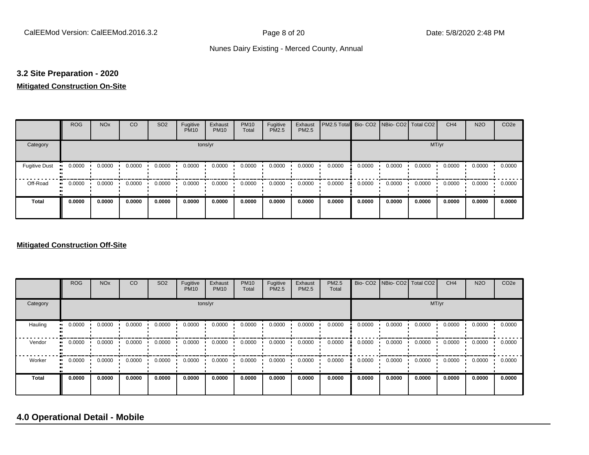#### **3.2 Site Preparation - 2020**

#### **Mitigated Construction On-Site**

|                                        | <b>ROG</b>          | <b>NO<sub>x</sub></b> | CO     | SO <sub>2</sub> | Fugitive<br><b>PM10</b> | Exhaust<br><b>PM10</b> | <b>PM10</b><br>Total | Fugitive<br>PM2.5 | Exhaust<br>PM2.5 | PM2.5 Total Bio- CO2 NBio- CO2 Total CO2 |        |        |        | CH <sub>4</sub> | <b>N2O</b> | CO <sub>2e</sub> |
|----------------------------------------|---------------------|-----------------------|--------|-----------------|-------------------------|------------------------|----------------------|-------------------|------------------|------------------------------------------|--------|--------|--------|-----------------|------------|------------------|
| Category                               |                     |                       |        |                 |                         | tons/yr                |                      |                   |                  |                                          |        |        | MT/yr  |                 |            |                  |
| <b>Fugitive Dust</b><br>$\blacksquare$ | 0.0000              | 0.0000                | 0.0000 | 0.0000          | 0.0000                  | 0.0000                 | 0.0000               | 0.0000            | 0.0000           | 0.0000                                   | 0.0000 | 0.0000 | 0.0000 | 0.0000          | 0.0000     | 0.0000           |
| Off-Road                               | 0.0000<br>$\bullet$ | 0.0000                | 0.0000 | 0.0000          | 0.0000                  | 0.0000                 | 0.0000               | 0.0000            | 0.0000           | 0.0000                                   | 0.0000 | 0.0000 | 0.0000 | 0.0000          | 0.0000     | 0.0000           |
| <b>Total</b>                           | 0.0000              | 0.0000                | 0.0000 | 0.0000          | 0.0000                  | 0.0000                 | 0.0000               | 0.0000            | 0.0000           | 0.0000                                   | 0.0000 | 0.0000 | 0.0000 | 0.0000          | 0.0000     | 0.0000           |

#### **Mitigated Construction Off-Site**

|          | <b>ROG</b> | <b>NO<sub>x</sub></b> | CO     | SO <sub>2</sub> | Fugitive<br><b>PM10</b> | Exhaust<br><b>PM10</b> | <b>PM10</b><br>Total | Fugitive<br><b>PM2.5</b> | Exhaust<br>PM2.5 | <b>PM2.5</b><br>Total |        | Bio- CO2   NBio- CO2   Total CO2 |        | CH <sub>4</sub> | <b>N2O</b> | CO <sub>2e</sub> |
|----------|------------|-----------------------|--------|-----------------|-------------------------|------------------------|----------------------|--------------------------|------------------|-----------------------|--------|----------------------------------|--------|-----------------|------------|------------------|
| Category |            |                       |        |                 |                         | tons/yr                |                      |                          |                  | MT/yr                 |        |                                  |        |                 |            |                  |
| Hauling  | 0.0000     | 0.0000                | 0.0000 | 0.0000          | 0.0000                  | 0.0000                 | 0.0000               | 0.0000                   | 0.0000           | 0.0000                | 0.0000 | 0.0000                           | 0.0000 | 0.0000          | 0.0000     | 0.0000           |
| Vendor   | 0.0000     | 0.0000                | 0.0000 | 0.0000          | 0.0000                  | 0.0000                 | 0.0000               | 0.0000                   | 0.0000           | 0.0000                | 0.0000 | 0.0000                           | 0.0000 | 0.0000          | 0.0000     | 0.0000           |
| Worker   | 0.0000     | 0.0000                | 0.0000 | 0.0000          | 0.0000                  | 0.0000                 | 0.0000               | 0.0000                   | 0.0000           | 0.0000                | 0.0000 | 0.0000                           | 0.0000 | 0.0000          | 0.0000     | 0.0000           |
| Total    | 0.0000     | 0.0000                | 0.0000 | 0.0000          | 0.0000                  | 0.0000                 | 0.0000               | 0.0000                   | 0.0000           | 0.0000                | 0.0000 | 0.0000                           | 0.0000 | 0.0000          | 0.0000     | 0.0000           |

# **4.0 Operational Detail - Mobile**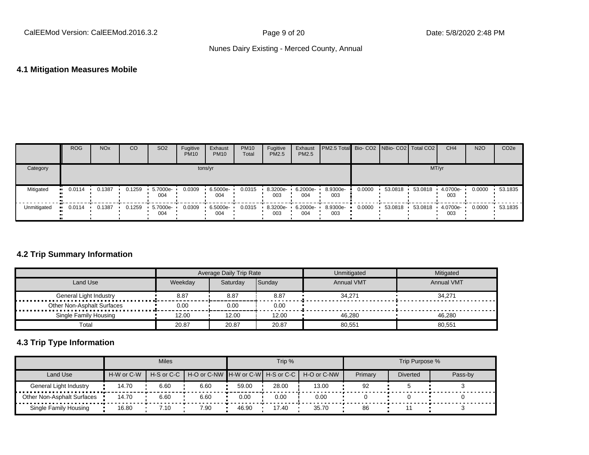## **4.1 Mitigation Measures Mobile**

|             | <b>ROG</b> | <b>NO<sub>x</sub></b> | CO     | SO <sub>2</sub> | Fugitive<br><b>PM10</b> | Exhaust<br><b>PM10</b> | <b>PM10</b><br>Total | Fugitive<br><b>PM2.5</b> | Exhaust<br>PM2.5 | <b>PM2.5 Total</b> Bio- CO2 NBio- CO2 Total CO2 |        |         |         | CH <sub>4</sub> | <b>N2O</b> | CO <sub>2e</sub> |
|-------------|------------|-----------------------|--------|-----------------|-------------------------|------------------------|----------------------|--------------------------|------------------|-------------------------------------------------|--------|---------|---------|-----------------|------------|------------------|
| Category    |            |                       |        |                 |                         | tons/yr                |                      |                          |                  |                                                 |        |         | MT/yr   |                 |            |                  |
| Mitigated   | 0.0114     | 0.1387                | 0.1259 | 5.7000e-<br>004 | 0.0309                  | 6.5000e-<br>004        | 0.0315               | 8.3200e-<br>003          | 6.2000e-<br>004  | 8.9300e-<br>003                                 | 0.0000 | 53.0818 | 53.0818 | 4.0700e-<br>003 | 0.0000     | 53.1835          |
| Unmitigated | 0.0114     | 0.1387                | 0.1259 | 5.7000e-<br>004 | 0.0309                  | 6.5000e-<br>004        | 0.0315               | 8.3200e-<br>003          | 6.2000e-<br>004  | 8.9300e-<br>003                                 | 0.0000 | 53.0818 | 53.0818 | 4.0700e-<br>003 | 0.0000     | 53.1835          |

## **4.2 Trip Summary Information**

|                            |         | Average Daily Trip Rate |        | Unmitigated       | <b>Mitigated</b>  |
|----------------------------|---------|-------------------------|--------|-------------------|-------------------|
| Land Use                   | Weekdav | Saturday                | Sunday | <b>Annual VMT</b> | <b>Annual VMT</b> |
| General Light Industry<br> | 8.87    | 8.87                    | 8.87   | 34.271            | 34.271            |
| Other Non-Asphalt Surfaces | 0.00    | 0.00                    | 0.00   |                   |                   |
| Single Family Housing      | 12.00   | 12.00                   | 12.00  | 46.280            | 46.280            |
| Total                      | 20.87   | 20.87                   | 20.87  | 80.551            | 80,551            |

# **4.3 Trip Type Information**

|                                        |            | <b>Miles</b> |                                                          |       | Trip % |       |         | Trip Purpose %  |         |
|----------------------------------------|------------|--------------|----------------------------------------------------------|-------|--------|-------|---------|-----------------|---------|
| Land Use                               | H-W or C-W |              | H-S or C-C H-O or C-NW H-W or C-W H-S or C-C H-O or C-NW |       |        |       | Primary | <b>Diverted</b> | Pass-by |
| General Light Industry                 | 14.70      | 6.60         | 6.60                                                     | 59.00 | 28.00  | 13.00 | 92      |                 |         |
| .<br><b>Other Non-Asphalt Surfaces</b> | 14.70      | 6.60         | 6.60                                                     | 0.00  | 0.00   | 0.00  |         |                 |         |
| Single Family Housing                  | 16.80      | $\angle 10$  | 7.90                                                     | 46.90 | 17.40  | 35.70 | 86      |                 |         |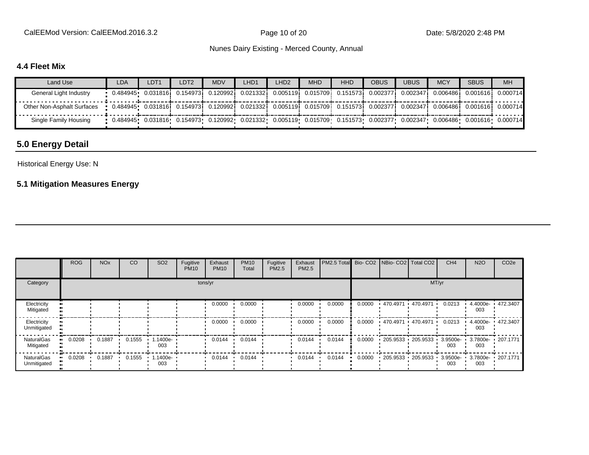CalEEMod Version: CalEEMod.2016.3.2 Page 10 of 20 Page 10 of 20 Date: 5/8/2020 2:48 PM

#### Nunes Dairy Existing - Merced County, Annual

#### **4.4 Fleet Mix**

| Land Use                   | <b>LDA</b>                                                                                                                         | LDT <sub>1</sub> | LDT2 | <b>MDV</b> | LHD <sub>1</sub>                                                                                    | _HD2 | <b>MHD</b> | <b>HHD</b> | <b>OBUS</b> | <b>UBUS</b> | <b>MCY</b>                                                                                                                                      | <b>SBUS</b> | MH |
|----------------------------|------------------------------------------------------------------------------------------------------------------------------------|------------------|------|------------|-----------------------------------------------------------------------------------------------------|------|------------|------------|-------------|-------------|-------------------------------------------------------------------------------------------------------------------------------------------------|-------------|----|
| General Light Industry     |                                                                                                                                    |                  |      |            | 0.484945• 0.031816i 0.154973i 0.120992i 0.021332i 0.005119i 0.015709i 0.151573i 0.002377i 0.002347i |      |            |            |             |             |                                                                                                                                                 |             |    |
| Other Non-Asphalt Surfaces | • 0.484945• 0.031816; 0.154973; 0.120992; 0.021332; 0.005119; 0.015709; 0.151573; 0.002377; 0.002347; 0.006486; 0.001616; 0.000714 |                  |      |            |                                                                                                     |      |            |            |             |             |                                                                                                                                                 |             |    |
| Single Family Housing      |                                                                                                                                    |                  |      |            |                                                                                                     |      |            |            |             |             | $0.0484945$ $0.031816$ $0.154973$ $0.120992$ $0.021332$ $0.005119$ $0.015709$ $0.151573$ $0.002377$ $0.002347$ $0.006486$ $0.001616$ $0.000714$ |             |    |

# **5.0 Energy Detail**

#### Historical Energy Use: N

# **5.1 Mitigation Measures Energy**

|                                | <b>ROG</b> | <b>NO<sub>x</sub></b> | CO     | SO <sub>2</sub>    | Fugitive<br><b>PM10</b> | Exhaust<br><b>PM10</b> | <b>PM10</b><br>Total | Fugitive<br>PM2.5 | Exhaust<br>PM2.5 | PM2.5 Total Bio- CO2 NBio- CO2 Total CO2 |        |                       |                        | CH <sub>4</sub> | <b>N2O</b>                        | CO <sub>2e</sub>  |
|--------------------------------|------------|-----------------------|--------|--------------------|-------------------------|------------------------|----------------------|-------------------|------------------|------------------------------------------|--------|-----------------------|------------------------|-----------------|-----------------------------------|-------------------|
| Category                       | tons/yr    |                       |        |                    |                         |                        |                      | MT/yr             |                  |                                          |        |                       |                        |                 |                                   |                   |
| Electricity<br>Mitigated       |            |                       |        |                    |                         | 0.0000                 | 0.0000               |                   | 0.0000           | 0.0000                                   | 0.0000 | $470.4971$ $470.4971$ |                        | 0.0213          | 4.4000e-<br>003                   | ■ 472.3407        |
| Electricity<br>Unmitigated     |            |                       |        |                    |                         | 0.0000                 | 0.0000               |                   | 0.0000           | 0.0000                                   | 0.0000 |                       | 470.4971 470.4971      | 0.0213          | 003                               | 4.4000e- 472.3407 |
| <b>NaturalGas</b><br>Mitigated | 0.0208     | 0.1887                | 0.1555 | $1.1400e -$<br>003 |                         | 0.0144                 | 0.0144               |                   | 0.0144           | 0.0144                                   | 0.0000 |                       | $-205.9533 - 205.9533$ | 003             | 3.9500e- 3.7800e- 207.1771<br>003 |                   |
| NaturalGas<br>Unmitigated      | 0.0208     | 0.1887                | 0.1555 | $1.1400e -$<br>003 |                         | 0.0144                 | 0.0144               |                   | 0.0144           | 0.0144                                   | 0.0000 |                       | $-205.9533 - 205.9533$ | 003             | 3.9500e- 3.7800e- 207.1771<br>003 |                   |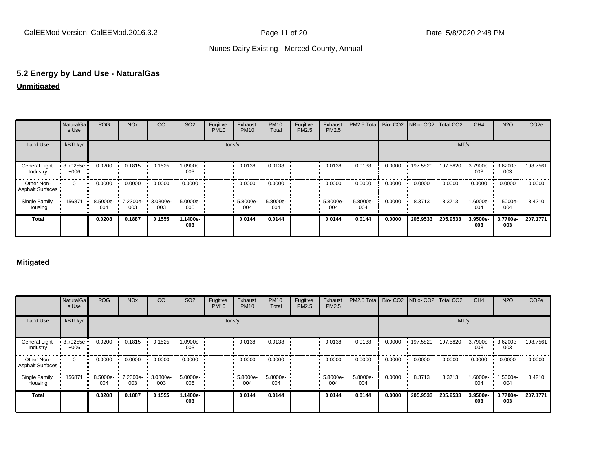# **5.2 Energy by Land Use - NaturalGas**

## **Unmitigated**

|                                       | NaturalGa<br>s Use | <b>ROG</b>      | <b>NO<sub>x</sub></b> | CO              | SO <sub>2</sub> | Fugitive<br><b>PM10</b> | Exhaust<br><b>PM10</b> | <b>PM10</b><br>Total | Fugitive<br>PM2.5 | Exhaust<br>PM2.5 | <b>IPM2.5 Total Bio-CO2 NBio-CO2 Total CO2</b> |        |          |                   | CH <sub>4</sub> | <b>N2O</b>               | CO <sub>2e</sub> |
|---------------------------------------|--------------------|-----------------|-----------------------|-----------------|-----------------|-------------------------|------------------------|----------------------|-------------------|------------------|------------------------------------------------|--------|----------|-------------------|-----------------|--------------------------|------------------|
| Land Use                              | kBTU/yr            |                 |                       |                 |                 |                         | tons/yr                |                      |                   |                  |                                                |        |          | MT/yr             |                 |                          |                  |
| <b>General Light</b><br>Industry      | 3.70255e<br>$+006$ | 0.0200          | 0.1815                | 0.1525          | 1.0900e-<br>003 |                         | 0.0138                 | 0.0138               |                   | 0.0138           | 0.0138                                         | 0.0000 |          | 197.5820 197.5820 | 3.7900e-<br>003 | 3.6200e- 198.7561<br>003 |                  |
| Other Non-<br><b>Asphalt Surfaces</b> | 0                  | 0.0000          | 0.0000                | 0.0000          | 0.0000          |                         | 0.0000                 | 0.0000               |                   | 0.0000           | 0.0000                                         | 0.0000 | 0.0000   | 0.0000            | 0.0000          | 0.0000                   | 0.0000           |
| Single Family<br>Housing              | 156871             | 8.5000e-<br>004 | 7.2300e-<br>003       | 3.0800e-<br>003 | 5.0000e-<br>005 |                         | 5.8000e-<br>004        | 5.8000e-<br>004      |                   | 5.8000e-<br>004  | 5.8000e-<br>004                                | 0.0000 | 8.3713   | 8.3713            | 1.6000e-<br>004 | 1.5000e-<br>004          | 8.4210           |
| <b>Total</b>                          |                    | 0.0208          | 0.1887                | 0.1555          | 1.1400e-<br>003 |                         | 0.0144                 | 0.0144               |                   | 0.0144           | 0.0144                                         | 0.0000 | 205.9533 | 205.9533          | 3.9500e-<br>003 | 3.7700e-<br>003          | 207.1771         |

#### **Mitigated**

|                                       | NaturalGa<br>s Use | <b>ROG</b>      | <b>NO<sub>x</sub></b> | CO              | SO <sub>2</sub> | Fugitive<br><b>PM10</b> | Exhaust<br><b>PM10</b> | <b>PM10</b><br>Total | Fugitive<br>PM2.5 | Exhaust<br>PM2.5 | PM2.5 Total Bio- CO2 NBio- CO2 Total CO2 |        |          |                   | CH <sub>4</sub> | <b>N2O</b>               | CO <sub>2e</sub> |
|---------------------------------------|--------------------|-----------------|-----------------------|-----------------|-----------------|-------------------------|------------------------|----------------------|-------------------|------------------|------------------------------------------|--------|----------|-------------------|-----------------|--------------------------|------------------|
| Land Use                              | kBTU/yr            |                 |                       |                 |                 |                         | tons/yr                |                      |                   |                  |                                          |        |          | MT/yr             |                 |                          |                  |
| <b>General Light</b><br>Industry      | 3.70255e<br>$+006$ | 0.0200          | 0.1815                | 0.1525          | 1.0900e-<br>003 |                         | 0.0138                 | 0.0138               |                   | 0.0138           | 0.0138                                   | 0.0000 |          | 197.5820 197.5820 | 3.7900e-<br>003 | 3.6200e- 198.7561<br>003 |                  |
| Other Non-<br><b>Asphalt Surfaces</b> | $\mathbf{0}$       | 0.0000          | 0.0000                | 0.0000          | 0.0000          |                         | 0.0000                 | 0.0000               |                   | 0.0000           | 0.0000                                   | 0.0000 | 0.0000   | 0.0000            | 0.0000          | 0.0000                   | 0.0000           |
| Single Family<br>Housing              | 156871             | 8.5000e-<br>004 | 7.2300e-<br>003       | 3.0800e-<br>003 | 5.0000e-<br>005 |                         | 5.8000e-<br>004        | 5.8000e-<br>004      |                   | 5.8000e-<br>004  | 5.8000e-<br>004                          | 0.0000 | 8.3713   | 8.3713            | 1.6000e-<br>004 | 1.5000e-<br>004          | 8.4210           |
| <b>Total</b>                          |                    | 0.0208          | 0.1887                | 0.1555          | 1.1400e-<br>003 |                         | 0.0144                 | 0.0144               |                   | 0.0144           | 0.0144                                   | 0.0000 | 205.9533 | 205.9533          | 3.9500e-<br>003 | 3.7700e-<br>003          | 207.1771         |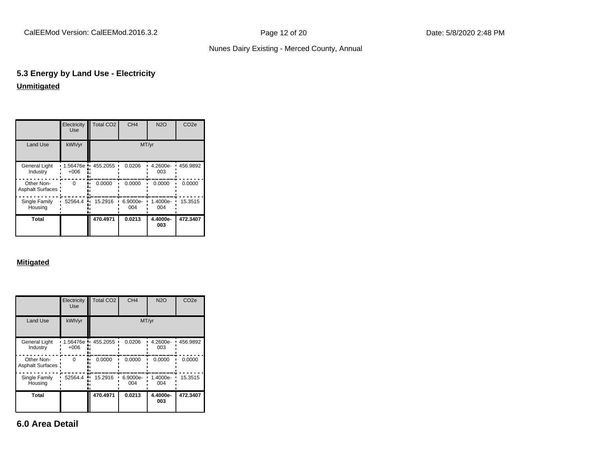# **5.3 Energy by Land Use - Electricity Unmitigated**

|                                       | Electricity<br><b>Use</b> | <b>Total CO2</b> | CH <sub>4</sub> | <b>N2O</b>      | CO <sub>2e</sub> |
|---------------------------------------|---------------------------|------------------|-----------------|-----------------|------------------|
| <b>Land Use</b>                       | kWh/yr                    |                  |                 | MT/yr           |                  |
| <b>General Light</b><br>Industry      | 1.56476e<br>$+006$        | 455.2055         | 0.0206          | 4.2600e-<br>003 | 456.9892         |
| Other Non-<br><b>Asphalt Surfaces</b> | $\Omega$                  | 0.0000           | 0.0000          | 0.0000          | 0.0000           |
| Single Family<br>Housing              | 52564.4                   | 15.2916          | 6.9000e-<br>004 | 1.4000e-<br>004 | 15.3515          |
| Total                                 |                           | 470.4971         | 0.0213          | 4.4000e-<br>003 | 472.3407         |

#### **Mitigated**

|                                       | Electricity<br>Use | Total CO <sub>2</sub> | CH <sub>4</sub> | <b>N2O</b>      | CO <sub>2e</sub> |
|---------------------------------------|--------------------|-----------------------|-----------------|-----------------|------------------|
| Land Use                              | kWh/yr             |                       | MT/yr           |                 |                  |
| <b>General Light</b><br>Industry      | 1.56476e<br>$+006$ | 455.2055              | 0.0206          | 4.2600e-<br>003 | 456.9892         |
| Other Non-<br><b>Asphalt Surfaces</b> | $\Omega$           | 0.0000                | 0.0000          | 0.0000          | 0.0000           |
| Single Family<br>Housing              | 52564.4            | 15.2916               | 6.9000e-<br>004 | 1.4000e-<br>004 | 15.3515          |
| Total                                 |                    | 470.4971              | 0.0213          | 4.4000e-<br>003 | 472.3407         |

**6.0 Area Detail**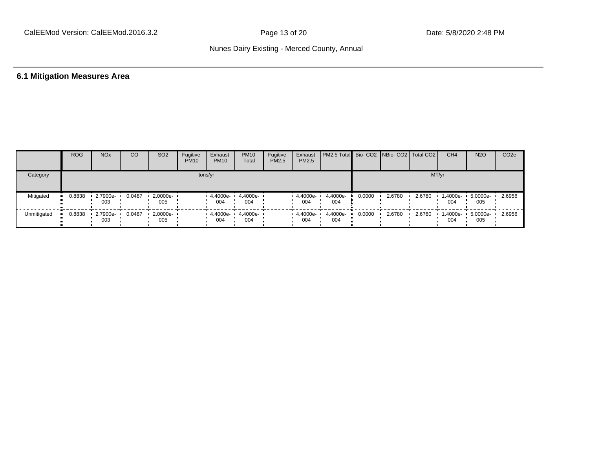## **6.1 Mitigation Measures Area**

|             | <b>ROG</b>            | <b>NO<sub>x</sub></b> | CO     | SO <sub>2</sub>    | Fugitive<br><b>PM10</b> | Exhaust<br><b>PM10</b>                           | <b>PM10</b><br>Total | Fugitive<br><b>PM2.5</b> | Exhaust<br>PM2.5   | <b>PM2.5 Total</b> Bio- CO2 NBio- CO2   Total CO2 |        |        |        | CH <sub>4</sub> | <b>N2O</b>               | CO <sub>2</sub> e |
|-------------|-----------------------|-----------------------|--------|--------------------|-------------------------|--------------------------------------------------|----------------------|--------------------------|--------------------|---------------------------------------------------|--------|--------|--------|-----------------|--------------------------|-------------------|
| Category    |                       |                       |        |                    |                         | tons/yr                                          |                      |                          |                    |                                                   |        |        |        | MT/yr           |                          |                   |
| Mitigated   | $\blacksquare$ 0.8838 | 2.7900e-<br>003       | 0.0487 | 2.0000e ·<br>005   |                         | 4.4000e- '<br>004                                | 4.4000e-<br>004      |                          | 4.4000e-<br>004    | 4.4000e-<br>004                                   | 0.0000 | 2.6780 | 2.6780 | 1.4000e-<br>004 | 5.0000e-<br>005          | 2.6956            |
| Unmitigated | $\blacksquare$ 0.8838 | $.27900e -$<br>003    | 0.0487 | $-2.0000e-$<br>005 |                         | $\cdot$ 4.4000e- $\cdot$ 4.4000e- $\cdot$<br>004 | 004                  |                          | $4.4000e -$<br>004 | 4.4000e-<br>004                                   | 0.0000 | 2.6780 | 2.6780 | 004             | 1.4000e- 5.0000e-<br>005 | 2.6956            |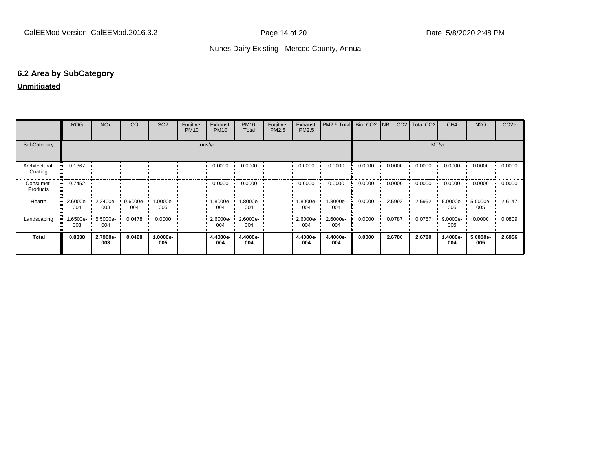#### **6.2 Area by SubCategory**

#### **Unmitigated**

|                          | <b>ROG</b>        | <b>NO<sub>x</sub></b> | CO              | SO <sub>2</sub>    | Fugitive<br><b>PM10</b> | Exhaust<br><b>PM10</b> | <b>PM10</b><br>Total | Fugitive<br>PM2.5 | Exhaust<br>PM2.5 | <b>I PM2.5 Total Bio- CO2 INBio- CO2 I Total CO2</b> |        |        |        | CH <sub>4</sub>    | <b>N2O</b>      | CO <sub>2e</sub> |
|--------------------------|-------------------|-----------------------|-----------------|--------------------|-------------------------|------------------------|----------------------|-------------------|------------------|------------------------------------------------------|--------|--------|--------|--------------------|-----------------|------------------|
| SubCategory              |                   |                       |                 |                    |                         | tons/yr                |                      |                   |                  |                                                      | MT/yr  |        |        |                    |                 |                  |
| Architectural<br>Coating | 0.1367            |                       |                 |                    |                         | 0.0000                 | 0.0000               |                   | 0.0000           | 0.0000                                               | 0.0000 | 0.0000 | 0.0000 | 0.0000             | 0.0000          | 0.0000           |
| Consumer<br>Products     | 0.7452            |                       |                 |                    |                         | 0.0000                 | 0.0000               |                   | 0.0000           | 0.0000                                               | 0.0000 | 0.0000 | 0.0000 | 0.0000             | 0.0000          | 0.0000           |
| Hearth                   | 2.6000e-<br>004   | 2.2400e-<br>003       | 9.6000e-<br>004 | $1.0000e -$<br>005 |                         | $1.8000e-$<br>004      | 1.8000e-<br>004      |                   | -8000e-<br>004   | 1.8000e-<br>004                                      | 0.0000 | 2.5992 | 2.5992 | $5.0000e-$<br>005  | 5.0000e-<br>005 | 2.6147           |
| Landscaping              | l.6500e- ∙<br>003 | 5.5000e-<br>004       | 0.0478          | 0.0000             |                         | $2.6000e-$<br>004      | 2.6000e-<br>004      |                   | 2.6000e-<br>004  | 2.6000e-<br>004                                      | 0.0000 | 0.0787 | 0.0787 | $9.0000e -$<br>005 | 0.0000          | 0.0809           |
| Total                    | 0.8838            | 2.7900e-<br>003       | 0.0488          | -.0000e<br>005     |                         | 4.4000e-<br>004        | 4.4000e-<br>004      |                   | 4.4000e-<br>004  | 4.4000e-<br>004                                      | 0.0000 | 2.6780 | 2.6780 | 1.4000e-<br>004    | 5.0000e-<br>005 | 2.6956           |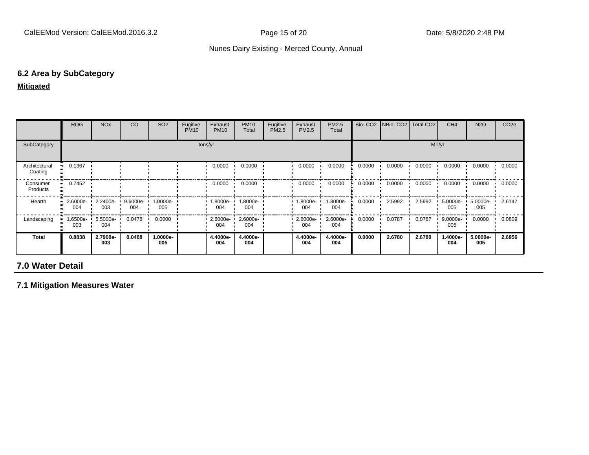#### **6.2 Area by SubCategory**

#### **Mitigated**

|                          | <b>ROG</b>                                                            | <b>NO<sub>x</sub></b> | CO                 | SO <sub>2</sub>  | Fugitive<br><b>PM10</b> | Exhaust<br><b>PM10</b> | <b>PM10</b><br>Total | Fugitive<br>PM2.5 | Exhaust<br>PM2.5 | <b>PM2.5</b><br>Total |        | Bio- CO2 NBio- CO2   Total CO2 |        | CH <sub>4</sub>    | <b>N2O</b>      | CO <sub>2e</sub> |
|--------------------------|-----------------------------------------------------------------------|-----------------------|--------------------|------------------|-------------------------|------------------------|----------------------|-------------------|------------------|-----------------------|--------|--------------------------------|--------|--------------------|-----------------|------------------|
| SubCategory              | MT/yr<br>tons/yr                                                      |                       |                    |                  |                         |                        |                      |                   |                  |                       |        |                                |        |                    |                 |                  |
| Architectural<br>Coating | 0.1367<br>. .                                                         |                       |                    |                  |                         | 0.0000                 | 0.0000               |                   | 0.0000           | 0.0000                | 0.0000 | 0.0000                         | 0.0000 | 0.0000             | 0.0000          | 0.0000           |
| Consumer<br>Products     | 0.7452<br>                                                            |                       |                    |                  |                         | 0.0000                 | 0.0000               |                   | 0.0000           | 0.0000                | 0.0000 | 0.0000                         | 0.0000 | 0.0000             | 0.0000          | 0.0000           |
| Hearth                   | $\blacksquare$ 2.6000e- $\blacksquare$ 2.2400e- $\blacksquare$<br>004 | 003                   | $9.6000e -$<br>004 | -0000e-<br>005   |                         | $1.8000e -$<br>004     | 1.8000e-<br>004      |                   | .8000e-<br>004   | 1.8000e-<br>004       | 0.0000 | 2.5992                         | 2.5992 | 5.0000e-<br>005    | 5.0000e-<br>005 | 2.6147           |
| Landscaping              | 8500e- •<br>003                                                       | 5.5000e-<br>004       | 0.0478             | 0.0000           |                         | $2.6000e-$<br>004      | 2.6000e-<br>004      |                   | 2.6000e-<br>004  | 2.6000e-<br>004       | 0.0000 | 0.0787                         | 0.0787 | $9.0000e -$<br>005 | 0.0000          | 0.0809           |
| Total                    | 0.8838                                                                | 2.7900e-<br>003       | 0.0488             | $.0000e-$<br>005 |                         | 4.4000e-<br>004        | 4.4000e-<br>004      |                   | 4.4000e-<br>004  | 4.4000e-<br>004       | 0.0000 | 2.6780                         | 2.6780 | 1.4000e-<br>004    | 5.0000e-<br>005 | 2.6956           |

# **7.0 Water Detail**

**7.1 Mitigation Measures Water**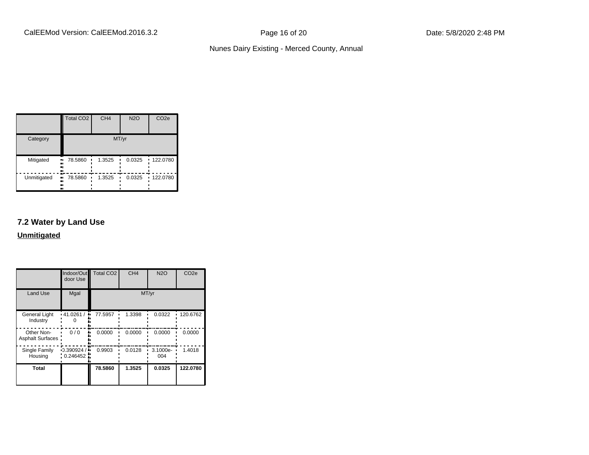|                     | Total CO <sub>2</sub> | CH <sub>4</sub> | <b>N2O</b> | CO <sub>2e</sub> |
|---------------------|-----------------------|-----------------|------------|------------------|
| Category            |                       |                 | MT/yr      |                  |
| Mitigated<br><br>   | 78.5860<br>.,         | 1.3525          | 0.0325     | $-122.0780$      |
| Unmitigated<br><br> | 78.5860<br>.,<br>     | 1.3525          | 0.0325     | 122.0780         |

# **7.2 Water by Land Use**

#### **Unmitigated**

|                                  | Indoor/Out<br>door Use   | <b>Total CO2</b> | CH <sub>4</sub> | <b>N2O</b>      | CO <sub>2e</sub> |
|----------------------------------|--------------------------|------------------|-----------------|-----------------|------------------|
| <b>Land Use</b>                  | Mgal                     |                  |                 | MT/yr           |                  |
| <b>General Light</b><br>Industry | $\cdot$ 41.0261/<br>۰.   | 77.5957          | 1.3398          | 0.0322          | 120.6762         |
| Other Non-<br>Asphalt Surfaces:  | 0/0                      | 0.0000           | 0.0000          | 0.0000          | 0.0000           |
| Single Family<br>Housing         | $-0.390924/$<br>0.246452 | 0.9903           | 0.0128          | 3.1000e-<br>004 | 1.4018           |
| Total                            |                          | 78.5860          | 1.3525          | 0.0325          | 122.0780         |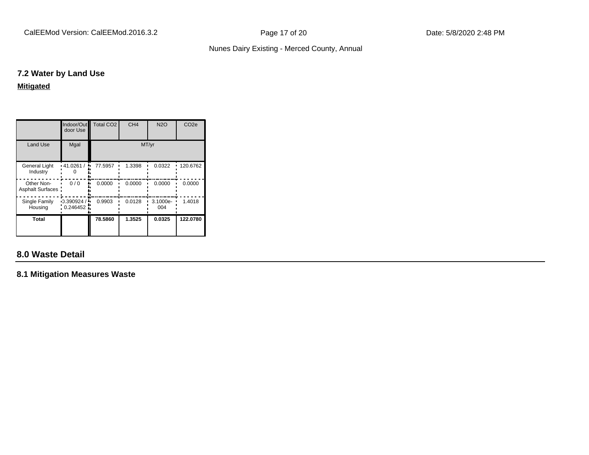#### **7.2 Water by Land Use**

**Mitigated**

|                                | Indoor/Out<br>door Use   | Total CO <sub>2</sub> | CH <sub>4</sub> | <b>N2O</b>        | CO <sub>2e</sub> |
|--------------------------------|--------------------------|-----------------------|-----------------|-------------------|------------------|
| <b>Land Use</b>                | Mgal                     |                       | MT/yr           |                   |                  |
| General Light<br>Industry      | $\cdot$ 41.0261/         | 77.5957               | 1.3398          | 0.0322            | 120.6762         |
| Other Non-<br>Asphalt Surfaces | 0/0                      | 0.0000                | 0.0000          | 0.0000            | 0.0000           |
| Single Family<br>Housing       | $-0.390924/$<br>0.246452 | 0.9903                | 0.0128          | $3.1000e-$<br>004 | 1.4018           |
| Total                          |                          | 78.5860               | 1.3525          | 0.0325            | 122.0780         |

# **8.0 Waste Detail**

**8.1 Mitigation Measures Waste**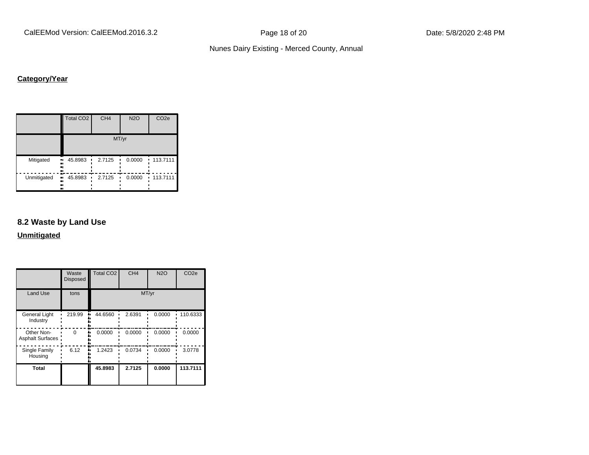CalEEMod Version: CalEEMod.2016.3.2 **Page 18 of 20** Page 18 of 20 Date: 5/8/2020 2:48 PM

#### Nunes Dairy Existing - Merced County, Annual

# **Category/Year**

|             | Total CO <sub>2</sub>            | CH <sub>4</sub> | <b>N2O</b> | CO <sub>2e</sub>           |  |  |  |  |
|-------------|----------------------------------|-----------------|------------|----------------------------|--|--|--|--|
|             | MT/yr                            |                 |            |                            |  |  |  |  |
| Mitigated   | 45.8983<br>ш,<br><br><br>ш       | 2.7125          | 0.0000     | 113.7111<br>$\blacksquare$ |  |  |  |  |
| Unmitigated | . .<br>45.8983<br>ш,<br><br><br> | 2.7125          | 0.0000     | 113.7111                   |  |  |  |  |

# **8.2 Waste by Land Use**

**Unmitigated**

|                                       | Waste<br><b>Disposed</b> | <b>Total CO2</b> | CH <sub>4</sub> | <b>N2O</b> | CO <sub>2e</sub> |
|---------------------------------------|--------------------------|------------------|-----------------|------------|------------------|
| <b>Land Use</b>                       | tons                     |                  |                 | MT/yr      |                  |
| <b>General Light</b><br>Industry      | 219.99                   | 44.6560          | 2.6391          | 0.0000     | 110.6333         |
| Other Non-<br><b>Asphalt Surfaces</b> | U                        | 0.0000           | 0.0000          | 0.0000     | 0.0000           |
| Single Family<br>Housing              | 6.12                     | 1.2423           | 0.0734          | 0.0000     | 3.0778           |
| <b>Total</b>                          |                          | 45.8983          | 2.7125          | 0.0000     | 113.7111         |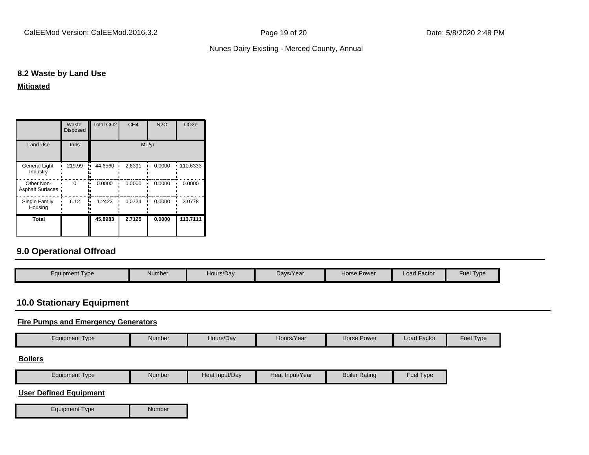#### **8.2 Waste by Land Use**

**Mitigated**

|                                 | Waste<br><b>Disposed</b> | Total CO <sub>2</sub> | CH <sub>4</sub> | N2O    | CO <sub>2e</sub> |
|---------------------------------|--------------------------|-----------------------|-----------------|--------|------------------|
| <b>Land Use</b>                 | tons                     |                       |                 |        |                  |
| General Light<br>Industry       | 219.99                   | 44.6560               | 2.6391          | 0.0000 | 110.6333         |
| Other Non-<br>Asphalt Surfaces: | $\Omega$                 | 0.0000                | 0.0000          | 0.0000 | 0.0000           |
| Single Family<br>Housing        | 6.12                     | 1.2423                | 0.0734          | 0.0000 | 3.0778           |
| Total                           |                          | 45.8983               | 2.7125          | 0.0000 | 113.7111         |

## **9.0 Operational Offroad**

| Hours/Day<br>Equipment Type<br>Number | Days/Year | Horse Power | <b>Load Factor</b> | <b>Fuel Type</b> |
|---------------------------------------|-----------|-------------|--------------------|------------------|

# **10.0 Stationary Equipment**

#### **Fire Pumps and Emergency Generators**

|                |        |           |            |             | $\sim$      |               |
|----------------|--------|-----------|------------|-------------|-------------|---------------|
| Equipment Type | Number | Hours/Dav | Hours/Year | Horse Power | Load Factor | Fuel:<br>Type |

#### **Boilers**

| $\cdot$ . | Equipment<br>Type | Number | Heat Input/Dav | Heat Input/Year | <b>Boiler Rating</b> | $\overline{\phantom{a}}$<br>Fuel<br>Type |
|-----------|-------------------|--------|----------------|-----------------|----------------------|------------------------------------------|
|-----------|-------------------|--------|----------------|-----------------|----------------------|------------------------------------------|

#### **User Defined Equipment**

Equipment Type Number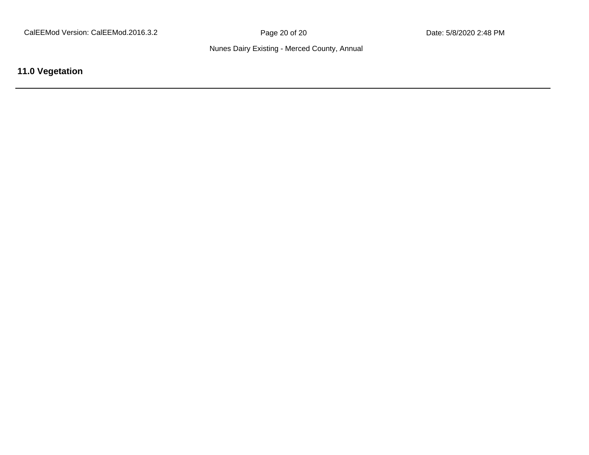**11.0 Vegetation**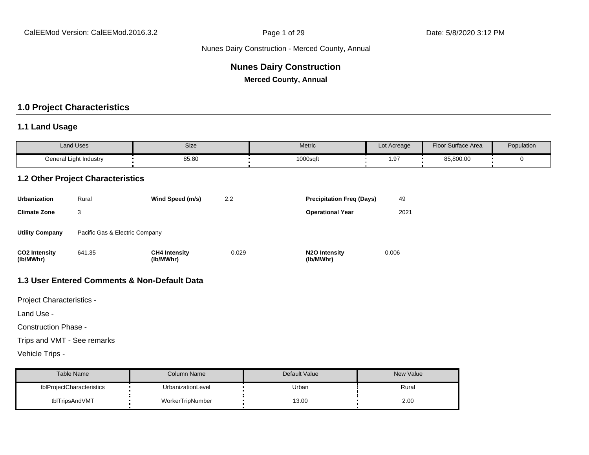# **Nunes Dairy Construction**

**Merced County, Annual**

#### **1.0 Project Characteristics**

#### **1.1 Land Usage**

| <b>Land Uses</b>       | Size  | Metric   | Lot Acreage | <b>Floor Surface Area</b> | Population |
|------------------------|-------|----------|-------------|---------------------------|------------|
| General Light Industry | 85.80 | 1000sqft | ഹ<br>ن.     | 85,800.00                 |            |

#### **1.2 Other Project Characteristics**

| <b>Urbanization</b>               | Rural                          | Wind Speed (m/s)                  | 2.2   | <b>Precipitation Freg (Days)</b>        | 49    |
|-----------------------------------|--------------------------------|-----------------------------------|-------|-----------------------------------------|-------|
| <b>Climate Zone</b>               | 3                              |                                   |       | <b>Operational Year</b>                 | 2021  |
| <b>Utility Company</b>            | Pacific Gas & Electric Company |                                   |       |                                         |       |
| <b>CO2 Intensity</b><br>(lb/MWhr) | 641.35                         | <b>CH4 Intensity</b><br>(lb/MWhr) | 0.029 | N <sub>2</sub> O Intensity<br>(lb/MWhr) | 0.006 |

#### **1.3 User Entered Comments & Non-Default Data**

Project Characteristics -

Land Use -

Construction Phase -

Trips and VMT - See remarks

Vehicle Trips -

| Table Name                | Column Name       | Default Value | <b>New Value</b> |
|---------------------------|-------------------|---------------|------------------|
| tblProjectCharacteristics | UrbanizationLevel | Urban         | Rural            |
| tblTripsAndVMT            | WorkerTripNumber  | 13.00         | 2.00             |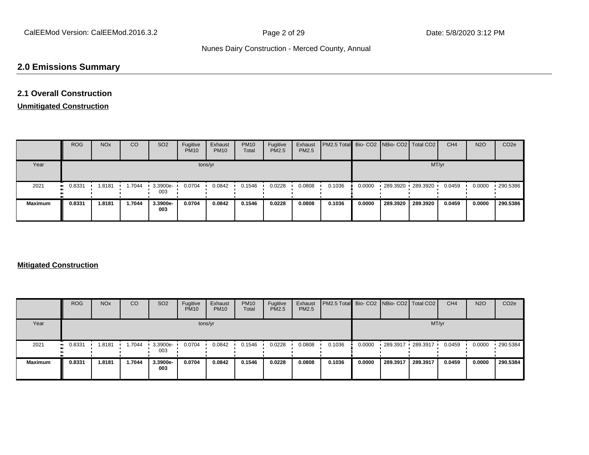# **2.0 Emissions Summary**

# **2.1 Overall Construction**

#### **Unmitigated Construction**

|                | <b>ROG</b> | <b>NO<sub>x</sub></b> | CO     | SO <sub>2</sub> | Fugitive<br><b>PM10</b> | Exhaust<br><b>PM10</b> | <b>PM10</b><br>Total | Fugitive<br><b>PM2.5</b> | Exhaust<br>PM2.5 | <b>PM2.5 Total</b> Bio- CO2 NBio- CO2 Total CO2 |        |          |                   | CH <sub>4</sub> | <b>N2O</b> | CO <sub>2</sub> e |
|----------------|------------|-----------------------|--------|-----------------|-------------------------|------------------------|----------------------|--------------------------|------------------|-------------------------------------------------|--------|----------|-------------------|-----------------|------------|-------------------|
| Year           |            |                       |        |                 |                         | tons/yr                |                      |                          |                  |                                                 |        |          | MT/yr             |                 |            |                   |
| 2021           | $-0.8331$  | 1.8181                | .7044  | 3.3900e-<br>003 | 0.0704                  | 0.0842                 | 0.1546               | 0.0228                   | 0.0808           | 0.1036                                          | 0.0000 |          | 289.3920 289.3920 | 0.0459          | 0.0000     | 290.5386          |
| <b>Maximum</b> | 0.8331     | 1.8181                | 1.7044 | 3.3900e-<br>003 | 0.0704                  | 0.0842                 | 0.1546               | 0.0228                   | 0.0808           | 0.1036                                          | 0.0000 | 289.3920 | 289.3920          | 0.0459          | 0.0000     | 290.5386          |

#### **Mitigated Construction**

|                | <b>ROG</b> | <b>NO<sub>x</sub></b> | CO     | SO <sub>2</sub>   | Fugitive<br><b>PM10</b> | Exhaust<br><b>PM10</b> | <b>PM10</b><br>Total | Fugitive<br><b>PM2.5</b> | Exhaust<br><b>PM2.5</b> | PM2.5 Total Bio- CO2   NBio- CO2   Total CO2 |        |            |          | CH <sub>4</sub> | <b>N2O</b> | CO <sub>2e</sub> |
|----------------|------------|-----------------------|--------|-------------------|-------------------------|------------------------|----------------------|--------------------------|-------------------------|----------------------------------------------|--------|------------|----------|-----------------|------------|------------------|
| Year           |            |                       |        |                   |                         | tons/yr                |                      |                          |                         |                                              |        |            |          | MT/yr           |            |                  |
| 2021           | 0.8331     | .8181                 | 1.7044 | $3.3900e-$<br>003 | 0.0704                  | 0.0842                 | 0.1546               | 0.0228                   | 0.0808                  | 0.1036                                       | 0.0000 | 289.3917 . | 289.3917 | 0.0459          | 0.0000     | 290.5384         |
| <b>Maximum</b> | 0.8331     | 1.8181                | 1.7044 | 3.3900e-<br>003   | 0.0704                  | 0.0842                 | 0.1546               | 0.0228                   | 0.0808                  | 0.1036                                       | 0.0000 | 289.3917   | 289.3917 | 0.0459          | 0.0000     | 290.5384         |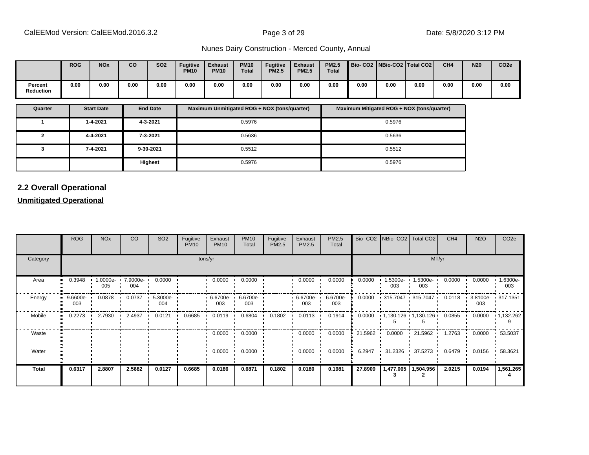|                             | <b>ROG</b> | <b>NOx</b> | co   | SO <sub>2</sub> | <b>Fugitive</b><br><b>PM10</b> | <b>Exhaust</b><br><b>PM10</b> | <b>PM10</b><br>Total | <b>Fugitive</b><br><b>PM2.5</b> | <b>Exhaust</b><br><b>PM2.5</b> | <b>PM2.5</b><br><b>Total</b> |      |      | Bio-CO2 NBio-CO2 Total CO2 | CH <sub>4</sub> | <b>N20</b> | CO <sub>2e</sub> |
|-----------------------------|------------|------------|------|-----------------|--------------------------------|-------------------------------|----------------------|---------------------------------|--------------------------------|------------------------------|------|------|----------------------------|-----------------|------------|------------------|
| Percent<br><b>Reduction</b> | 0.00       | 0.00       | 0.00 | 0.00            | 0.00                           | 0.00                          | 0.00                 | 0.00                            | 0.00                           | 0.00                         | 0.00 | 0.00 | 0.00                       | 0.00            | 0.00       | 0.00             |

| Quarter | <b>Start Date</b> | <b>End Date</b> | Maximum Unmitigated ROG + NOX (tons/quarter) | Maximum Mitigated ROG + NOX (tons/quarter) |
|---------|-------------------|-----------------|----------------------------------------------|--------------------------------------------|
|         | 1-4-2021          | 4-3-2021        | 0.5976                                       | 0.5976                                     |
|         | 4-4-2021          | 7-3-2021        | 0.5636                                       | 0.5636                                     |
|         | 7-4-2021          | 9-30-2021       | 0.5512                                       | 0.5512                                     |
|         |                   | <b>Highest</b>  | 0.5976                                       | 0.5976                                     |

# **2.2 Overall Operational**

#### **Unmitigated Operational**

|              | <b>ROG</b>                     | <b>NO<sub>x</sub></b> | CO                       | SO <sub>2</sub>    | Fugitive<br><b>PM10</b> | Exhaust<br><b>PM10</b> | <b>PM10</b><br>Total     | Fugitive<br>PM2.5 | Exhaust<br>PM2.5  | PM2.5<br>Total  |         | Bio- CO2   NBio- CO2   Total CO2 |                             | CH <sub>4</sub> | <b>N2O</b>       | CO <sub>2</sub> e   |
|--------------|--------------------------------|-----------------------|--------------------------|--------------------|-------------------------|------------------------|--------------------------|-------------------|-------------------|-----------------|---------|----------------------------------|-----------------------------|-----------------|------------------|---------------------|
| Category     |                                |                       |                          |                    |                         | tons/yr                |                          |                   |                   |                 |         |                                  | MT/yr                       |                 |                  |                     |
| Area         | 0.3948                         | 005                   | 1.0000e- 7.9000e-<br>004 | 0.0000             |                         | 0.0000                 | 0.0000                   |                   | 0.0000            | 0.0000          | 0.0000  | $1.5300e-$<br>003                | $1.5300e -$<br>003          | 0.0000          | 0.0000           | 1.6300e-<br>003     |
| Energy       | $\blacksquare$ 9.6600e-<br>003 | 0.0878                | 0.0737                   | $5.3000e -$<br>004 |                         | 003                    | 6.6700e- 6.6700e-<br>003 |                   | 6.6700e- '<br>003 | 6.6700e-<br>003 | 0.0000  |                                  | 315.7047 315.7047           | 0.0118          | 003              | 3.8100e- 1 317.1351 |
| Mobile       | 0.2273                         | 2.7930                | 2.4937                   | 0.0121             | 0.6685                  | 0.0119                 | 0.6804                   | 0.1802            | 0.0113            | 0.1914          | 0.0000  |                                  | $1,130.126$ $1,130.126$ $1$ | 0.0855          | 0.0000           | $\cdot$ 1,132.262   |
| Waste        |                                |                       |                          |                    |                         | 0.0000                 | 0.0000                   |                   | 0.0000            | 0.0000          | 21.5962 | 0.0000                           | 121.5962                    | 1.2763          | $0.0000$ $\cdot$ | 53.5037             |
| Water        |                                |                       |                          |                    |                         | 0.0000                 | 0.0000                   |                   | 0.0000            | 0.0000          | 6.2947  | $31.2326$ $\cdot$                | 37.5273                     | 0.6479          | 0.0156           | 58.3621             |
| <b>Total</b> | 0.6317                         | 2.8807                | 2.5682                   | 0.0127             | 0.6685                  | 0.0186                 | 0.6871                   | 0.1802            | 0.0180            | 0.1981          | 27.8909 |                                  | 1,477.065   1,504.956       | 2.0215          | 0.0194           | 1,561.265           |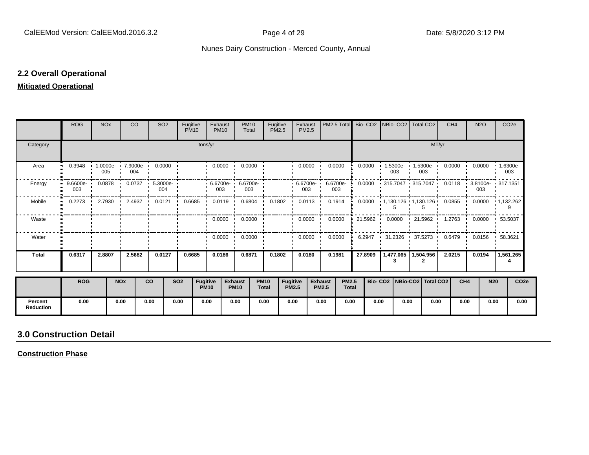#### **2.2 Overall Operational**

#### **Mitigated Operational**

|                             | <b>ROG</b>          | <b>NO<sub>x</sub></b> |                       | <b>CO</b> | SO <sub>2</sub>          | Fugitive   | <b>PM10</b>             | Exhaust<br><b>PM10</b>                                       | <b>PM10</b><br>Total          |                             | Fugitive<br><b>PM2.5</b>        | Exhaust<br>PM2.5        |                                |                              |         | PM2.5 Total Bio- CO2 NBio- CO2 Total CO2 |                            |                |                                 | CH <sub>4</sub> | <b>N2O</b>      |            | CO <sub>2e</sub>                                               |
|-----------------------------|---------------------|-----------------------|-----------------------|-----------|--------------------------|------------|-------------------------|--------------------------------------------------------------|-------------------------------|-----------------------------|---------------------------------|-------------------------|--------------------------------|------------------------------|---------|------------------------------------------|----------------------------|----------------|---------------------------------|-----------------|-----------------|------------|----------------------------------------------------------------|
| Category                    |                     |                       |                       |           |                          |            | tons/yr                 |                                                              |                               |                             |                                 |                         |                                |                              |         |                                          |                            |                | MT/yr                           |                 |                 |            |                                                                |
| Area                        | 0.3948<br>$\bullet$ | 005                   |                       | 004       | 1.0000e- 7.9000e- 0.0000 |            |                         | $0.0000$ $\blacksquare$                                      | 0.0000                        |                             |                                 | $0.0000$ $\blacksquare$ | 0.0000                         |                              | 0.0000  |                                          | 1.5300e- 1.5300e- 1<br>003 | 003            |                                 | 0.0000          |                 |            | $0.0000$ $\cdot$ 1.6300e-<br>003                               |
| Energy                      | $9.6600e -$<br>003  | $0.0878$ '            |                       | 0.0737    | $5.3000e -$<br>004       |            |                         | $\cdot$ 6.6700e- 6.6700e-<br>003                             | 003                           |                             |                                 | $6.6700e -$<br>003      | 6.6700e-<br>003                |                              | 0.0000  |                                          | 315.7047 1 315.7047        |                |                                 | 0.0118          | 003             |            | 3.8100e- 317.1351                                              |
| Mobile                      | 0.2273<br>$\bullet$ | . .                   |                       |           |                          |            |                         | 2.7930 1 2.4937 1 0.0121 1 0.6685 1 0.0119 1 0.6804 1 0.1802 |                               |                             |                                 | $0.0113$ $\cdot$        | 0.1914                         |                              |         |                                          |                            |                |                                 |                 |                 |            | $0.0000$ $1,130.126$ $1,130.126$ $0.0855$ $0.0000$ $1,132.262$ |
| Waste                       |                     |                       |                       |           |                          |            |                         |                                                              | $0.0000$ $\cdot$ 0.0000       |                             |                                 | $0.0000$ $\blacksquare$ | 0.0000                         |                              | 21.5962 |                                          |                            |                |                                 |                 |                 |            | $0.0000$ 21.5962 1.2763 0.0000 53.5037                         |
| Water                       |                     |                       |                       |           |                          |            |                         | $0.0000$ $\cdot$                                             | 0.0000                        |                             |                                 | 0.0000                  | 0.0000                         |                              | 6.2947  |                                          | $31.2326$ $\cdot$          |                | 37.5273 .                       | 0.6479          |                 |            | $0.0156$ $\cdot$ 58.3621                                       |
| <b>Total</b>                | 0.6317              | 2.8807                |                       | 2.5682    | 0.0127                   | 0.6685     |                         | 0.0186                                                       | 0.6871                        |                             | 0.1802                          | 0.0180                  | 0.1981                         |                              | 27.8909 |                                          | 1,477.065   1,504.956<br>3 | $\overline{2}$ |                                 | 2.0215          | 0.0194          |            | 1,561.265                                                      |
|                             | <b>ROG</b>          |                       | <b>NO<sub>x</sub></b> |           | <b>CO</b>                | <b>SO2</b> | Fugitive<br><b>PM10</b> |                                                              | <b>Exhaust</b><br><b>PM10</b> | <b>PM10</b><br><b>Total</b> | <b>Fugitive</b><br><b>PM2.5</b> |                         | <b>Exhaust</b><br><b>PM2.5</b> | <b>PM2.5</b><br><b>Total</b> |         |                                          |                            |                | Bio- CO2   NBio-CO2   Total CO2 |                 | CH <sub>4</sub> | <b>N20</b> | CO <sub>2e</sub>                                               |
| Percent<br><b>Reduction</b> | 0.00                |                       | 0.00                  |           | 0.00                     | 0.00       |                         | 0.00                                                         | 0.00                          | 0.00                        | 0.00                            |                         | 0.00                           | 0.00                         |         | 0.00                                     | 0.00                       |                | 0.00                            |                 | 0.00            | 0.00       | 0.00                                                           |

# **3.0 Construction Detail**

**Construction Phase**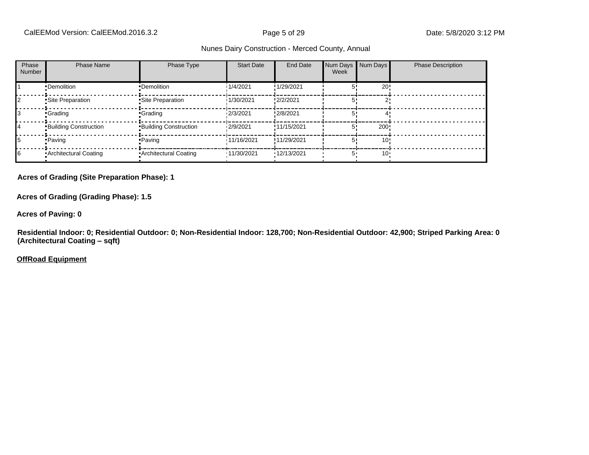| Phase<br>Number | <b>Phase Name</b>            | Phase Type                   | <b>Start Date</b> | End Date    | Num Days<br>Week | Num Days | <b>Phase Description</b> |
|-----------------|------------------------------|------------------------------|-------------------|-------------|------------------|----------|--------------------------|
|                 | •Demolition                  | •Demolition                  | 1/4/2021          | !1/29/2021  |                  | 20!      |                          |
|                 | Site Preparation             | Site Preparation             | 1/30/2021         | !2/2/2021   |                  |          |                          |
|                 | <b>Crading</b>               | <b>Grading</b>               | 12/3/2021         | !2/8/2021   |                  |          |                          |
| 14              | <b>Building Construction</b> | <b>Building Construction</b> | 12/9/2021         | !11/15/2021 |                  | 200!     |                          |
| 15              | • Paving                     | • Paving                     | 11/16/2021        | !11/29/2021 |                  | 10:      |                          |
| 16              | • Architectural Coating      | Architectural Coating        | '11/30/2021       | '12/13/2021 |                  | $10 -$   |                          |

**Acres of Grading (Site Preparation Phase): 1**

**Acres of Grading (Grading Phase): 1.5**

**Acres of Paving: 0**

**Residential Indoor: 0; Residential Outdoor: 0; Non-Residential Indoor: 128,700; Non-Residential Outdoor: 42,900; Striped Parking Area: 0 (Architectural Coating - sqft)** 

**OffRoad Equipment**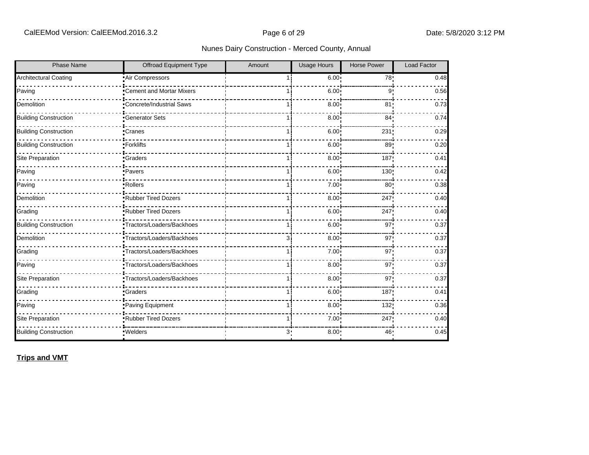| <b>Phase Name</b>            | <b>Offroad Equipment Type</b>    | Amount | <b>Usage Hours</b> | <b>Horse Power</b> | Load Factor |
|------------------------------|----------------------------------|--------|--------------------|--------------------|-------------|
| <b>Architectural Coating</b> | Air Compressors                  |        | 6.00:              | 78 <sub>1</sub>    | 0.48        |
| Paving                       | <b>•Cement and Mortar Mixers</b> |        | 6.00               | 9                  | 0.56        |
| Demolition                   | -Concrete/Industrial Saws        |        | 8.00               | 81 <sub>1</sub>    | 0.73        |
| <b>Building Construction</b> | <b>Generator Sets</b>            |        | 8.00               | 84 <sub>1</sub>    | 0.74        |
| <b>Building Construction</b> | •Cranes                          | 1 i    | 6.00               | 231                | 0.29        |
| <b>Building Construction</b> | •Forklifts                       |        | 6.00               | 89                 | 0.20        |
| Site Preparation             | <b>Graders</b>                   | 1 i    | 8.00               | 187                | 0.41        |
| Paving                       | ·Pavers                          | 1 i    | 6.00               | 130 <sub>1</sub>   | 0.42        |
| Paving                       | -Rollers                         |        | 7.00               | 80 <sub>1</sub>    | 0.38        |
| Demolition                   | Rubber Tired Dozers              |        | 8.00               | 247                | 0.40        |
| Grading                      | <b>Rubber Tired Dozers</b>       |        | 6.00               | 247                | 0.40        |
| <b>Building Construction</b> | •Tractors/Loaders/Backhoes       | 1 i    | 6.00 <sub>1</sub>  | 97                 | 0.37        |
| Demolition                   | ·Tractors/Loaders/Backhoes       | 3i     | 8.00               | 97                 | 0.37        |
| Grading                      | Tractors/Loaders/Backhoes        | 1 i    | 7.00               | 97'                | 0.37        |
| Paving                       | Tractors/Loaders/Backhoes        |        | 8.00               | 97 <sub>1</sub>    | 0.37        |
| Site Preparation             | Tractors/Loaders/Backhoes        | 1 i    | 8.00               | 97 <sub>1</sub>    | 0.37        |
| Grading                      | <b>Graders</b>                   | 11     | 6.00               | 187                | 0.41        |
| Paving                       | Paving Equipment                 | 1 i    | 8.00               | 132'               | 0.36        |
| Site Preparation             | <b>Rubber Tired Dozers</b>       |        | 7.00               | 247                | 0.40        |
| <b>Building Construction</b> | ·Welders                         | 3.     | 8.00               | 46                 | 0.45        |

## **Trips and VMT**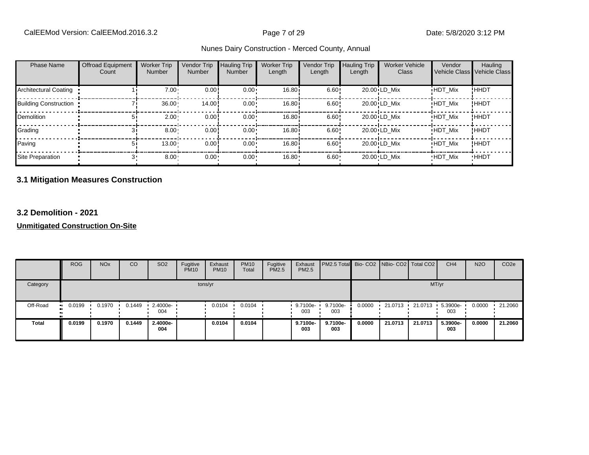|  | Nunes Dairy Construction - Merced County, Annual |
|--|--------------------------------------------------|
|--|--------------------------------------------------|

| <b>Phase Name</b>            | <b>Offroad Equipment</b><br>Count | <b>Worker Trip</b><br><b>Number</b> | Vendor Trip<br><b>Number</b> | <b>Hauling Trip</b><br><b>Number</b> | <b>Worker Trip</b><br>Length | Vendor Trip<br>Length | <b>Hauling Trip</b><br>Length | <b>Worker Vehicle</b><br>Class | Vendor         | Hauling<br>Vehicle Class Vehicle Class |
|------------------------------|-----------------------------------|-------------------------------------|------------------------------|--------------------------------------|------------------------------|-----------------------|-------------------------------|--------------------------------|----------------|----------------------------------------|
| Architectural Coating        |                                   | $7.00 \cdot$                        | 0.00                         | $0.00 \cdot$                         | 16.80i                       | 6.60!                 |                               | 20.00 LD Mix                   | <b>HDT Mix</b> | !HHDT                                  |
| <b>Building Construction</b> |                                   | $36.00 -$                           | 14.00                        | $0.00 \cdot$                         | 16.80i                       | 6.60!                 |                               | 20.00 LD Mix                   | <b>HDT Mix</b> | ! ННDТ                                 |
| <b>Demolition</b>            |                                   | $2.00 -$                            | 0.00!                        | $0.00 \cdot$                         | 16.80i                       | 6.60!                 |                               | 20.00 LD Mix                   | <b>HDT Mix</b> | ! ННDТ                                 |
| Grading                      |                                   | $8.00 -$                            | 0.00                         | $0.00 \cdot$                         | 16.80 <sup>i</sup>           | 6.60!                 |                               | 20.00 LD Mix                   | <b>HDT Mix</b> | <b>!HHDT</b>                           |
| Paving                       |                                   | 13.00                               | 0.00!                        | $0.00 \cdot$                         | 16.80i                       | 6.60!                 |                               | 20.00 LD Mix                   | <b>HDT Mix</b> | ! ННDТ                                 |
| Site Preparation             |                                   | $8.00 -$                            | $0.00 \cdot$                 | $0.00 \cdot$                         | 16.80                        | $6.60 \cdot$          |                               | 20.00 LD Mix                   | <b>HDT Mix</b> | <b>HHDT</b>                            |

## **3.1 Mitigation Measures Construction**

#### **3.2 Demolition - 2021**

**Unmitigated Construction On-Site**

|              | <b>ROG</b>          | <b>NO<sub>x</sub></b> | CO     | SO <sub>2</sub> | Fugitive<br><b>PM10</b> | Exhaust<br><b>PM10</b> | <b>PM10</b><br>Total | Fugitive<br>PM2.5 | Exhaust<br>PM2.5 | PM2.5 Total Bio- CO2 NBio- CO2   Total CO2 |        |         |         | CH <sub>4</sub> | <b>N2O</b> | CO <sub>2e</sub> |
|--------------|---------------------|-----------------------|--------|-----------------|-------------------------|------------------------|----------------------|-------------------|------------------|--------------------------------------------|--------|---------|---------|-----------------|------------|------------------|
| Category     |                     |                       |        |                 |                         | tons/yr                |                      |                   |                  |                                            |        |         | MT/yr   |                 |            |                  |
| Off-Road     | 0.0199<br>$\bullet$ | 0.1970                | 0.1449 | 2.4000e-<br>004 |                         | 0.0104                 | 0.0104               |                   | 9.7100e-<br>003  | 9.7100e-<br>003                            | 0.0000 | 21.0713 | 21.0713 | 5.3900e-<br>003 | 0.0000     | $-21.2060$       |
| <b>Total</b> | 0.0199              | 0.1970                | 0.1449 | 2.4000e-<br>004 |                         | 0.0104                 | 0.0104               |                   | 9.7100e-<br>003  | 9.7100e-<br>003                            | 0.0000 | 21.0713 | 21.0713 | 5.3900e-<br>003 | 0.0000     | 21.2060          |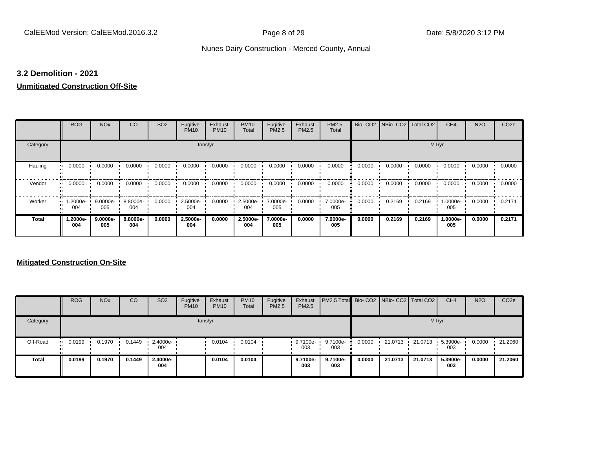#### **3.2 Demolition - 2021**

# **Unmitigated Construction Off-Site**

|                     | <b>ROG</b>      | <b>NO<sub>x</sub></b> | CO              | SO <sub>2</sub> | Fugitive<br><b>PM10</b> | Exhaust<br><b>PM10</b> | <b>PM10</b><br>Total | Fugitive<br><b>PM2.5</b> | Exhaust<br>PM2.5 | <b>PM2.5</b><br>Total |        | Bio- CO2   NBio- CO2   Total CO2 |        | CH <sub>4</sub> | <b>N2O</b> | CO <sub>2e</sub> |
|---------------------|-----------------|-----------------------|-----------------|-----------------|-------------------------|------------------------|----------------------|--------------------------|------------------|-----------------------|--------|----------------------------------|--------|-----------------|------------|------------------|
| Category            |                 |                       |                 |                 | tons/yr                 |                        |                      |                          |                  |                       |        |                                  | MT/yr  |                 |            |                  |
| Hauling<br>81       | 0.0000          | 0.0000                | 0.0000          | 0.0000          | 0.0000                  | 0.0000                 | 0.0000               | 0.0000                   | 0.0000           | 0.0000                | 0.0000 | 0.0000                           | 0.0000 | 0.0000          | 0.0000     | 0.0000           |
| Vendor<br>$\bullet$ | 0.0000          | 0.0000                | 0.0000          | 0.0000          | 0.0000                  | 0.0000                 | 0.0000               | 0.0000                   | 0.0000           | 0.0000                | 0.0000 | 0.0000                           | 0.0000 | 0.0000          | 0.0000     | 0.0000           |
| Worker<br>$\bullet$ | 1.2000e-<br>004 | 9.0000e-<br>005       | 8.8000e-<br>004 | 0.0000          | 2.5000e-<br>004         | 0.0000                 | 2.5000e-<br>004      | 7.0000e-<br>005          | 0.0000           | 7.0000e-<br>005       | 0.0000 | 0.2169                           | 0.2169 | 1.0000e-<br>005 | 0.0000     | 0.2171           |
| <b>Total</b>        | -2000e.<br>004  | 9.0000e-<br>005       | 8.8000e-<br>004 | 0.0000          | 2.5000e-<br>004         | 0.0000                 | 2.5000e-<br>004      | 7.0000e-<br>005          | 0.0000           | 7.0000e-<br>005       | 0.0000 | 0.2169                           | 0.2169 | 1.0000e-<br>005 | 0.0000     | 0.2171           |

#### **Mitigated Construction On-Site**

|          | <b>ROG</b>           | <b>NO<sub>x</sub></b> | CO     | SO <sub>2</sub>    | Fugitive<br><b>PM10</b> | Exhaust<br><b>PM10</b> | <b>PM10</b><br><b>Total</b> | Fugitive<br>PM2.5 | Exhaust<br><b>PM2.5</b> | <b>PM2.5 Total</b> Bio- CO2 NBio- CO2 Total CO2 |        |         |         | CH <sub>4</sub> | <b>N2O</b> | CO <sub>2e</sub> |
|----------|----------------------|-----------------------|--------|--------------------|-------------------------|------------------------|-----------------------------|-------------------|-------------------------|-------------------------------------------------|--------|---------|---------|-----------------|------------|------------------|
| Category |                      |                       |        |                    |                         | tons/yr                |                             |                   |                         |                                                 |        |         |         | MT/yr           |            |                  |
| Off-Road | 0.0199<br><b>ALC</b> | 0.1970                | 0.1449 | $2.4000e -$<br>004 |                         | 0.0104                 | 0.0104                      |                   | $9.7100e-$<br>003       | 9.7100e-<br>003                                 | 0.0000 | 21.0713 | 21.0713 | 5.3900e-<br>003 | 0.0000     | 21.2060          |
| Total    | 0.0199               | 0.1970                | 0.1449 | 2.4000e-<br>004    |                         | 0.0104                 | 0.0104                      |                   | 9.7100e-<br>003         | 9.7100e-<br>003                                 | 0.0000 | 21.0713 | 21.0713 | 5.3900e-<br>003 | 0.0000     | 21.2060          |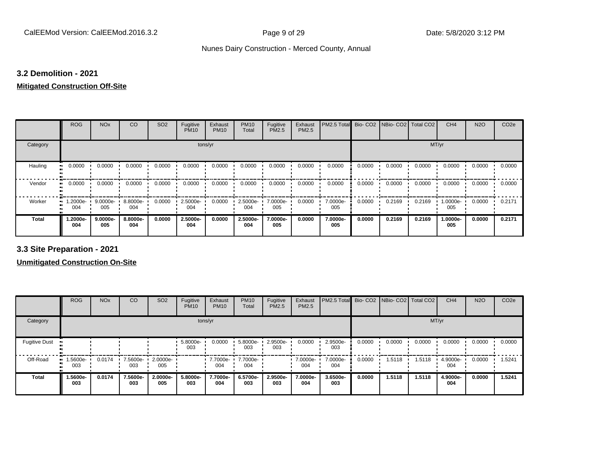#### **3.2 Demolition - 2021**

#### **Mitigated Construction Off-Site**

|                          | <b>ROG</b>        | <b>NO<sub>x</sub></b> | CO              | SO <sub>2</sub> | Fugitive<br><b>PM10</b> | Exhaust<br><b>PM10</b> | <b>PM10</b><br>Total | Fugitive<br>PM2.5 | Exhaust<br>PM2.5 | PM2.5 Total     |        | Bio- CO2   NBio- CO2   Total CO2 |        | CH <sub>4</sub> | <b>N2O</b> | CO <sub>2e</sub> |
|--------------------------|-------------------|-----------------------|-----------------|-----------------|-------------------------|------------------------|----------------------|-------------------|------------------|-----------------|--------|----------------------------------|--------|-----------------|------------|------------------|
| Category                 |                   |                       |                 |                 | tons/yr                 |                        |                      |                   |                  |                 |        |                                  | MT/yr  |                 |            |                  |
| Hauling                  | 0.0000            | 0.0000                | 0.0000          | 0.0000          | 0.0000                  | 0.0000                 | 0.0000               | 0.0000            | 0.0000           | 0.0000          | 0.0000 | 0.0000                           | 0.0000 | 0.0000          | 0.0000     | 0.0000           |
| Vendor<br>$\blacksquare$ | 0.0000            | 0.0000                | 0.0000          | 0.0000          | 0.0000                  | 0.0000                 | 0.0000               | 0.0000            | 0.0000           | 0.0000          | 0.0000 | 0.0000                           | 0.0000 | 0.0000          | 0.0000     | 0.0000           |
| Worker                   | $.2000e -$<br>004 | 9.0000e-<br>005       | 8.8000e-<br>004 | 0.0000          | 2.5000e-<br>004         | 0.0000                 | 2.5000e-<br>004      | 7.0000e-<br>005   | 0.0000           | 7.0000e-<br>005 | 0.0000 | 0.2169                           | 0.2169 | 1.0000e-<br>005 | 0.0000     | 0.2171           |
| <b>Total</b>             | .2000e-<br>004    | 9.0000e-<br>005       | 8.8000e-<br>004 | 0.0000          | 2.5000e-<br>004         | 0.0000                 | 2.5000e-<br>004      | 7.0000e-<br>005   | 0.0000           | 7.0000e-<br>005 | 0.0000 | 0.2169                           | 0.2169 | 1.0000e-<br>005 | 0.0000     | 0.2171           |

**3.3 Site Preparation - 2021**

**Unmitigated Construction On-Site**

|                      | <b>ROG</b>      | <b>NO<sub>x</sub></b> | CO              | SO <sub>2</sub>         | Fugitive<br><b>PM10</b> | Exhaust<br><b>PM10</b> | <b>PM10</b><br>Total | Fugitive<br><b>PM2.5</b> | Exhaust<br><b>PM2.5</b> | PM2.5 Total Bio- CO2 NBio- CO2 |        |        | Total CO <sub>2</sub> | CH <sub>4</sub> | <b>N2O</b> | CO <sub>2e</sub> |  |
|----------------------|-----------------|-----------------------|-----------------|-------------------------|-------------------------|------------------------|----------------------|--------------------------|-------------------------|--------------------------------|--------|--------|-----------------------|-----------------|------------|------------------|--|
| Category             | tons/yr         |                       |                 |                         |                         |                        |                      |                          |                         |                                | MT/yr  |        |                       |                 |            |                  |  |
| <b>Fugitive Dust</b> |                 |                       |                 |                         | 5.8000e-<br>003         | 0.0000                 | 5.8000e-<br>003      | 2.9500e-<br>003          | 0.0000                  | 2.9500e-<br>003                | 0.0000 | 0.0000 | 0.0000                | 0.0000          | 0.0000     | 0.0000           |  |
| Off-Road             | 1.5600e-<br>003 | 0.0174                | 7.5600e-<br>003 | $\cdot$ 2.0000e-<br>005 |                         | 7.7000e-<br>004        | 7.7000e-<br>004      |                          | 7.0000e-<br>004         | 7.0000e-<br>004                | 0.0000 | 1.5118 | 1.5118                | 4.9000e-<br>004 | 0.0000     | 1.5241           |  |
| <b>Total</b>         | -5600e.<br>003  | 0.0174                | 7.5600e-<br>003 | 2.0000e-<br>005         | 5.8000e-<br>003         | 7.7000e-<br>004        | 6.5700e-<br>003      | 2.9500e-<br>003          | 7.0000e-<br>004         | 3.6500e-<br>003                | 0.0000 | 1.5118 | 1.5118                | 4.9000e-<br>004 | 0.0000     | 1.5241           |  |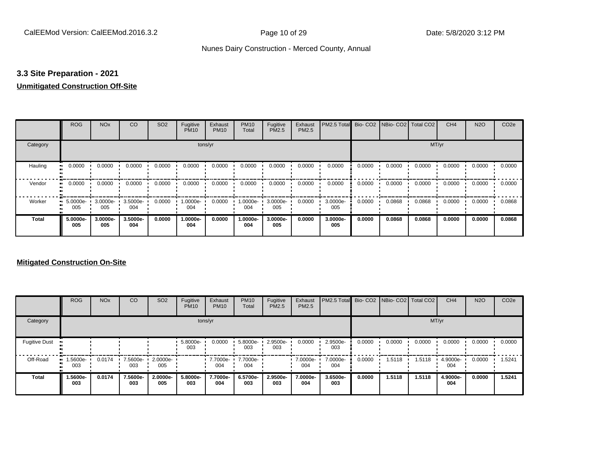#### **3.3 Site Preparation - 2021**

#### **Unmitigated Construction Off-Site**

|                      | <b>ROG</b>                   | <b>NO<sub>x</sub></b> | CO              | SO <sub>2</sub> | Fugitive<br><b>PM10</b> | Exhaust<br><b>PM10</b> | <b>PM10</b><br>Total | Fugitive<br>PM2.5 | Exhaust<br>PM2.5 | PM2.5 Total     |        | Bio- CO2   NBio- CO2   Total CO2 |        | CH <sub>4</sub> | <b>N2O</b> | CO <sub>2e</sub> |  |
|----------------------|------------------------------|-----------------------|-----------------|-----------------|-------------------------|------------------------|----------------------|-------------------|------------------|-----------------|--------|----------------------------------|--------|-----------------|------------|------------------|--|
| Category             | tons/yr                      |                       |                 |                 |                         |                        |                      |                   |                  |                 | MT/yr  |                                  |        |                 |            |                  |  |
| Hauling<br>$\bullet$ | 0.0000                       | 0.0000                | 0.0000          | 0.0000          | 0.0000                  | 0.0000                 | 0.0000               | 0.0000            | 0.0000           | 0.0000          | 0.0000 | 0.0000                           | 0.0000 | 0.0000          | 0.0000     | 0.0000           |  |
| Vendor               | 0.0000<br>$\bullet\bullet$   | 0.0000                | 0.0000          | 0.0000          | 0.0000                  | 0.0000                 | 0.0000               | 0.0000            | 0.0000           | 0.0000          | 0.0000 | 0.0000                           | 0.0000 | 0.0000          | 0.0000     | 0.0000           |  |
| Worker               | 5.0000e-<br>$\bullet$<br>005 | 3.0000e-<br>005       | 3.5000e-<br>004 | 0.0000          | 1.0000e-<br>004         | 0.0000                 | 1.0000e-<br>004      | 3.0000e-<br>005   | 0.0000           | 3.0000e-<br>005 | 0.0000 | 0.0868                           | 0.0868 | 0.0000          | 0.0000     | 0.0868           |  |
| <b>Total</b>         | 5.0000e-<br>005              | 3.0000e-<br>005       | 3.5000e-<br>004 | 0.0000          | 1.0000e-<br>004         | 0.0000                 | 1.0000e-<br>004      | 3.0000e-<br>005   | 0.0000           | 3.0000e-<br>005 | 0.0000 | 0.0868                           | 0.0868 | 0.0000          | 0.0000     | 0.0868           |  |

#### **Mitigated Construction On-Site**

|                      | <b>ROG</b>                     | <b>NO<sub>x</sub></b> | CO              | SO <sub>2</sub> | Fugitive<br><b>PM10</b> | Exhaust<br><b>PM10</b> | <b>PM10</b><br>Total | Fugitive<br>PM2.5 | Exhaust<br>PM2.5 | PM2.5 Total Bio- CO2 NBio- CO2 Total CO2 |        |        |        | CH <sub>4</sub> | <b>N2O</b> | CO <sub>2e</sub> |  |
|----------------------|--------------------------------|-----------------------|-----------------|-----------------|-------------------------|------------------------|----------------------|-------------------|------------------|------------------------------------------|--------|--------|--------|-----------------|------------|------------------|--|
| Category             | tons/yr                        |                       |                 |                 |                         |                        |                      |                   |                  |                                          | MT/yr  |        |        |                 |            |                  |  |
| <b>Fugitive Dust</b> |                                |                       |                 |                 | 5.8000e-<br>003         | 0.0000                 | 5.8000e-<br>003      | 2.9500e-<br>003   | 0.0000           | 2.9500e-<br>003                          | 0.0000 | 0.0000 | 0.0000 | 0.0000          | 0.0000     | 0.0000           |  |
| Off-Road             | $\blacksquare$ 1.5600e-<br>003 | 0.0174                | 7.5600e-<br>003 | 2.0000e-<br>005 |                         | 7.7000e-<br>004        | 7.7000e-<br>004      |                   | 7.0000e-<br>004  | 7.0000e-<br>004                          | 0.0000 | 1.5118 | .5118  | 4.9000e-<br>004 | 0.0000     | 1.5241           |  |
| <b>Total</b>         | 1.5600e-<br>003                | 0.0174                | 7.5600e-<br>003 | 2.0000e-<br>005 | 5.8000e-<br>003         | 7.7000e-<br>004        | 6.5700e-<br>003      | 2.9500e-<br>003   | 7.0000e-<br>004  | 3.6500e-<br>003                          | 0.0000 | 1.5118 | 1.5118 | 4.9000e-<br>004 | 0.0000     | 1.5241           |  |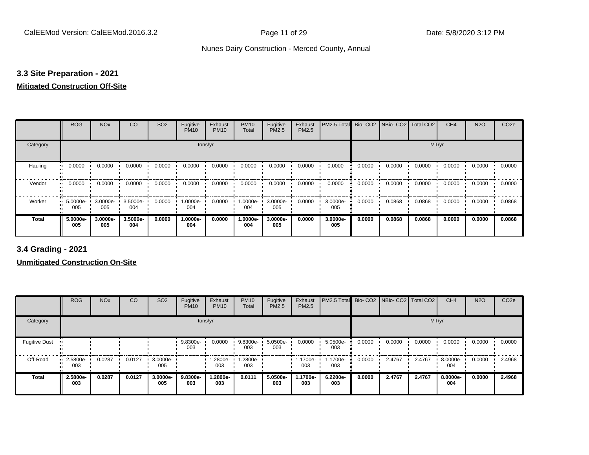### **3.3 Site Preparation - 2021**

### **Mitigated Construction Off-Site**

|                     | <b>ROG</b>      | <b>NO<sub>x</sub></b> | CO              | SO <sub>2</sub> | Fugitive<br><b>PM10</b> | Exhaust<br><b>PM10</b> | <b>PM10</b><br>Total | Fugitive<br>PM2.5 | Exhaust<br>PM2.5 | PM2.5 Total     |        | Bio- CO2   NBio- CO2   Total CO2 |        | CH <sub>4</sub> | <b>N2O</b> | CO <sub>2e</sub> |
|---------------------|-----------------|-----------------------|-----------------|-----------------|-------------------------|------------------------|----------------------|-------------------|------------------|-----------------|--------|----------------------------------|--------|-----------------|------------|------------------|
| Category            |                 |                       |                 |                 | tons/yr                 |                        |                      |                   |                  |                 |        |                                  | MT/yr  |                 |            |                  |
| Hauling             | 0.0000          | 0.0000                | 0.0000          | 0.0000          | 0.0000                  | 0.0000                 | 0.0000               | 0.0000            | 0.0000           | 0.0000          | 0.0000 | 0.0000                           | 0.0000 | 0.0000          | 0.0000     | 0.0000           |
| Vendor<br>$\bullet$ | 0.0000          | 0.0000                | 0.0000          | 0.0000          | 0.0000                  | 0.0000                 | 0.0000               | 0.0000            | 0.0000           | 0.0000          | 0.0000 | 0.0000                           | 0.0000 | 0.0000          | 0.0000     | 0.0000           |
| Worker<br>$\bullet$ | 5.0000e-<br>005 | 3.0000e-<br>005       | 3.5000e-<br>004 | 0.0000          | 1.0000e-<br>004         | 0.0000                 | 1.0000e-<br>004      | 3.0000e-<br>005   | 0.0000           | 3.0000e-<br>005 | 0.0000 | 0.0868                           | 0.0868 | 0.0000          | 0.0000     | 0.0868           |
| <b>Total</b>        | 5.0000e-<br>005 | 3.0000e-<br>005       | 3.5000e-<br>004 | 0.0000          | 1.0000e-<br>004         | 0.0000                 | 1.0000e-<br>004      | 3.0000e-<br>005   | 0.0000           | 3.0000e-<br>005 | 0.0000 | 0.0868                           | 0.0868 | 0.0000          | 0.0000     | 0.0868           |

**3.4 Grading - 2021**

**Unmitigated Construction On-Site**

|                      | <b>ROG</b>         | <b>NO<sub>x</sub></b> | CO     | SO <sub>2</sub>    | Fugitive<br><b>PM10</b> | Exhaust<br><b>PM10</b> | <b>PM10</b><br>Total | Fugitive<br>PM2.5 | Exhaust<br><b>PM2.5</b> | PM2.5 Total     |        | Bio- CO2 NBio- CO2 | Total CO <sub>2</sub> | CH <sub>4</sub> | <b>N2O</b> | CO <sub>2e</sub> |
|----------------------|--------------------|-----------------------|--------|--------------------|-------------------------|------------------------|----------------------|-------------------|-------------------------|-----------------|--------|--------------------|-----------------------|-----------------|------------|------------------|
| Category             |                    |                       |        |                    |                         | tons/yr                |                      |                   |                         |                 |        |                    |                       | MT/yr           |            |                  |
| <b>Fugitive Dust</b> |                    |                       |        |                    | 9.8300e-<br>003         | 0.0000                 | 9.8300e-<br>003      | 5.0500e-<br>003   | 0.0000                  | 5.0500e-<br>003 | 0.0000 | 0.0000             | 0.0000                | 0.0000          | 0.0000     | 0.0000           |
| Off-Road             | $-2.5800e-$<br>003 | 0.0287                | 0.0127 | $3.0000e -$<br>005 |                         | -2800e.<br>003         | 1.2800e-<br>003      |                   | 1.1700e-<br>003         | 1.1700e-<br>003 | 0.0000 | 2.4767             | 2.4767                | 8.0000e-<br>004 | 0.0000     | 2.4968           |
| <b>Total</b>         | 2.5800e-<br>003    | 0.0287                | 0.0127 | 3.0000e-<br>005    | 9.8300e-<br>003         | 1.2800e-<br>003        | 0.0111               | 5.0500e-<br>003   | 1.1700e-<br>003         | 6.2200e-<br>003 | 0.0000 | 2.4767             | 2.4767                | 8.0000e-<br>004 | 0.0000     | 2.4968           |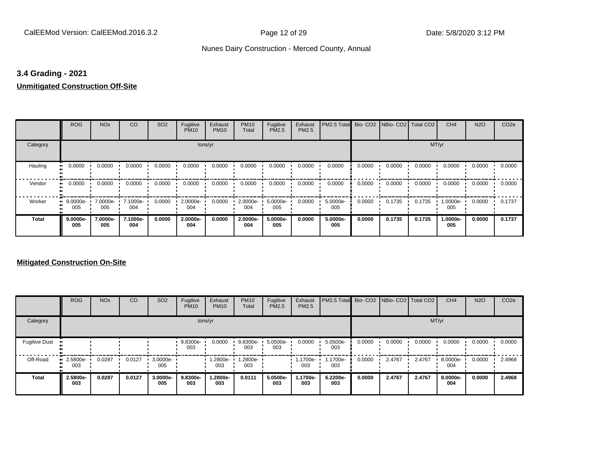### **3.4 Grading - 2021**

# **Unmitigated Construction Off-Site**

|               | <b>ROG</b>                   | <b>NO<sub>x</sub></b> | CO              | SO <sub>2</sub> | Fugitive<br><b>PM10</b> | Exhaust<br><b>PM10</b> | <b>PM10</b><br>Total | Fugitive<br>PM2.5 | Exhaust<br>PM2.5 | PM2.5 Total Bio- CO2 NBio- CO2 Total CO2 |        |        |        | CH <sub>4</sub> | <b>N2O</b> | CO <sub>2e</sub> |
|---------------|------------------------------|-----------------------|-----------------|-----------------|-------------------------|------------------------|----------------------|-------------------|------------------|------------------------------------------|--------|--------|--------|-----------------|------------|------------------|
| Category      |                              |                       |                 |                 | tons/yr                 |                        |                      |                   |                  |                                          |        |        | MT/yr  |                 |            |                  |
| Hauling<br>81 | 0.0000                       | 0.0000                | 0.0000          | 0.0000          | 0.0000                  | 0.0000                 | 0.0000               | 0.0000            | 0.0000           | 0.0000                                   | 0.0000 | 0.0000 | 0.0000 | 0.0000          | 0.0000     | 0.0000           |
| Vendor        | 0.0000<br>$\bullet$          | 0.0000                | 0.0000          | 0.0000          | 0.0000                  | 0.0000                 | 0.0000               | 0.0000            | 0.0000           | 0.0000                                   | 0.0000 | 0.0000 | 0.0000 | 0.0000          | 0.0000     | 0.0000           |
| Worker        | 9.0000e-<br>$\bullet$<br>005 | 7.0000e-<br>005       | 7.1000e-<br>004 | 0.0000          | 2.0000e-<br>004         | 0.0000                 | 2.0000e-<br>004      | 5.0000e-<br>005   | 0.0000           | 5.0000e-<br>005                          | 0.0000 | 0.1735 | 0.1735 | 1.0000e-<br>005 | 0.0000     | 0.1737           |
| <b>Total</b>  | 9.0000e-<br>005              | 7.0000e-<br>005       | 7.1000e-<br>004 | 0.0000          | 2.0000e-<br>004         | 0.0000                 | 2.0000e-<br>004      | 5.0000e-<br>005   | 0.0000           | 5.0000e-<br>005                          | 0.0000 | 0.1735 | 0.1735 | 1.0000e-<br>005 | 0.0000     | 0.1737           |

### **Mitigated Construction On-Site**

|                      | <b>ROG</b>             | <b>NO<sub>x</sub></b> | CO     | SO <sub>2</sub> | Fugitive<br><b>PM10</b> | Exhaust<br><b>PM10</b> | <b>PM10</b><br>Total | Fugitive<br>PM2.5 | Exhaust<br>PM2.5 | <b>PM2.5 Total</b> Bio- CO2 NBio- CO2 Total CO2 |        |        |        | CH <sub>4</sub> | <b>N2O</b> | CO <sub>2e</sub> |
|----------------------|------------------------|-----------------------|--------|-----------------|-------------------------|------------------------|----------------------|-------------------|------------------|-------------------------------------------------|--------|--------|--------|-----------------|------------|------------------|
| Category             |                        |                       |        |                 |                         | tons/yr                |                      |                   |                  |                                                 |        |        | MT/yr  |                 |            |                  |
| <b>Fugitive Dust</b> |                        |                       |        |                 | 9.8300e-<br>003         | 0.0000                 | 9.8300e-<br>003      | 5.0500e-<br>003   | 0.0000           | 5.0500e-<br>003                                 | 0.0000 | 0.0000 | 0.0000 | 0.0000          | 0.0000     | 0.0000           |
| Off-Road             | $-2.5800e-$<br><br>003 | 0.0287                | 0.0127 | 3.0000e-<br>005 |                         | 1.2800e-<br>003        | 1.2800e-<br>003      |                   | 1.1700e-<br>003  | 1.1700e-<br>003                                 | 0.0000 | 2.4767 | 2.4767 | 8.0000e-<br>004 | 0.0000     | 2.4968           |
| <b>Total</b>         | 2.5800e-<br>003        | 0.0287                | 0.0127 | 3.0000e-<br>005 | 9.8300e-<br>003         | 1.2800e-<br>003        | 0.0111               | 5.0500e-<br>003   | 1.1700e-<br>003  | 6.2200e-<br>003                                 | 0.0000 | 2.4767 | 2.4767 | 8.0000e-<br>004 | 0.0000     | 2.4968           |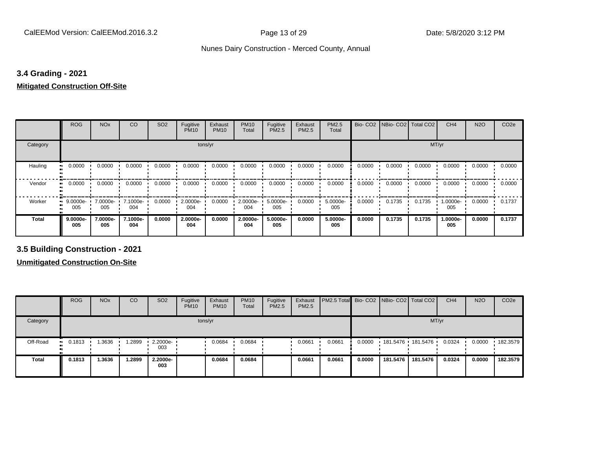### **3.4 Grading - 2021**

### **Mitigated Construction Off-Site**

|                     | <b>ROG</b>        | <b>NO<sub>x</sub></b> | CO              | SO <sub>2</sub> | Fugitive<br><b>PM10</b> | Exhaust<br><b>PM10</b> | <b>PM10</b><br>Total | Fugitive<br><b>PM2.5</b> | Exhaust<br>PM2.5 | PM2.5<br>Total  |        | Bio- CO2 NBio- CO2 Total CO2 |        | CH <sub>4</sub> | <b>N2O</b> | CO <sub>2e</sub> |
|---------------------|-------------------|-----------------------|-----------------|-----------------|-------------------------|------------------------|----------------------|--------------------------|------------------|-----------------|--------|------------------------------|--------|-----------------|------------|------------------|
| Category            |                   |                       |                 |                 | tons/yr                 |                        |                      |                          |                  |                 |        |                              | MT/yr  |                 |            |                  |
| Hauling             | 0.0000<br>        | 0.0000                | 0.0000          | 0.0000          | 0.0000                  | 0.0000                 | 0.0000               | 0.0000                   | 0.0000           | 0.0000          | 0.0000 | 0.0000                       | 0.0000 | 0.0000          | 0.0000     | 0.0000           |
| Vendor<br>$\bullet$ | 0.0000            | 0.0000                | 0.0000          | 0.0000          | 0.0000                  | 0.0000                 | 0.0000               | 0.0000                   | 0.0000           | 0.0000          | 0.0000 | 0.0000                       | 0.0000 | 0.0000          | 0.0000     | 0.0000           |
| Worker              | $9.0000e-$<br>005 | 7.0000e-<br>005       | 7.1000e-<br>004 | 0.0000          | 2.0000e-<br>004         | 0.0000                 | 2.0000e-<br>004      | 5.0000e-<br>005          | 0.0000           | 5.0000e-<br>005 | 0.0000 | 0.1735                       | 0.1735 | 1.0000e-<br>005 | 0.0000     | 0.1737           |
| <b>Total</b>        | 9.0000e-<br>005   | 7.0000e-<br>005       | 7.1000e-<br>004 | 0.0000          | 2.0000e-<br>004         | 0.0000                 | 2.0000e-<br>004      | 5.0000e-<br>005          | 0.0000           | 5.0000e-<br>005 | 0.0000 | 0.1735                       | 0.1735 | 1.0000e-<br>005 | 0.0000     | 0.1737           |

**3.5 Building Construction - 2021**

**Unmitigated Construction On-Site**

|              | <b>ROG</b>          | <b>NO<sub>x</sub></b> | CO     | SO <sub>2</sub>         | Fugitive<br><b>PM10</b> | Exhaust<br><b>PM10</b> | <b>PM10</b><br>Total | Fugitive<br><b>PM2.5</b> | Exhaust<br>PM2.5 | <b>PM2.5 Total</b> Bio- CO2 NBio- CO2   Total CO2 |        |          |                   | CH <sub>4</sub> | <b>N2O</b> | CO <sub>2e</sub> |
|--------------|---------------------|-----------------------|--------|-------------------------|-------------------------|------------------------|----------------------|--------------------------|------------------|---------------------------------------------------|--------|----------|-------------------|-----------------|------------|------------------|
| Category     |                     |                       |        |                         |                         | tons/yr                |                      |                          |                  |                                                   |        |          |                   | MT/yr           |            |                  |
| Off-Road     | 0.1813<br><b>BL</b> | 1.3636                | .2899  | $\cdot$ 2.2000e-<br>003 |                         | 0.0684                 | 0.0684               |                          | 0.0661           | 0.0661                                            | 0.0000 |          | 181.5476 181.5476 | 0.0324          | 0.0000     | 182.3579         |
| <b>Total</b> | 0.1813              | 1.3636                | 1.2899 | 2.2000e-<br>003         |                         | 0.0684                 | 0.0684               |                          | 0.0661           | 0.0661                                            | 0.0000 | 181.5476 | 181.5476          | 0.0324          | 0.0000     | 182.3579         |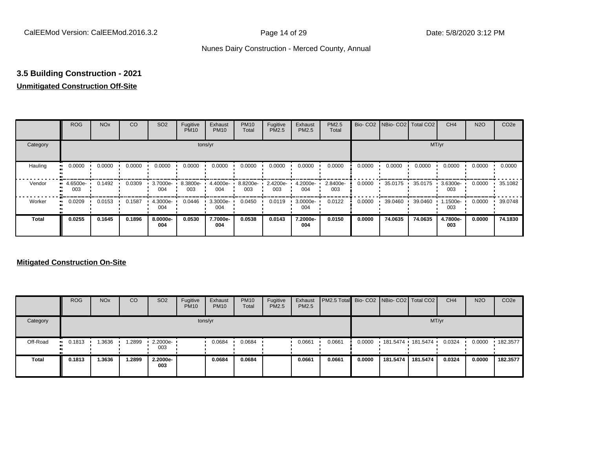# **3.5 Building Construction - 2021**

# **Unmitigated Construction Off-Site**

|          | <b>ROG</b>                        | <b>NO<sub>x</sub></b> | CO     | SO <sub>2</sub> | Fugitive<br><b>PM10</b> | Exhaust<br><b>PM10</b> | <b>PM10</b><br>Total | Fugitive<br><b>PM2.5</b> | Exhaust<br>PM2.5 | <b>PM2.5</b><br>Total |        | Bio- CO2   NBio- CO2   Total CO2 |         | CH <sub>4</sub> | <b>N2O</b> | CO <sub>2e</sub> |
|----------|-----------------------------------|-----------------------|--------|-----------------|-------------------------|------------------------|----------------------|--------------------------|------------------|-----------------------|--------|----------------------------------|---------|-----------------|------------|------------------|
| Category |                                   |                       |        |                 |                         | tons/yr                |                      |                          |                  |                       |        |                                  |         | MT/yr           |            |                  |
| Hauling  | 0.0000<br>œ                       | 0.0000                | 0.0000 | 0.0000          | 0.0000                  | 0.0000                 | 0.0000               | 0.0000                   | 0.0000           | 0.0000                | 0.0000 | 0.0000                           | 0.0000  | 0.0000          | 0.0000     | 0.0000           |
| Vendor   | 4.6500e-<br>$\blacksquare$<br>003 | 0.1492                | 0.0309 | 3.7000e-<br>004 | 8.3800e-<br>003         | 4.4000e<br>004         | 8.8200e-<br>003      | 2.4200e-<br>003          | 4.2000e-<br>004  | 2.8400e-<br>003       | 0.0000 | $35.0175$ $\cdot$                | 35.0175 | 3.6300e-<br>003 | 0.0000     | 35.1082          |
| Worker   | 0.0209<br>$\mathbf{u}$            | 0.0153                | 0.1587 | 4.3000e-<br>004 | 0.0446                  | 3.3000e-<br>004        | 0.0450               | 0.0119                   | 3.0000e-<br>004  | 0.0122                | 0.0000 | 39.0460                          | 39.0460 | 1.1500e-<br>003 | 0.0000     | 39.0748          |
| Total    | 0.0255                            | 0.1645                | 0.1896 | 8.0000e-<br>004 | 0.0530                  | 7.7000e-<br>004        | 0.0538               | 0.0143                   | 7.2000e-<br>004  | 0.0150                | 0.0000 | 74.0635                          | 74.0635 | 4.7800e-<br>003 | 0.0000     | 74.1830          |

### **Mitigated Construction On-Site**

|              | <b>ROG</b>            | <b>NO<sub>x</sub></b> | CO     | SO <sub>2</sub>            | Fugitive<br><b>PM10</b> | Exhaust<br><b>PM10</b> | <b>PM10</b><br>Total | Fugitive<br><b>PM2.5</b> | Exhaust<br><b>PM2.5</b> | PM2.5 Total Bio- CO2 NBio- CO2 Total CO2 |        |                   |          | CH <sub>4</sub> | <b>N2O</b> | CO <sub>2e</sub> |
|--------------|-----------------------|-----------------------|--------|----------------------------|-------------------------|------------------------|----------------------|--------------------------|-------------------------|------------------------------------------|--------|-------------------|----------|-----------------|------------|------------------|
| Category     |                       |                       |        |                            |                         | tons/yr                |                      |                          |                         |                                          |        |                   |          | MT/yr           |            |                  |
| Off-Road     | $\blacksquare$ 0.1813 | .3636                 |        | 1.2899 1 2.2000e- 1<br>003 |                         | 0.0684                 | 0.0684               |                          | 0.0661                  | 0.0661                                   | 0.0000 | 181.5474 181.5474 |          | 0.0324          | 0.0000     | .182.3577        |
| <b>Total</b> | 0.1813                | 1.3636                | 1.2899 | 2.2000e-<br>003            |                         | 0.0684                 | 0.0684               |                          | 0.0661                  | 0.0661                                   | 0.0000 | 181.5474          | 181.5474 | 0.0324          | 0.0000     | 182.3577         |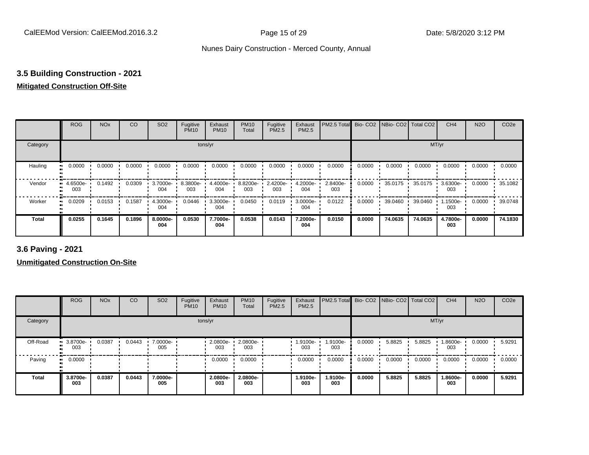# **3.5 Building Construction - 2021**

### **Mitigated Construction Off-Site**

|                      | <b>ROG</b>         | <b>NO<sub>x</sub></b> | CO     | SO <sub>2</sub> | Fugitive<br><b>PM10</b> | Exhaust<br><b>PM10</b> | <b>PM10</b><br>Total | Fugitive<br>PM2.5 | Exhaust<br>PM2.5 | PM2.5 Total     |        | Bio-CO2 NBio-CO2 Total CO2 |         | CH <sub>4</sub> | <b>N2O</b> | CO <sub>2e</sub> |
|----------------------|--------------------|-----------------------|--------|-----------------|-------------------------|------------------------|----------------------|-------------------|------------------|-----------------|--------|----------------------------|---------|-----------------|------------|------------------|
| Category             |                    |                       |        |                 |                         | tons/yr                |                      |                   |                  |                 |        |                            | MT/yr   |                 |            |                  |
| Hauling<br>$\bullet$ | 0.0000             | 0.0000                | 0.0000 | 0.0000          | 0.0000                  | 0.0000                 | 0.0000               | 0.0000            | 0.0000           | 0.0000          | 0.0000 | 0.0000                     | 0.0000  | 0.0000          | 0.0000     | 0.0000           |
| Vendor               | $-4.6500e-$<br>003 | 0.1492                | 0.0309 | 3.7000e-<br>004 | 8.3800e-<br>003         | 4.4000e-<br>004        | 8.8200e-<br>003      | 2.4200e-<br>003   | 4.2000e-<br>004  | 2.8400e-<br>003 | 0.0000 | 35.0175                    | 35.0175 | 3.6300e-<br>003 | 0.0000     | 35.1082          |
| Worker<br>$\bullet$  | 0.0209             | 0.0153                | 0.1587 | 4.3000e-<br>004 | 0.0446                  | 3.3000e-<br>004        | 0.0450               | 0.0119            | 3.0000e-<br>004  | 0.0122          | 0.0000 | 39.0460                    | 39.0460 | 1.1500e-<br>003 | 0.0000     | 39.0748          |
| <b>Total</b>         | 0.0255             | 0.1645                | 0.1896 | 8.0000e-<br>004 | 0.0530                  | 7.7000e-<br>004        | 0.0538               | 0.0143            | 7.2000e-<br>004  | 0.0150          | 0.0000 | 74.0635                    | 74.0635 | 4.7800e-<br>003 | 0.0000     | 74.1830          |

**3.6 Paving - 2021**

**Unmitigated Construction On-Site**

|              | <b>ROG</b>         | <b>NO<sub>x</sub></b> | CO     | SO <sub>2</sub> | Fugitive<br><b>PM10</b> | Exhaust<br><b>PM10</b> | <b>PM10</b><br>Total | Fugitive<br>PM2.5 | Exhaust<br>PM2.5 | <b>PM2.5 Total</b> Bio- CO2 NBio- CO2 Total CO2 |        |        |        | CH <sub>4</sub> | <b>N2O</b> | CO <sub>2e</sub> |
|--------------|--------------------|-----------------------|--------|-----------------|-------------------------|------------------------|----------------------|-------------------|------------------|-------------------------------------------------|--------|--------|--------|-----------------|------------|------------------|
| Category     |                    |                       |        |                 |                         | tons/yr                |                      |                   |                  |                                                 |        |        | MT/yr  |                 |            |                  |
| Off-Road     | $-3.8700e-$<br>003 | 0.0387                | 0.0443 | 7.0000e-<br>005 |                         | 2.0800e-<br>003        | 2.0800e-<br>003      |                   | 1.9100e-<br>003  | 1.9100e-<br>003                                 | 0.0000 | 5.8825 | 5.8825 | 1.8600e-<br>003 | 0.0000     | 5.9291           |
| Paving       | 0.0000<br>ш.       |                       |        |                 |                         | 0.0000                 | 0.0000               |                   | 0.0000           | 0.0000                                          | 0.0000 | 0.0000 | 0.0000 | 0.0000          | 0.0000     | 0.0000           |
| <b>Total</b> | 3.8700e-<br>003    | 0.0387                | 0.0443 | 7.0000e-<br>005 |                         | 2.0800e-<br>003        | 2.0800e-<br>003      |                   | 1.9100e-<br>003  | 1.9100e-<br>003                                 | 0.0000 | 5.8825 | 5.8825 | 1.8600e-<br>003 | 0.0000     | 5.9291           |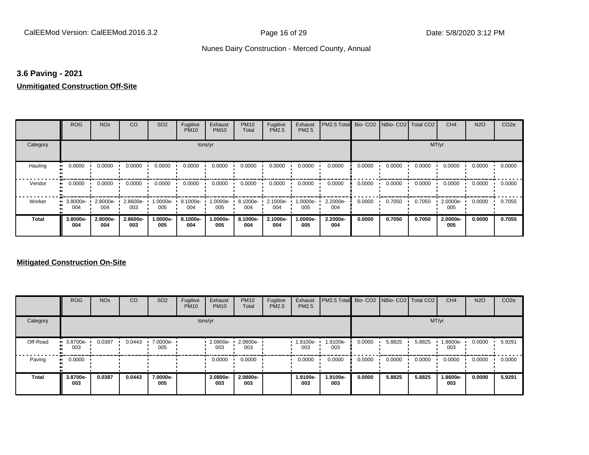### **3.6 Paving - 2021**

### **Unmitigated Construction Off-Site**

|               | <b>ROG</b>          | <b>NO<sub>x</sub></b> | CO              | SO <sub>2</sub> | Fugitive<br><b>PM10</b> | Exhaust<br><b>PM10</b> | <b>PM10</b><br>Total | Fugitive<br><b>PM2.5</b> | Exhaust<br>PM2.5 | PM2.5 Total Bio- CO2 NBio- CO2 Total CO2 |        |        |        | CH <sub>4</sub> | <b>N2O</b> | CO <sub>2e</sub> |
|---------------|---------------------|-----------------------|-----------------|-----------------|-------------------------|------------------------|----------------------|--------------------------|------------------|------------------------------------------|--------|--------|--------|-----------------|------------|------------------|
| Category      |                     |                       |                 |                 | tons/yr                 |                        |                      |                          |                  |                                          |        |        | MT/yr  |                 |            |                  |
| Hauling<br>81 | 0.0000              | 0.0000                | 0.0000          | 0.0000          | 0.0000                  | 0.0000                 | 0.0000               | 0.0000                   | 0.0000           | 0.0000                                   | 0.0000 | 0.0000 | 0.0000 | 0.0000          | 0.0000     | 0.0000           |
| Vendor        | 0.0000<br>$\bullet$ | 0.0000                | 0.0000          | 0.0000          | 0.0000                  | 0.0000                 | 0.0000               | 0.0000                   | 0.0000           | 0.0000                                   | 0.0000 | 0.0000 | 0.0000 | 0.0000          | 0.0000     | 0.0000           |
| Worker        | 3.8000e-<br>004     | 2.8000e-<br>004       | 2.8600e-<br>003 | 1.0000e-<br>005 | 8.1000e-<br>004         | 1.0000e-<br>005        | 8.1000e-<br>004      | 2.1000e-<br>004          | 1.0000e-<br>005  | 2.2000e-<br>004                          | 0.0000 | 0.7050 | 0.7050 | 2.0000e-<br>005 | 0.0000     | 0.7055           |
| <b>Total</b>  | 3.8000e-<br>004     | 2.8000e-<br>004       | 2.8600e-<br>003 | 1.0000e-<br>005 | 8.1000e-<br>004         | 1.0000e-<br>005        | 8.1000e-<br>004      | 2.1000e-<br>004          | -.0000e<br>005   | 2.2000e-<br>004                          | 0.0000 | 0.7050 | 0.7050 | 2.0000e-<br>005 | 0.0000     | 0.7055           |

### **Mitigated Construction On-Site**

|              | <b>ROG</b>         | <b>NO<sub>x</sub></b> | CO     | SO <sub>2</sub> | Fugitive<br><b>PM10</b> | Exhaust<br><b>PM10</b> | <b>PM10</b><br>Total | Fugitive<br>PM2.5 | Exhaust<br>PM2.5 | PM2.5 Total Bio- CO2 NBio- CO2 Total CO2 |        |        |        | CH <sub>4</sub> | <b>N2O</b> | CO <sub>2e</sub> |
|--------------|--------------------|-----------------------|--------|-----------------|-------------------------|------------------------|----------------------|-------------------|------------------|------------------------------------------|--------|--------|--------|-----------------|------------|------------------|
| Category     |                    |                       |        |                 | tons/yr                 |                        |                      |                   |                  |                                          |        |        | MT/yr  |                 |            |                  |
| Off-Road     | $-3.8700e-$<br>003 | 0.0387                | 0.0443 | 7.0000e-<br>005 |                         | 2.0800e-<br>003        | 2.0800e-<br>003      |                   | 1.9100e-<br>003  | 1.9100e-<br>003                          | 0.0000 | 5.8825 | 5.8825 | 1.8600e-<br>003 | 0.0000     | 5.9291           |
| Paving       | 0.0000<br>ш.       |                       |        |                 |                         | 0.0000                 | 0.0000               |                   | 0.0000           | 0.0000                                   | 0.0000 | 0.0000 | 0.0000 | 0.0000          | 0.0000     | 0.0000           |
| <b>Total</b> | 3.8700e-<br>003    | 0.0387                | 0.0443 | 7.0000e-<br>005 |                         | 2.0800e-<br>003        | 2.0800e-<br>003      |                   | 1.9100e-<br>003  | 1.9100e-<br>003                          | 0.0000 | 5.8825 | 5.8825 | 1.8600e-<br>003 | 0.0000     | 5.9291           |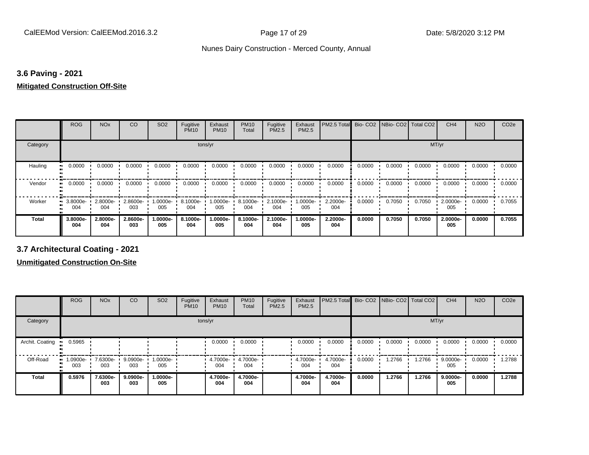### **3.6 Paving - 2021**

### **Mitigated Construction Off-Site**

|          | ROG             | <b>NO<sub>x</sub></b> | CO                 | SO <sub>2</sub> | Fugitive<br><b>PM10</b> | Exhaust<br><b>PM10</b> | <b>PM10</b><br>Total | Fugitive<br><b>PM2.5</b> | Exhaust<br>PM2.5  | PM2.5 Total     |        | Bio-CO2 NBio-CO2 Total CO2 |        | CH <sub>4</sub> | <b>N2O</b> | CO <sub>2e</sub> |
|----------|-----------------|-----------------------|--------------------|-----------------|-------------------------|------------------------|----------------------|--------------------------|-------------------|-----------------|--------|----------------------------|--------|-----------------|------------|------------------|
| Category |                 |                       |                    |                 | tons/yr                 |                        |                      |                          |                   |                 |        |                            | MT/yr  |                 |            |                  |
| Hauling  | 0.0000          | 0.0000                | 0.0000             | 0.0000          | 0.0000                  | 0.0000                 | 0.0000               | 0.0000                   | 0.0000            | 0.0000          | 0.0000 | 0.0000                     | 0.0000 | 0.0000          | 0.0000     | 0.0000           |
| Vendor   | 0.0000          | 0.0000                | 0.0000             | 0.0000          | 0.0000                  | 0.0000                 | 0.0000               | 0.0000                   | 0.0000            | 0.0000          | 0.0000 | 0.0000                     | 0.0000 | 0.0000          | 0.0000     | 0.0000           |
| Worker   | 3.8000e-<br>004 | 2.8000e-<br>004       | $2.8600e -$<br>003 | 1.0000e-<br>005 | 8.1000e-<br>004         | 1.0000e-<br>005        | 8.1000e-<br>004      | 2.1000e-<br>004          | --0000e- I<br>005 | 2.2000e-<br>004 | 0.0000 | 0.7050                     | 0.7050 | 2.0000e-<br>005 | 0.0000     | 0.7055           |
| Total    | 3.8000e-<br>004 | 2.8000e-<br>004       | 2.8600e-<br>003    | -:0000e<br>005  | 8.1000e-<br>004         | 1.0000e-<br>005        | 8.1000e-<br>004      | 2.1000e-<br>004          | .0000e-<br>005    | 2.2000e-<br>004 | 0.0000 | 0.7050                     | 0.7050 | 2.0000e-<br>005 | 0.0000     | 0.7055           |

**3.7 Architectural Coating - 2021**

**Unmitigated Construction On-Site**

|                 | <b>ROG</b>      | <b>NO<sub>x</sub></b> | CO              | SO <sub>2</sub> | Fugitive<br><b>PM10</b> | Exhaust<br><b>PM10</b> | <b>PM10</b><br>Total | Fugitive<br><b>PM2.5</b> | Exhaust<br><b>PM2.5</b> | PM2.5 Total Bio- CO2 NBio- CO2 |        |        | Total CO <sub>2</sub> | CH <sub>4</sub> | <b>N2O</b> | CO <sub>2e</sub> |
|-----------------|-----------------|-----------------------|-----------------|-----------------|-------------------------|------------------------|----------------------|--------------------------|-------------------------|--------------------------------|--------|--------|-----------------------|-----------------|------------|------------------|
| Category        |                 |                       |                 |                 |                         | tons/yr                |                      |                          |                         |                                |        |        | MT/yr                 |                 |            |                  |
| Archit. Coating | 0.5965          |                       |                 |                 |                         | 0.0000                 | 0.0000               |                          | 0.0000                  | 0.0000                         | 0.0000 | 0.0000 | 0.0000                | 0.0000          | 0.0000     | 0.0000           |
| Off-Road        | 1.0900e-<br>003 | 7.6300e-<br>003       | 9.0900e-<br>003 | 1.0000e-<br>005 |                         | 4.7000e-<br>004        | 4.7000e-<br>004      |                          | 4.7000e-<br>004         | 4.7000e-<br>004                | 0.0000 | 1.2766 | 1.2766                | 9.0000e-<br>005 | 0.0000     | 1.2788           |
| <b>Total</b>    | 0.5976          | 7.6300e-<br>003       | 9.0900e-<br>003 | 1.0000e-<br>005 |                         | 4.7000e-<br>004        | 4.7000e-<br>004      |                          | 4.7000e-<br>004         | 4.7000e-<br>004                | 0.0000 | 1.2766 | 1.2766                | 9.0000e-<br>005 | 0.0000     | 1.2788           |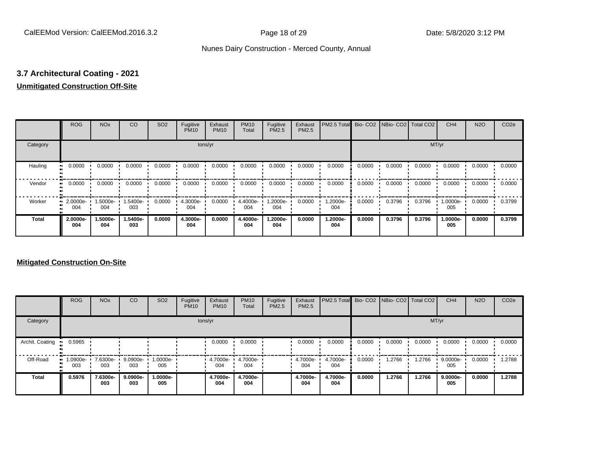# **3.7 Architectural Coating - 2021**

# **Unmitigated Construction Off-Site**

|                      | <b>ROG</b>                   | <b>NO<sub>x</sub></b> | CO              | SO <sub>2</sub> | Fugitive<br><b>PM10</b> | Exhaust<br><b>PM10</b> | <b>PM10</b><br>Total | Fugitive<br>PM2.5 | Exhaust<br>PM2.5 | PM2.5 Total     |        | Bio- CO2   NBio- CO2   Total CO2 |        | CH <sub>4</sub> | <b>N2O</b> | CO <sub>2e</sub> |
|----------------------|------------------------------|-----------------------|-----------------|-----------------|-------------------------|------------------------|----------------------|-------------------|------------------|-----------------|--------|----------------------------------|--------|-----------------|------------|------------------|
| Category             |                              |                       |                 |                 | tons/yr                 |                        |                      |                   |                  |                 |        |                                  | MT/yr  |                 |            |                  |
| Hauling<br>$\bullet$ | 0.0000                       | 0.0000                | 0.0000          | 0.0000          | 0.0000                  | 0.0000                 | 0.0000               | 0.0000            | 0.0000           | 0.0000          | 0.0000 | 0.0000                           | 0.0000 | 0.0000          | 0.0000     | 0.0000           |
| Vendor               | 0.0000<br>$\bullet\bullet$   | 0.0000                | 0.0000          | 0.0000          | 0.0000                  | 0.0000                 | 0.0000               | 0.0000            | 0.0000           | 0.0000          | 0.0000 | 0.0000                           | 0.0000 | 0.0000          | 0.0000     | 0.0000           |
| Worker               | 2.0000e-<br>$\bullet$<br>004 | 1.5000e-<br>004       | 1.5400e-<br>003 | 0.0000          | 4.3000e-<br>004         | 0.0000                 | 4.4000e-<br>004      | -2000e.<br>004    | 0.0000           | 1.2000e-<br>004 | 0.0000 | 0.3796                           | 0.3796 | 1.0000e-<br>005 | 0.0000     | 0.3799           |
| <b>Total</b>         | 2.0000e-<br>004              | 1.5000e-<br>004       | 1.5400e-<br>003 | 0.0000          | 4.3000e-<br>004         | 0.0000                 | 4.4000e-<br>004      | 1.2000e-<br>004   | 0.0000           | 1.2000e-<br>004 | 0.0000 | 0.3796                           | 0.3796 | 1.0000e-<br>005 | 0.0000     | 0.3799           |

### **Mitigated Construction On-Site**

|                 | <b>ROG</b>         | <b>NO<sub>x</sub></b> | CO              | SO <sub>2</sub> | Fugitive<br><b>PM10</b> | Exhaust<br><b>PM10</b> | <b>PM10</b><br>Total | Fugitive<br>PM2.5 | Exhaust<br><b>PM2.5</b> | PM2.5 Total Bio- CO2 NBio- CO2 Total CO2 |        |        |        | CH <sub>4</sub>    | <b>N2O</b> | CO <sub>2e</sub> |
|-----------------|--------------------|-----------------------|-----------------|-----------------|-------------------------|------------------------|----------------------|-------------------|-------------------------|------------------------------------------|--------|--------|--------|--------------------|------------|------------------|
| Category        |                    |                       |                 |                 |                         | tons/yr                |                      |                   |                         |                                          |        |        | MT/yr  |                    |            |                  |
| Archit. Coating | 0.5965             |                       |                 |                 |                         | 0.0000                 | 0.0000               |                   | 0.0000                  | 0.0000                                   | 0.0000 | 0.0000 | 0.0000 | 0.0000             | 0.0000     | 0.0000           |
| Off-Road        | $-1.0900e-$<br>003 | 7.6300e-<br>003       | 9.0900e-<br>003 | 1.0000e-<br>005 |                         | 4.7000e-<br>004        | 4.7000e-<br>004      |                   | 4.7000e-<br>004         | 4.7000e-<br>004                          | 0.0000 | .2766  | 1.2766 | 9.0000e-<br>005    | 0.0000     | 1.2788           |
| <b>Total</b>    | 0.5976             | 7.6300e-<br>003       | 9.0900e-<br>003 | -.0000e<br>005  |                         | 4.7000e-<br>004        | 4.7000e-<br>004      |                   | 4.7000e-<br>004         | 4.7000e-<br>004                          | 0.0000 | 1.2766 | 1.2766 | $9.0000e -$<br>005 | 0.0000     | 1.2788           |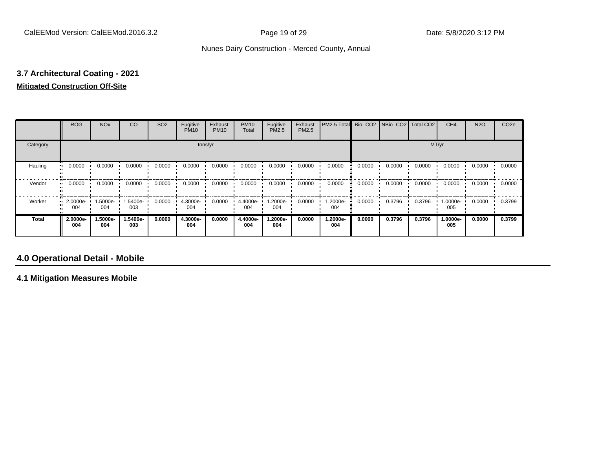# **3.7 Architectural Coating - 2021 Mitigated Construction Off-Site**

|                           | <b>ROG</b>      | <b>NO<sub>x</sub></b> | CO              | SO <sub>2</sub> | Fugitive<br><b>PM10</b> | Exhaust<br><b>PM10</b> | <b>PM10</b><br>Total | Fugitive<br><b>PM2.5</b> | Exhaust<br>PM2.5 | PM2.5 Total     |        | Bio- CO2   NBio- CO2   Total CO2 |        | CH <sub>4</sub> | <b>N2O</b> | CO <sub>2e</sub> |
|---------------------------|-----------------|-----------------------|-----------------|-----------------|-------------------------|------------------------|----------------------|--------------------------|------------------|-----------------|--------|----------------------------------|--------|-----------------|------------|------------------|
| Category                  |                 |                       |                 |                 | tons/yr                 |                        |                      |                          |                  |                 |        |                                  | MT/yr  |                 |            |                  |
| Hauling<br>$\blacksquare$ | 0.0000          | 0.0000                | 0.0000          | 0.0000          | 0.0000                  | 0.0000                 | 0.0000               | 0.0000                   | 0.0000           | 0.0000          | 0.0000 | 0.0000                           | 0.0000 | 0.0000          | 0.0000     | 0.0000           |
| Vendor                    | 0.0000          | 0.0000                | 0.0000          | 0.0000          | 0.0000                  | 0.0000                 | 0.0000               | 0.0000                   | 0.0000           | 0.0000          | 0.0000 | 0.0000                           | 0.0000 | 0.0000          | 0.0000     | 0.0000           |
| Worker                    | 2.0000e-<br>004 | 1.5000e-<br>004       | 1.5400e-<br>003 | 0.0000          | 4.3000e-<br>004         | 0.0000                 | 4.4000e-<br>004      | 1.2000e-<br>004          | 0.0000           | 1.2000e-<br>004 | 0.0000 | 0.3796                           | 0.3796 | 1.0000e-<br>005 | 0.0000     | 0.3799           |
| <b>Total</b>              | 2.0000e-<br>004 | 1.5000e-<br>004       | 1.5400e-<br>003 | 0.0000          | 4.3000e-<br>004         | 0.0000                 | 4.4000e-<br>004      | -2000e.<br>004           | 0.0000           | 1.2000e-<br>004 | 0.0000 | 0.3796                           | 0.3796 | 1.0000e-<br>005 | 0.0000     | 0.3799           |

# **4.0 Operational Detail - Mobile**

**4.1 Mitigation Measures Mobile**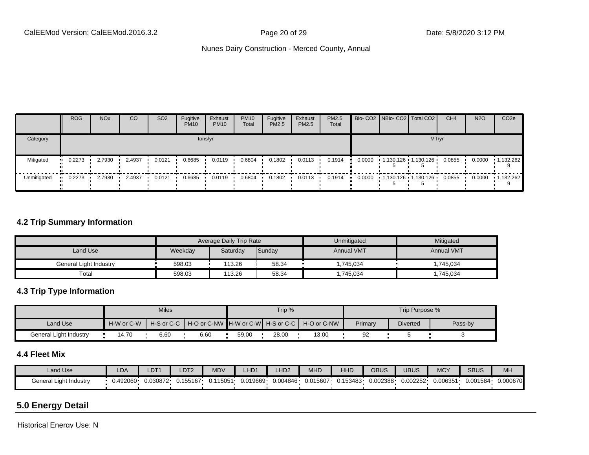|             | <b>ROG</b> | <b>NO<sub>x</sub></b> | CO     | SO <sub>2</sub> | Fugitive<br><b>PM10</b> | Exhaust<br><b>PM10</b> | <b>PM10</b><br>Total | Fugitive<br>PM2.5 | Exhaust<br>PM2.5 | <b>PM2.5</b><br>Total |  | Bio- CO2 NBio- CO2   Total CO2 | CH <sub>4</sub> | <b>N2O</b> | CO <sub>2</sub> e |
|-------------|------------|-----------------------|--------|-----------------|-------------------------|------------------------|----------------------|-------------------|------------------|-----------------------|--|--------------------------------|-----------------|------------|-------------------|
| Category    |            |                       |        |                 |                         | tons/yr                |                      |                   |                  |                       |  | MT/yr                          |                 |            |                   |
| Mitigated   | 0.2273     | 2.7930                | 2.4937 | 0.0121          | 0.6685                  | 0.0119                 | 0.6804               | 0.1802            | 0.0113           | 0.1914                |  | $0.0000$ 1,130.126 1,130.126   | 0.0855          | 0.0000     | $\cdot$ 1,132.262 |
| Unmitigated | 0.2273     | 2.7930                | 2.4937 | 0.0121          | 0.6685                  | 0.0119                 | 0.6804               | 0.1802            | 0.0113           | 0.1914                |  | 0.0000  1,130.126  1,130.126   | 0.0855          | 0.0000     | $-1,132.262$      |

### **4.2 Trip Summary Information**

|                        |         | <b>Average Daily Trip Rate</b> |        | Unmitigated       | Mitigated         |
|------------------------|---------|--------------------------------|--------|-------------------|-------------------|
| Land Use               | Weekday | Saturday                       | Sunday | <b>Annual VMT</b> | <b>Annual VMT</b> |
| General Light Industry | 598.03  | 113.26                         | 58.34  | 1,745,034         | .745.034          |
| Total                  | 598.03  | 113.26                         | 58.34  | ,745,034          | .745,034          |

### **4.3 Trip Type Information**

|                        |            | <b>Miles</b> |                                                                |       | Trip % |       |         | Trip Purpose %  |         |
|------------------------|------------|--------------|----------------------------------------------------------------|-------|--------|-------|---------|-----------------|---------|
| Land Use               | H-W or C-W |              | H-S or C-C ┃ H-O or C-NW ┃H-W or C-W┃ H-S or C-C ┃ H-O or C-NW |       |        |       | Primary | <b>Diverted</b> | Pass-by |
| General Light Industry | 14.70      | 6.60         | 6.60                                                           | 59.00 | 28.00  | 13.00 | 92      |                 |         |

# **4.4 Fleet Mix**

| Land Use               | <b>LDA</b> | LDT <sub>1</sub> | _DT <sub>2</sub> | <b>MDV</b> | HD <sub>1</sub> | LHD <sub>2</sub> | <b>MHD</b> | HHD      | OBUS     | UBUS     | <b>MCY</b>           | <b>SBUS</b> | MH       |
|------------------------|------------|------------------|------------------|------------|-----------------|------------------|------------|----------|----------|----------|----------------------|-------------|----------|
| General Light Industry | ∙492060. ل | 0.030872         | 0.155167         | 0.115051   | 0.019669        | 0.004846         | 0.015607   | 0.153483 | 0.002388 | 0.002252 | 0.00635 <sup>4</sup> | 0.001584    | 0.000670 |

# **5.0 Energy Detail**

Historical Energy Use: N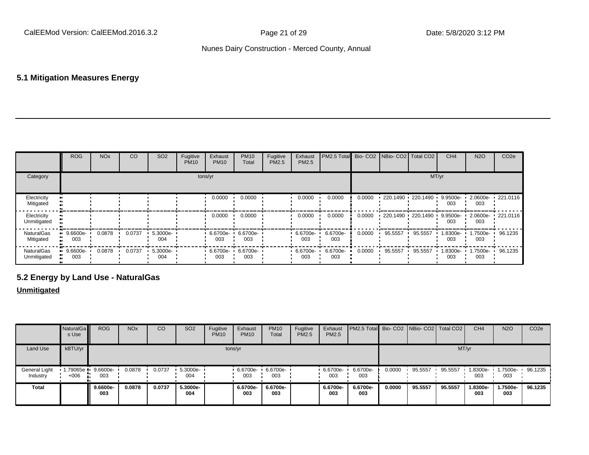### **5.1 Mitigation Measures Energy**

|                            | <b>ROG</b>         | <b>NO<sub>x</sub></b> | CO     | SO <sub>2</sub>    | Fugitive<br><b>PM10</b> | Exhaust<br><b>PM10</b> | <b>PM10</b><br>Total | Fugitive<br>PM2.5 | Exhaust<br>PM2.5 | PM2.5 Total Bio- CO2 NBio- CO2 Total CO2 |        |                        |         | CH <sub>4</sub> | <b>N2O</b>      | CO <sub>2e</sub>  |
|----------------------------|--------------------|-----------------------|--------|--------------------|-------------------------|------------------------|----------------------|-------------------|------------------|------------------------------------------|--------|------------------------|---------|-----------------|-----------------|-------------------|
| Category                   |                    |                       |        |                    |                         | tons/yr                |                      |                   |                  |                                          |        |                        | MT/yr   |                 |                 |                   |
| Electricity<br>Mitigated   |                    |                       |        |                    |                         | 0.0000                 | 0.0000               |                   | 0.0000           | 0.0000                                   | 0.0000 | 220.1490 220.1490      |         | 9.9500e-<br>003 | 2.0600e-<br>003 | $\cdot$ 221.0116  |
| Electricity<br>Unmitigated |                    |                       |        |                    |                         | 0.0000                 | 0.0000               |                   | 0.0000           | 0.0000                                   | 0.0000 | $-220.1490 - 220.1490$ |         | 9.9500e-<br>003 | 003             | 2.0600e- 221.0116 |
| NaturalGas<br>Mitigated    | $-9.6600e-$<br>003 | 0.0878                | 0.0737 | 5.3000e-<br>004    |                         | 6.6700e-<br>003        | 6.6700e-<br>003      |                   | 6.6700e-<br>003  | 6.6700e-<br>003                          | 0.0000 | 95.5557                | 95.5557 | 1.8300e-<br>003 | 1.7500e-<br>003 | 96.1235           |
| NaturalGas<br>Unmitigated  | $-9.6600e-$<br>003 | 0.0878                | 0.0737 | $5.3000e -$<br>004 |                         | 6.6700e-<br>003        | 6.6700e-<br>003      |                   | 6.6700e-<br>003  | 6.6700e-<br>003                          | 0.0000 | 95.5557                | 95.5557 | 1.8300e-<br>003 | .7500e-<br>003  | 96.1235           |

# **5.2 Energy by Land Use - NaturalGas**

### **Unmitigated**

|                                  | NaturalGa<br>s Use | <b>ROG</b>      | <b>NOx</b> | CO     | SO <sub>2</sub> | Fugitive<br><b>PM10</b> | Exhaust<br><b>PM10</b> | <b>PM10</b><br>Total | Fugitive<br>PM2.5 | Exhaust<br>PM2.5 | <b>PM2.5 Total</b> Bio- CO2 NBio- CO2 Total CO2 |        |         |         | CH <sub>4</sub> | <b>N2O</b>      | CO <sub>2e</sub> |
|----------------------------------|--------------------|-----------------|------------|--------|-----------------|-------------------------|------------------------|----------------------|-------------------|------------------|-------------------------------------------------|--------|---------|---------|-----------------|-----------------|------------------|
| <b>Land Use</b>                  | kBTU/yr            |                 |            |        |                 |                         | tons/yr                |                      |                   |                  |                                                 |        |         | MT/yr   |                 |                 |                  |
| <b>General Light</b><br>Industry | $+006$             | 9.6600e-<br>003 | 0.0878     | 0.0737 | 5.3000e-<br>004 |                         | 6.6700e-<br>003        | 6.6700e-<br>003      |                   | 6.6700e-<br>003  | 6.6700e-<br>003                                 | 0.0000 | 95.5557 | 95.5557 | I.8300e-<br>003 | 1.7500e-<br>003 | 96.1235          |
| Total                            |                    | 9.6600e-<br>003 | 0.0878     | 0.0737 | 5.3000e-<br>004 |                         | 6.6700e-<br>003        | 6.6700e-<br>003      |                   | 6.6700e-<br>003  | 6.6700e-<br>003                                 | 0.0000 | 95.5557 | 95.5557 | 1.8300e-<br>003 | 1.7500e-<br>003 | 96.1235          |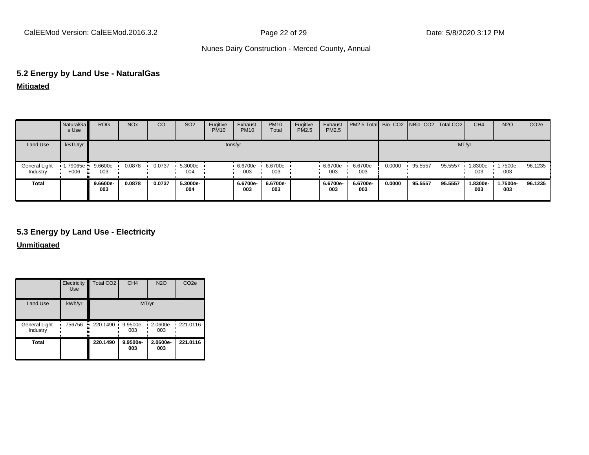# **5.2 Energy by Land Use - NaturalGas**

| Mitigated |  |
|-----------|--|
|           |  |

|                           | NaturalGa<br>s Use   | <b>ROG</b>      | <b>NO<sub>x</sub></b> | CO     | <b>SO2</b>         | Fugitive<br><b>PM10</b> | Exhaust<br><b>PM10</b> | <b>PM10</b><br>Total | Fugitive<br><b>PM2.5</b> | Exhaust<br><b>PM2.5</b> | PM2.5 Total Bio- CO2 NBio- CO2 Total CO2 |        |         |         | CH <sub>4</sub> | <b>N2O</b>      | CO <sub>2e</sub> |
|---------------------------|----------------------|-----------------|-----------------------|--------|--------------------|-------------------------|------------------------|----------------------|--------------------------|-------------------------|------------------------------------------|--------|---------|---------|-----------------|-----------------|------------------|
| Land Use                  | kBTU/yr              |                 |                       |        |                    |                         | tons/yr                |                      |                          |                         |                                          |        |         | MT/yr   |                 |                 |                  |
| General Light<br>Industry | 1.79065e •<br>$+006$ | 9.6600e-<br>003 | 0.0878                | 0.0737 | $5.3000e -$<br>004 |                         | 6.6700e-<br>003        | 6.6700e-<br>003      |                          | 6.6700e-<br>003         | 6.6700e-<br>003                          | 0.0000 | 95.5557 | 95.5557 | 1.8300e-<br>003 | 1.7500e-<br>003 | 96.1235          |
| Total                     |                      | 9.6600e-<br>003 | 0.0878                | 0.0737 | 5.3000e-<br>004    |                         | 6.6700e-<br>003        | 6.6700e-<br>003      |                          | 6.6700e-<br>003         | 6.6700e-<br>003                          | 0.0000 | 95.5557 | 95.5557 | 1.8300e-<br>003 | 1.7500e-<br>003 | 96.1235          |

### **5.3 Energy by Land Use - Electricity**

**Unmitigated**

|                           | Electricity<br><b>Use</b> | Total CO <sub>2</sub>  | CH <sub>4</sub>      | <b>N2O</b>      | CO <sub>2e</sub> |  |  |
|---------------------------|---------------------------|------------------------|----------------------|-----------------|------------------|--|--|
| Land Use                  | kWh/yr                    | MT/yr                  |                      |                 |                  |  |  |
| General Light<br>Industry | 756756                    | $\cdot$ 220.1490<br>۰. | 9.9500e-<br>٠<br>003 | 2.0600e-<br>003 | .221.0116        |  |  |
| Total                     |                           | 220.1490               | 9.9500e-<br>003      | 2.0600e-<br>003 | 221.0116         |  |  |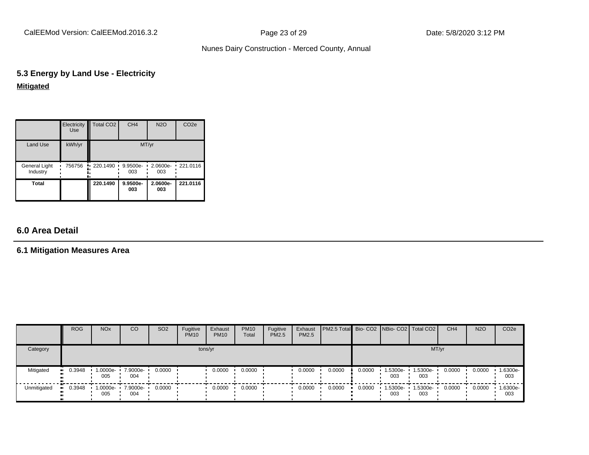CalEEMod Version: CalEEMod.2016.3.2 **Page 23 of 29** Page 23 of 29 Date: 5/8/2020 3:12 PM

### Nunes Dairy Construction - Merced County, Annual

# **5.3 Energy by Land Use - Electricity Mitigated**

|                           | Electricity<br><b>Use</b> | Total CO <sub>2</sub> | CH <sub>4</sub> | <b>N2O</b>      | CO <sub>2e</sub> |  |  |  |
|---------------------------|---------------------------|-----------------------|-----------------|-----------------|------------------|--|--|--|
| Land Use                  | kWh/yr                    | MT/yr                 |                 |                 |                  |  |  |  |
| General Light<br>Industry | 756756                    | $\cdot$ 220.1490      | 9.9500e-<br>003 | 2.0600e-<br>003 | $\cdot$ 221.0116 |  |  |  |
| <b>Total</b>              |                           | 220.1490              | 9.9500e-<br>003 | 2.0600e-<br>003 | 221.0116         |  |  |  |

# **6.0 Area Detail**

# **6.1 Mitigation Measures Area**

|               | <b>ROG</b>            | <b>NO<sub>x</sub></b>      | CO              | SO <sub>2</sub> | Fugitive<br><b>PM10</b> | Exhaust<br><b>PM10</b> | <b>PM10</b><br>Total | Fugitive<br><b>PM2.5</b> | Exhaust<br>PM2.5 | <b>PM2.5 Total Bio- CO2 NBio- CO2   Total CO2  </b> |        |                 |                 | CH <sub>4</sub> | <b>N2O</b> | CO <sub>2</sub> e |
|---------------|-----------------------|----------------------------|-----------------|-----------------|-------------------------|------------------------|----------------------|--------------------------|------------------|-----------------------------------------------------|--------|-----------------|-----------------|-----------------|------------|-------------------|
| Category      |                       |                            |                 |                 | tons/yr                 |                        |                      |                          |                  |                                                     |        |                 |                 | MT/yr           |            |                   |
| Mitigated<br> | $\blacksquare$ 0.3948 | $1.0000e-$<br>005          | 7.9000e-<br>004 | 0.0000          |                         | 0.0000                 | 0.0000               |                          | 0.0000           | 0.0000                                              | 0.0000 | 1.5300e-<br>003 | 1.5300e-<br>003 | 0.0000          | 0.0000     | 1.6300e-<br>003   |
| Unmitigated   | $\blacksquare$ 0.3948 | $1.0000e - 7.9000e$<br>005 | 004             | 0.0000          |                         | 0.0000                 | 0.0000               |                          | 0.0000           | 0.0000                                              | 0.0000 | 1.5300e-<br>003 | 1.5300e-<br>003 | 0.0000          | 0.0000     | 1.6300e-<br>003   |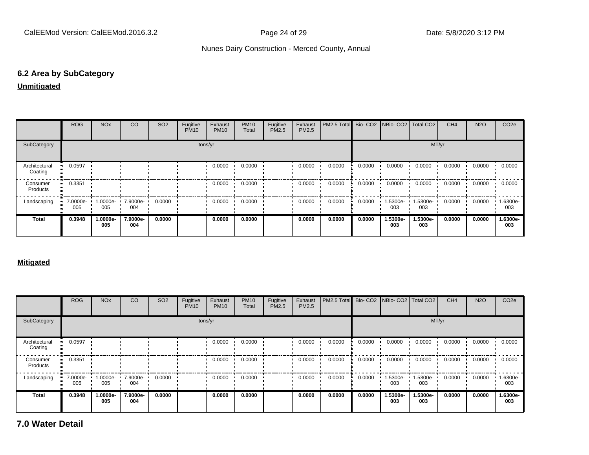### **6.2 Area by SubCategory**

### **Unmitigated**

|                          | <b>ROG</b>                     | <b>NO<sub>x</sub></b>    | CO              | SO <sub>2</sub> | Fugitive<br><b>PM10</b> | Exhaust<br><b>PM10</b> | <b>PM10</b><br>Total | Fugitive<br>PM2.5 | Exhaust<br><b>PM2.5</b> | PM2.5 Total Bio- CO2 NBio- CO2 Total CO2 |        |                 |                 | CH <sub>4</sub> | <b>N2O</b> | CO <sub>2e</sub> |
|--------------------------|--------------------------------|--------------------------|-----------------|-----------------|-------------------------|------------------------|----------------------|-------------------|-------------------------|------------------------------------------|--------|-----------------|-----------------|-----------------|------------|------------------|
| SubCategory              |                                | tons/yr                  |                 |                 |                         |                        |                      |                   |                         | MT/yr                                    |        |                 |                 |                 |            |                  |
| Architectural<br>Coating | 0.0597                         |                          |                 |                 |                         | 0.0000                 | 0.0000               |                   | 0.0000                  | 0.0000                                   | 0.0000 | 0.0000          | 0.0000          | 0.0000          | 0.0000     | 0.0000           |
| Consumer<br>Products     | 0.3351                         |                          |                 |                 |                         | 0.0000                 | 0.0000               |                   | 0.0000                  | 0.0000                                   | 0.0000 | 0.0000          | 0.0000          | 0.0000          | 0.0000     | 0.0000           |
| Landscaping              | $\blacksquare$ 7.0000e-<br>005 | 1.0000e- 7.9000e-<br>005 | 004             | 0.0000          |                         | 0.0000                 | 0.0000               |                   | 0.0000                  | 0.0000                                   | 0.0000 | 1.5300e-<br>003 | 1.5300e-<br>003 | 0.0000          | 0.0000     | 1.6300e-<br>003  |
| <b>Total</b>             | 0.3948                         | 1.0000e-<br>005          | 7.9000e-<br>004 | 0.0000          |                         | 0.0000                 | 0.0000               |                   | 0.0000                  | 0.0000                                   | 0.0000 | 1.5300e-<br>003 | 1.5300e-<br>003 | 0.0000          | 0.0000     | 1.6300e-<br>003  |

### **Mitigated**

|                          | <b>ROG</b>      | <b>NO<sub>x</sub></b> | CO              | SO <sub>2</sub> | Fugitive<br><b>PM10</b> | Exhaust<br><b>PM10</b> | <b>PM10</b><br>Total | Fugitive<br>PM2.5 | Exhaust<br>PM2.5 | PM2.5 Total |        |                 | Bio- CO2 NBio- CO2 Total CO2 | CH <sub>4</sub> | <b>N2O</b> | CO <sub>2e</sub> |
|--------------------------|-----------------|-----------------------|-----------------|-----------------|-------------------------|------------------------|----------------------|-------------------|------------------|-------------|--------|-----------------|------------------------------|-----------------|------------|------------------|
| SubCategory              |                 | tons/yr               |                 |                 |                         |                        |                      |                   | MT/yr            |             |        |                 |                              |                 |            |                  |
| Architectural<br>Coating | 0.0597          |                       |                 |                 |                         | 0.0000                 | 0.0000               |                   | 0.0000           | 0.0000      | 0.0000 | 0.0000          | 0.0000                       | 0.0000          | 0.0000     | 0.0000           |
| Consumer<br>Products     | 0.3351          |                       |                 |                 |                         | 0.0000                 | 0.0000               |                   | 0.0000           | 0.0000      | 0.0000 | 0.0000          | 0.0000                       | 0.0000          | 0.0000     | 0.0000           |
| Landscaping              | 7.0000e-<br>005 | 1.0000e-<br>005       | 7.9000e-<br>004 | 0.0000          |                         | 0.0000                 | 0.0000               |                   | 0.0000           | 0.0000      | 0.0000 | 1.5300e-<br>003 | 1.5300e-<br>003              | 0.0000          | 0.0000     | -6300e-<br>003   |
| <b>Total</b>             | 0.3948          | 1.0000e-<br>005       | 7.9000e-<br>004 | 0.0000          |                         | 0.0000                 | 0.0000               |                   | 0.0000           | 0.0000      | 0.0000 | 1.5300e-<br>003 | 1.5300e-<br>003              | 0.0000          | 0.0000     | 1.6300e-<br>003  |

**7.0 Water Detail**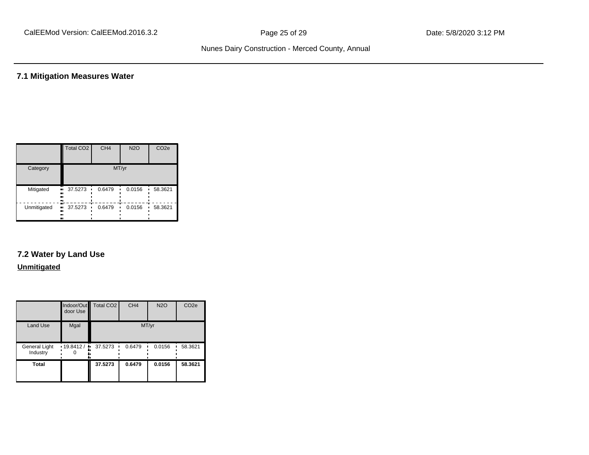# **7.1 Mitigation Measures Water**

|             | Total CO <sub>2</sub>    | CH <sub>4</sub> | <b>N2O</b> | CO <sub>2e</sub> |  |  |  |  |
|-------------|--------------------------|-----------------|------------|------------------|--|--|--|--|
| Category    | MT/yr                    |                 |            |                  |  |  |  |  |
| Mitigated   | 37.5273<br>.,<br><br>    | 0.6479          | 0.0156     | 58.3621          |  |  |  |  |
| Unmitigated | 37.5273<br><br>ш<br><br> | 0.6479          | 0.0156     | 58.3621          |  |  |  |  |

# **7.2 Water by Land Use**

### **Unmitigated**

|                           | door Use                  | Indoor/Out Total CO2 | CH <sub>4</sub> | <b>N2O</b> | CO <sub>2e</sub> |  |  |
|---------------------------|---------------------------|----------------------|-----------------|------------|------------------|--|--|
| <b>Land Use</b>           | Mgal                      | MT/yr                |                 |            |                  |  |  |
| General Light<br>Industry | $\cdot$ 19.8412 / $\cdot$ | 37.5273              | 0.6479          | 0.0156     | 58.3621          |  |  |
| <b>Total</b>              |                           | 37.5273              | 0.6479          | 0.0156     | 58.3621          |  |  |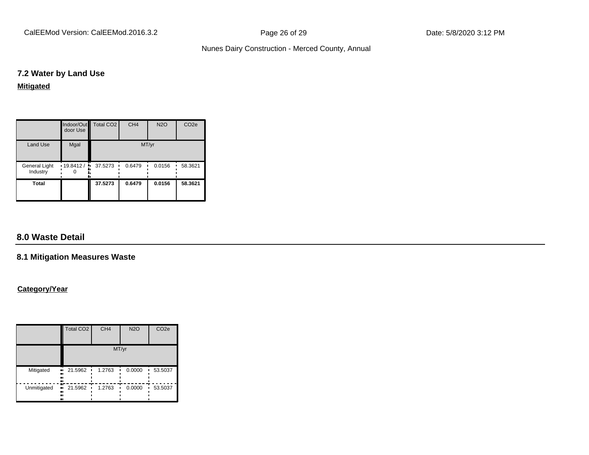CalEEMod Version: CalEEMod.2016.3.2 **Page 26 of 29** Page 26 of 29 Date: 5/8/2020 3:12 PM

### Nunes Dairy Construction - Merced County, Annual

### **7.2 Water by Land Use**

**Mitigated**

|                           | door Use | Indoor/Out   Total CO2 | CH <sub>4</sub> | <b>N2O</b> | CO <sub>2e</sub> |  |  |
|---------------------------|----------|------------------------|-----------------|------------|------------------|--|--|
| Land Use                  | Mgal     | MT/yr                  |                 |            |                  |  |  |
| General Light<br>Industry | 19.8412/ | 37.5273                | 0.6479          | 0.0156     | 58.3621          |  |  |
| <b>Total</b>              |          | 37.5273                | 0.6479          | 0.0156     | 58.3621          |  |  |

# **8.0 Waste Detail**

### **8.1 Mitigation Measures Waste**

### **Category/Year**

|             | Total CO <sub>2</sub>          | CH <sub>4</sub> | <b>N2O</b> | CO <sub>2e</sub> |  |  |  |
|-------------|--------------------------------|-----------------|------------|------------------|--|--|--|
|             | MT/yr                          |                 |            |                  |  |  |  |
| Mitigated   | 21.5962<br>ш<br>٠<br><br><br>  | 1.2763          | 0.0000     | 53.5037          |  |  |  |
| Unmitigated | 21.5962<br>.,<br>٠<br><br><br> | 1.2763          | 0.0000     | 53.5037          |  |  |  |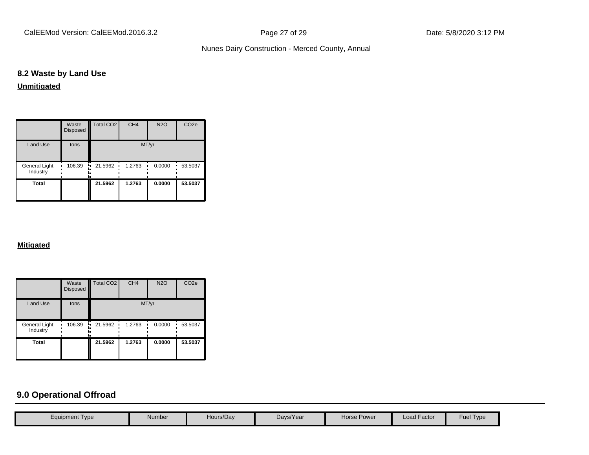### **8.2 Waste by Land Use**

**Unmitigated**

|                           | Waste<br><b>Disposed</b> | Total CO <sub>2</sub> | CH <sub>4</sub> | <b>N2O</b> | CO <sub>2e</sub> |  |  |
|---------------------------|--------------------------|-----------------------|-----------------|------------|------------------|--|--|
| <b>Land Use</b>           | tons                     | MT/yr                 |                 |            |                  |  |  |
| General Light<br>Industry | 106.39                   | 21.5962<br>ш.         | 1.2763          | 0.0000     | 53.5037          |  |  |
| <b>Total</b>              |                          | 21.5962               | 1.2763          | 0.0000     | 53.5037          |  |  |

### **Mitigated**

|                           | Waste<br>Disposed | <b>Total CO2</b> | CH <sub>4</sub> | <b>N2O</b> | CO <sub>2e</sub> |  |  |
|---------------------------|-------------------|------------------|-----------------|------------|------------------|--|--|
| <b>Land Use</b>           | tons              | MT/yr            |                 |            |                  |  |  |
| General Light<br>Industry | 106.39            | 21.5962<br>ш.    | 1.2763          | 0.0000     | 53.5037          |  |  |
| <b>Total</b>              |                   | 21.5962          | 1.2763          | 0.0000     | 53.5037          |  |  |

# **9.0 Operational Offroad**

| Fuel Type<br><b>Load Factor</b><br>Hours/Day<br>Days/Year<br>Horse Power<br>Number<br>Equipment Type |  |  |  |  |
|------------------------------------------------------------------------------------------------------|--|--|--|--|
|                                                                                                      |  |  |  |  |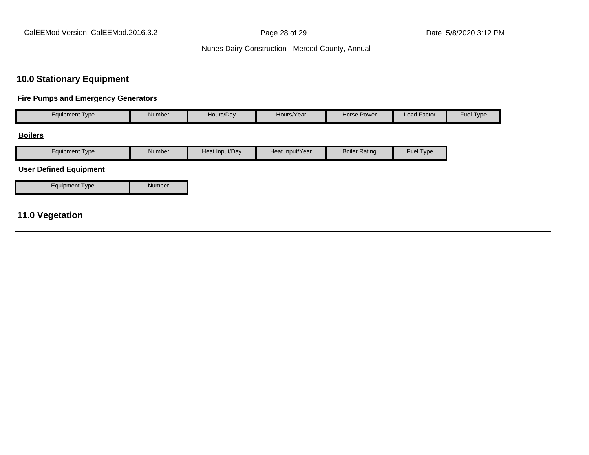# **10.0 Stationary Equipment**

### **Fire Pumps and Emergency Generators**

| <b>Equipment Type</b>         | Number        | Hours/Day      | Hours/Year      | Horse Power          | Load Factor | Fuel Type |
|-------------------------------|---------------|----------------|-----------------|----------------------|-------------|-----------|
| <b>Boilers</b>                |               |                |                 |                      |             |           |
| <b>Equipment Type</b>         | Number        | Heat Input/Day | Heat Input/Year | <b>Boiler Rating</b> | Fuel Type   |           |
| <b>User Defined Equipment</b> |               |                |                 |                      |             |           |
| <b>Equipment Type</b>         | <b>Number</b> |                |                 |                      |             |           |

# **11.0 Vegetation**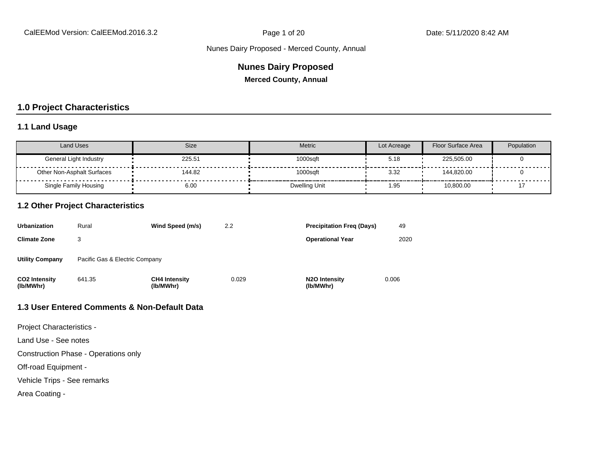### **Nunes Dairy Proposed**

**Merced County, Annual**

### **1.0 Project Characteristics**

### **1.1 Land Usage**

| <b>Land Uses</b>                  | Size   | <b>Metric</b>        | Lot Acreage | Floor Surface Area | Population |
|-----------------------------------|--------|----------------------|-------------|--------------------|------------|
| General Light Industry            | 225.51 | 1000sqft             | 5.18        | 225,505.00         |            |
| <b>Other Non-Asphalt Surfaces</b> | 144.82 | 1000saft             | 3.32        | 144,820.00         |            |
| Single Family Housing             | 6.00   | <b>Dwelling Unit</b> | 1.95        | 10,800.00          |            |

### **1.2 Other Project Characteristics**

| <b>Urbanization</b>               | Rural                          | Wind Speed (m/s)                  | 2.2   | <b>Precipitation Freg (Days)</b>        | 49    |
|-----------------------------------|--------------------------------|-----------------------------------|-------|-----------------------------------------|-------|
| <b>Climate Zone</b>               |                                |                                   |       | <b>Operational Year</b>                 | 2020  |
| <b>Utility Company</b>            | Pacific Gas & Electric Company |                                   |       |                                         |       |
| <b>CO2 Intensity</b><br>(lb/MWhr) | 641.35                         | <b>CH4 Intensity</b><br>(lb/MWhr) | 0.029 | N <sub>2</sub> O Intensity<br>(lb/MWhr) | 0.006 |

### **1.3 User Entered Comments & Non-Default Data**

Project Characteristics -

Land Use - See notes

Construction Phase - Operations only

Off-road Equipment -

Vehicle Trips - See remarks

Area Coating -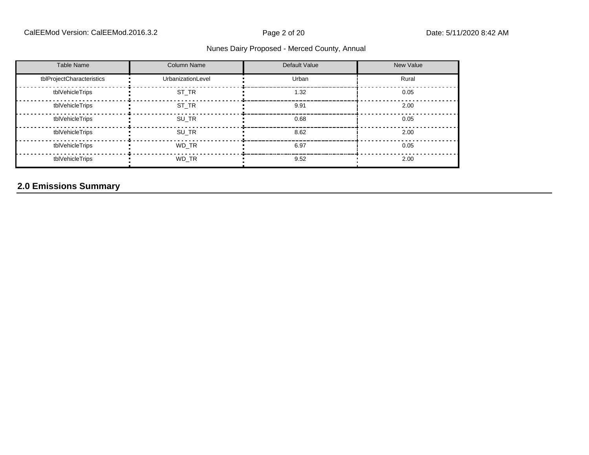### CalEEMod Version: CalEEMod.2016.3.2 **Page 2 of 20** Page 2 of 20 Date: 5/11/2020 8:42 AM

### Nunes Dairy Proposed - Merced County, Annual

| <b>Table Name</b>         | <b>Column Name</b> | Default Value | New Value |
|---------------------------|--------------------|---------------|-----------|
| tblProjectCharacteristics | UrbanizationLevel  | Urban         | Rural     |
| tblVehicleTrips           | ST TR              | 1.32          | 0.05      |
| tblVehicleTrips           | ST TR              | 9.91          | 2.00      |
| tblVehicleTrips           | SU TR              | 0.68          | 0.05      |
| tblVehicleTrips           | SU TR              | 8.62          | 2.00      |
| tblVehicleTrips           | WD TR              | 6.97          | 0.05      |
| tblVehicleTrips           | WD TR              | 9.52          | 2.00      |

# **2.0 Emissions Summary**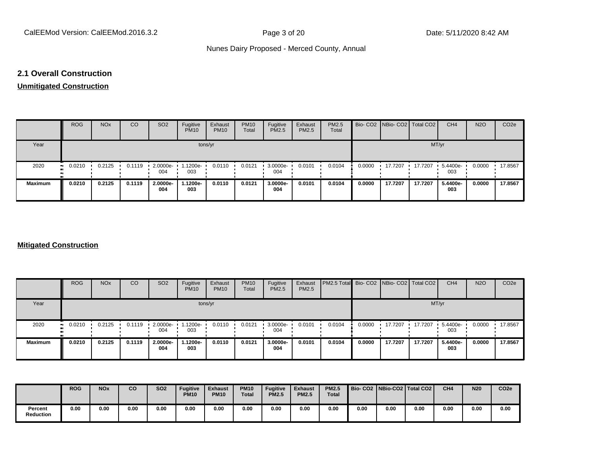### **2.1 Overall Construction**

# **Unmitigated Construction**

|                | <b>ROG</b> | <b>NO<sub>x</sub></b> | CO     | SO <sub>2</sub> | Fugitive<br><b>PM10</b> | Exhaust<br><b>PM10</b> | <b>PM10</b><br>Total | Fugitive<br><b>PM2.5</b> | Exhaust<br>PM2.5 | PM2.5<br>Total |        | Bio- CO2 NBio- CO2 Total CO2 |         | CH <sub>4</sub> | <b>N2O</b> | CO <sub>2e</sub> |
|----------------|------------|-----------------------|--------|-----------------|-------------------------|------------------------|----------------------|--------------------------|------------------|----------------|--------|------------------------------|---------|-----------------|------------|------------------|
| Year           |            |                       |        |                 |                         | tons/yr                |                      |                          |                  |                |        |                              | MT/yr   |                 |            |                  |
| 2020           | 0.0210     | 0.2125                | 0.1119 | 2.0000e-<br>004 | 1.1200e-<br>003         | 0.0110                 | 0.0121               | 3.0000e-<br>004          | 0.0101           | 0.0104         | 0.0000 | 17.7207                      | 17.7207 | 5.4400e-<br>003 | 0.0000     | 17.8567          |
| <b>Maximum</b> | 0.0210     | 0.2125                | 0.1119 | 2.0000e-<br>004 | 1.1200e-<br>003         | 0.0110                 | 0.0121               | 3.0000e-<br>004          | 0.0101           | 0.0104         | 0.0000 | 17.7207                      | 17.7207 | 5.4400e-<br>003 | 0.0000     | 17.8567          |

### **Mitigated Construction**

|                | <b>ROG</b> | <b>NO<sub>x</sub></b> | <b>CO</b> | SO <sub>2</sub>    | Fugitive<br><b>PM10</b> | Exhaust<br><b>PM10</b> | <b>PM10</b><br>Total | Fugitive<br><b>PM2.5</b> | Exhaust<br>PM2.5 | PM2.5 Total Bio- CO2 NBio- CO2   Total CO2 |        |         |         | CH <sub>4</sub> | <b>N2O</b> | CO <sub>2e</sub> |
|----------------|------------|-----------------------|-----------|--------------------|-------------------------|------------------------|----------------------|--------------------------|------------------|--------------------------------------------|--------|---------|---------|-----------------|------------|------------------|
| Year           |            |                       |           |                    |                         | tons/yr                |                      |                          |                  |                                            |        |         | MT/yr   |                 |            |                  |
| 2020           | 0.0210     | 0.2125                | 0.1119    | $-2.0000e-$<br>004 | -1200e-<br>003          | 0.0110                 | 0.0121               | 3.0000e-<br>004          | 0.0101           | 0.0104                                     | 0.0000 | 17.7207 | 17.7207 | 5.4400e-<br>003 | 0.0000     | 17.8567          |
| <b>Maximum</b> | 0.0210     | 0.2125                | 0.1119    | 2.0000e-<br>004    | 1.1200e-<br>003         | 0.0110                 | 0.0121               | 3.0000e-<br>004          | 0.0101           | 0.0104                                     | 0.0000 | 17.7207 | 17.7207 | 5.4400e-<br>003 | 0.0000     | 17.8567          |

|                             | <b>ROG</b> | <b>NOx</b> | co   | <b>SO2</b> | <b>Fugitive</b><br><b>PM10</b> | <b>Exhaust</b><br><b>PM10</b> | <b>PM10</b><br><b>Total</b> | <b>Fugitive</b><br><b>PM2.5</b> | <b>Exhaust</b><br><b>PM2.5</b> | <b>PM2.5</b><br><b>Total</b> |      |      | Bio- CO2   NBio-CO2   Total CO2 | CH <sub>4</sub> | <b>N20</b> | CO <sub>2e</sub> |
|-----------------------------|------------|------------|------|------------|--------------------------------|-------------------------------|-----------------------------|---------------------------------|--------------------------------|------------------------------|------|------|---------------------------------|-----------------|------------|------------------|
| Percent<br><b>Reduction</b> | 0.00       | 0.00       | 0.00 | 0.00       | 0.00                           | 0.00                          | 0.00                        | 0.00                            | 0.00                           | 0.00                         | 0.00 | 0.00 | 0.00                            | 0.00            | 0.00       | 0.00             |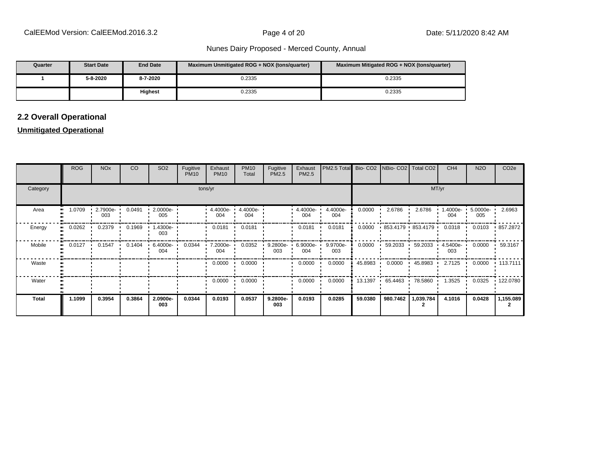| Quarter | <b>Start Date</b> | <b>End Date</b> | Maximum Unmitigated ROG + NOX (tons/quarter) | Maximum Mitigated ROG + NOX (tons/guarter) |
|---------|-------------------|-----------------|----------------------------------------------|--------------------------------------------|
|         | 5-8-2020          | 8-7-2020        | 0.2335                                       | 0.2335                                     |
|         |                   | Highest         | 0.2335                                       | 0.2335                                     |

# **2.2 Overall Operational**

### **Unmitigated Operational**

|              | ROG                   | <b>NO<sub>x</sub></b> | CO     | SO <sub>2</sub> | Fugitive<br><b>PM10</b> | Exhaust<br><b>PM10</b> | <b>PM10</b><br>Total | Fugitive<br>PM2.5  | Exhaust<br>PM2.5   | PM2.5 Total Bio- CO2 NBio- CO2 |         |                                 | Total CO <sub>2</sub>                     | CH <sub>4</sub>  | <b>N2O</b>      | CO <sub>2</sub> e |
|--------------|-----------------------|-----------------------|--------|-----------------|-------------------------|------------------------|----------------------|--------------------|--------------------|--------------------------------|---------|---------------------------------|-------------------------------------------|------------------|-----------------|-------------------|
| Category     |                       |                       |        |                 |                         | tons/yr                |                      |                    |                    |                                |         |                                 | MT/yr                                     |                  |                 |                   |
| Area         | 1.0709                | 2.7900e-<br>003       | 0.0491 | 2.0000e-<br>005 |                         | 4.4000e-<br>004        | 4.4000e-<br>004      |                    | 4.4000e-<br>004    | 4.4000e-<br>004                | 0.0000  | 2.6786                          | 2.6786                                    | 1.4000e-<br>004  | 5.0000e-<br>005 | 2.6963            |
| Energy       | 0.0262                | 0.2379                | 0.1969 | .4300e-<br>003  |                         | 0.0181                 | 0.0181               |                    | 0.0181             | 0.0181                         | 0.0000  |                                 | $\cdot$ 853.4179 $\cdot$ 853.4179 $\cdot$ | 0.0318           | 0.0103          | 857.2872          |
| Mobile       | $\blacksquare$ 0.0127 | 0.1547                | 0.1404 | 6.4000e-<br>004 | 0.0344                  | 7.2000e-<br>004        | 0.0352               | $9.2800e -$<br>003 | $6.9000e -$<br>004 | 9.9700e-<br>003                | 0.0000  | $\cdot$ 59.2033 $\cdot$ 59.2033 | . .                                       | 4.5400e ·<br>003 | 0.0000          | 59.3167           |
| Waste        |                       |                       |        |                 |                         | 0.0000                 | 0.0000               |                    | 0.0000             | 0.0000                         | 45.8983 | 0.0000                          | 45.8983                                   | 2.7125           | 0.0000          | $+ 113.7111$      |
| Water        |                       |                       |        |                 |                         | 0.0000                 | 0.0000               |                    | 0.0000             | 0.0000                         | 13.1397 | $+65.4463 + 78.5860$            |                                           | 1.3525           | 0.0325          | $\cdot$ 122.0780  |
| <b>Total</b> | 1.1099                | 0.3954                | 0.3864 | 2.0900e-<br>003 | 0.0344                  | 0.0193                 | 0.0537               | 9.2800e-<br>003    | 0.0193             | 0.0285                         | 59.0380 | 980.7462                        | 1,039.784                                 | 4.1016           | 0.0428          | 1,155.089         |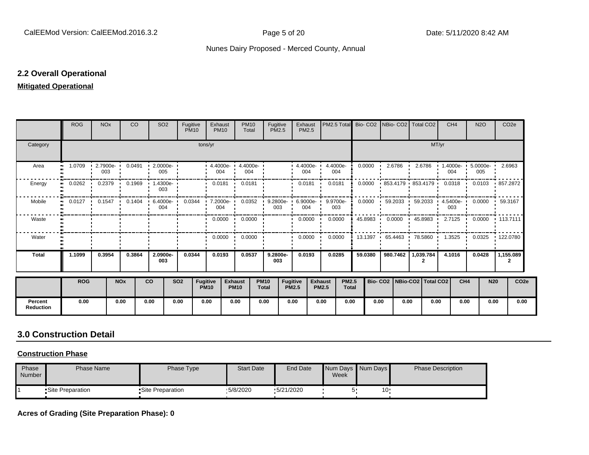### **2.2 Overall Operational**

### **Mitigated Operational**

|                             | <b>ROG</b>          | <b>NO<sub>x</sub></b>       |                       | <b>CO</b> | SO <sub>2</sub>                                                          | Fugitive<br><b>PM10</b> |                         | Exhaust<br><b>PM10</b> | <b>PM10</b><br>Total                     | Fugitive<br><b>PM2.5</b>    |                                 | Exhaust<br>PM2.5           |                                | PM2.5 Total Bio- CO2 NBio- CO2 Total CO2 |         |                                 |                   |                |           | CH <sub>4</sub>  |                 | <b>N2O</b> | CO <sub>2e</sub>                                                        |                  |
|-----------------------------|---------------------|-----------------------------|-----------------------|-----------|--------------------------------------------------------------------------|-------------------------|-------------------------|------------------------|------------------------------------------|-----------------------------|---------------------------------|----------------------------|--------------------------------|------------------------------------------|---------|---------------------------------|-------------------|----------------|-----------|------------------|-----------------|------------|-------------------------------------------------------------------------|------------------|
| Category                    |                     |                             |                       |           |                                                                          |                         | tons/yr                 |                        |                                          |                             |                                 |                            |                                |                                          |         |                                 |                   |                | MT/yr     |                  |                 |            |                                                                         |                  |
| Area                        | 1.0709<br>$\bullet$ | 2.7900e-<br>003             |                       | 0.0491    | $-2.0000e-$<br>005                                                       |                         |                         | 004                    | $\cdot$ 4.4000e- $\cdot$ 4.4000e-<br>004 |                             |                                 | $4.4000e - 4.4000e$<br>004 |                                | 004                                      | 0.0000  |                                 | 2.6786            | 2.6786         |           | 004              |                 | 005        | 1.4000e- 5.0000e- 2.6963                                                |                  |
| Energy                      | 0.0262              | 0.2379                      |                       | 0.1969    | 1.4300e-<br>003                                                          |                         |                         | $0.0181$ $\cdot$       | 0.0181                                   |                             |                                 | 0.0181                     |                                | 0.0181                                   | 0.0000  |                                 | 853.4179 853.4179 |                |           | 0.0318           |                 | 0.0103     | ▪ 857.2872                                                              |                  |
| Mobile                      | 0.0127<br>$\bullet$ | $0.1547$ $\cdot$<br>$\cdot$ |                       |           | 0.1404 6.4000e- 0.0344 7.2000e- 0.0352 9.2800e- 6.9000e- 9.9700e-<br>004 |                         |                         | 004                    |                                          | 003                         |                                 | 004                        |                                | 003                                      | 0.0000  |                                 |                   |                |           | 003              |                 |            | $\cdot$ 59.2033 $\cdot$ 59.2033 $\cdot$ 4.5400e- 0.0000 $\cdot$ 59.3167 |                  |
| Waste                       |                     |                             |                       |           |                                                                          |                         |                         |                        | $0.0000$ $\cdot$ 0.0000 $\cdot$          |                             |                                 | $0.0000$ $\cdot$           |                                | 0.0000                                   | 45.8983 | . .                             |                   |                |           |                  |                 |            | $0.0000$ $\cdot$ 45.8983 $\cdot$ 2.7125 $\cdot$ 0.0000 $\cdot$ 113.7111 |                  |
| Water                       |                     |                             |                       |           |                                                                          |                         |                         |                        | $0.0000$ $\cdot$ 0.0000                  |                             |                                 | 0.0000                     |                                | 0.0000                                   |         | 13.1397 65.4463 '               |                   |                | 78.5860 · | $1.3525$ $\cdot$ |                 |            | $0.0325$ $\cdot$ 122.0780                                               |                  |
| <b>Total</b>                | 1.1099              | 0.3954                      |                       | 0.3864    | 2.0900e-<br>003                                                          | 0.0344                  |                         | 0.0193                 | 0.0537                                   | 9.2800e-<br>003             |                                 | 0.0193                     |                                | 0.0285                                   | 59.0380 |                                 | 980.7462          | 1,039.784<br>2 |           | 4.1016           |                 | 0.0428     | 1,155.089<br>2                                                          |                  |
|                             | <b>ROG</b>          |                             | <b>NO<sub>x</sub></b> |           | <b>CO</b>                                                                | <b>SO2</b>              | Fugitive<br><b>PM10</b> |                        | <b>Exhaust</b><br><b>PM10</b>            | <b>PM10</b><br><b>Total</b> | <b>Fugitive</b><br><b>PM2.5</b> |                            | <b>Exhaust</b><br><b>PM2.5</b> | <b>PM2.5</b><br><b>Total</b>             |         | Bio- CO2   NBio-CO2   Total CO2 |                   |                |           |                  | CH <sub>4</sub> | <b>N20</b> |                                                                         | CO <sub>2e</sub> |
| Percent<br><b>Reduction</b> | 0.00                |                             | 0.00                  |           | 0.00                                                                     | 0.00                    | 0.00                    |                        | 0.00                                     | 0.00                        | 0.00                            |                            | 0.00                           | 0.00                                     |         | 0.00                            | 0.00              |                | 0.00      |                  | 0.00            | 0.00       |                                                                         | 0.00             |

# **3.0 Construction Detail**

### **Construction Phase**

| Phase<br>Number | Phase Name        | Phase Type        | <b>Start Date</b> | <b>End Date</b> | Week | Num Days Num Days | <b>Phase Description</b> |
|-----------------|-------------------|-------------------|-------------------|-----------------|------|-------------------|--------------------------|
|                 | •Site Preparation | •Site Preparation | .5/8/2020         | \$5/21/2020     |      | 10·               |                          |

**Acres of Grading (Site Preparation Phase): 0**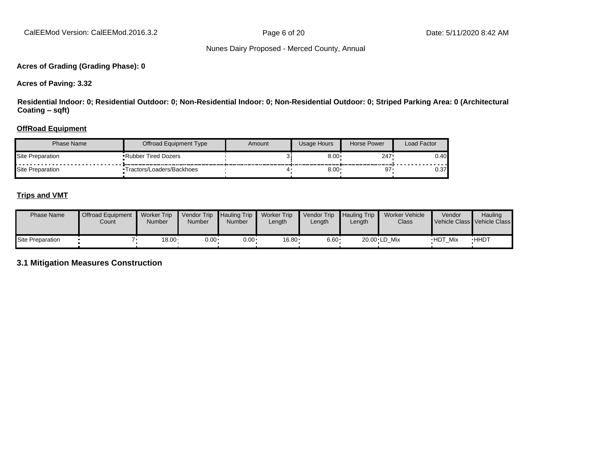### **Acres of Grading (Grading Phase): 0**

**Acres of Paving: 3.32**

**Residential Indoor: 0; Residential Outdoor: 0; Non-Residential Indoor: 0; Non-Residential Outdoor: 0; Striped Parking Area: 0 (Architectural Coating ±sqft)**

### **OffRoad Equipment**

| Phase Name       | Offroad Equipment Type     | Amount | Usage Hours | Horse Power | Load Factor |
|------------------|----------------------------|--------|-------------|-------------|-------------|
| Site Preparation | <b>Rubber Tired Dozers</b> |        | 8.00        | 247.        | 0.40        |
| Site Preparation | Tractors/Loaders/Backhoes  |        | $8.00*$     | 97          | 0.37        |

### **Trips and VMT**

| <b>Phase Name</b> | <b>Offroad Equipment</b><br>Count | <b>Worker Trip</b><br>Number | <b>Vendor Trip</b><br><b>Number</b> | <b>Hauling Trip</b><br>Number | <b>Worker Trip</b><br>Length | Vendor Trip<br>$L$ ength | <b>Hauling Trip</b><br>∟ength | Worker Vehicle<br>Class | Vendor         | <b>Hauling</b><br>Vehicle Class Vehicle Class |
|-------------------|-----------------------------------|------------------------------|-------------------------------------|-------------------------------|------------------------------|--------------------------|-------------------------------|-------------------------|----------------|-----------------------------------------------|
| Site Preparation  |                                   | $18.00 \cdot$                | $0.00 \cdot$                        | $0.00 \cdot$                  | $16.80 \cdot$                | $6.60 \cdot$             |                               | 20.00 LD Mix            | <b>HDT Mix</b> | <b>HHDT</b>                                   |

**3.1 Mitigation Measures Construction**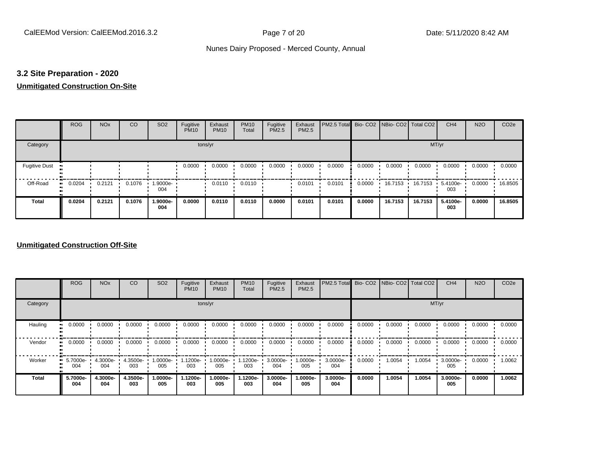### **3.2 Site Preparation - 2020**

### **Unmitigated Construction On-Site**

|                      | <b>ROG</b>   | <b>NO<sub>x</sub></b> | CO     | SO <sub>2</sub> | Fugitive<br><b>PM10</b> | Exhaust<br><b>PM10</b> | <b>PM10</b><br>Total | Fugitive<br><b>PM2.5</b> | Exhaust<br>PM2.5 | PM2.5 Total Bio- CO2 NBio- CO2 Total CO2 |        |         |         | CH <sub>4</sub> | <b>N2O</b> | CO <sub>2e</sub> |
|----------------------|--------------|-----------------------|--------|-----------------|-------------------------|------------------------|----------------------|--------------------------|------------------|------------------------------------------|--------|---------|---------|-----------------|------------|------------------|
| Category             |              |                       |        |                 | tons/yr                 |                        |                      |                          |                  |                                          |        |         | MT/yr   |                 |            |                  |
| <b>Fugitive Dust</b> |              |                       |        |                 | 0.0000                  | 0.0000                 | 0.0000               | 0.0000                   | 0.0000           | 0.0000                                   | 0.0000 | 0.0000  | 0.0000  | 0.0000          | 0.0000     | 0.0000           |
| Off-Road             | 0.0204<br>ш. | 0.2121                | 0.1076 | 1.9000e-<br>004 |                         | 0.0110                 | 0.0110               |                          | 0.0101           | 0.0101                                   | 0.0000 | 16.7153 | 16.7153 | 5.4100e-<br>003 | 0.0000     | 16.8505          |
| <b>Total</b>         | 0.0204       | 0.2121                | 0.1076 | 1.9000e-<br>004 | 0.0000                  | 0.0110                 | 0.0110               | 0.0000                   | 0.0101           | 0.0101                                   | 0.0000 | 16.7153 | 16.7153 | 5.4100e-<br>003 | 0.0000     | 16.8505          |

### **Unmitigated Construction Off-Site**

|              | <b>ROG</b>      | <b>NO<sub>x</sub></b> | CO              | SO <sub>2</sub> | Fugitive<br><b>PM10</b> | Exhaust<br><b>PM10</b> | <b>PM10</b><br>Total | Fugitive<br><b>PM2.5</b> | Exhaust<br>PM2.5 | PM2.5 Total Bio- CO2 NBio- CO2 Total CO2 |        |        |        | CH <sub>4</sub> | <b>N2O</b> | CO <sub>2e</sub> |
|--------------|-----------------|-----------------------|-----------------|-----------------|-------------------------|------------------------|----------------------|--------------------------|------------------|------------------------------------------|--------|--------|--------|-----------------|------------|------------------|
| Category     |                 |                       |                 |                 |                         | tons/yr                |                      |                          |                  |                                          |        |        |        | MT/yr           |            |                  |
| Hauling      | 0.0000          | 0.0000                | 0.0000          | 0.0000          | 0.0000                  | 0.0000                 | 0.0000               | 0.0000                   | 0.0000           | 0.0000                                   | 0.0000 | 0.0000 | 0.0000 | 0.0000          | 0.0000     | 0.0000           |
| Vendor       | 0.0000          | 0.0000                | 0.0000          | 0.0000          | 0.0000                  | 0.0000                 | 0.0000               | 0.0000                   | 0.0000           | 0.0000                                   | 0.0000 | 0.0000 | 0.0000 | 0.0000          | 0.0000     | 0.0000           |
| Worker       | 5.7000e-<br>004 | 4.3000e-<br>004       | 4.3500e-<br>003 | -:0000e<br>005  | 1.1200e-<br>003         | 1.0000e-<br>005        | $1.1200e-$<br>003    | 3.0000e-<br>004          | 1.0000e-<br>005  | 3.0000e-<br>004                          | 0.0000 | 1.0054 | 1.0054 | 3.0000e-<br>005 | 0.0000     | 1.0062           |
| <b>Total</b> | 5.7000e-<br>004 | 4.3000e-<br>004       | 4.3500e-<br>003 | .0000e-<br>005  | 1.1200e-<br>003         | 1.0000e-<br>005        | 1.1200e-<br>003      | 3.0000e-<br>004          | 1.0000e-<br>005  | 3.0000e-<br>004                          | 0.0000 | 1.0054 | 1.0054 | 3.0000e-<br>005 | 0.0000     | 1.0062           |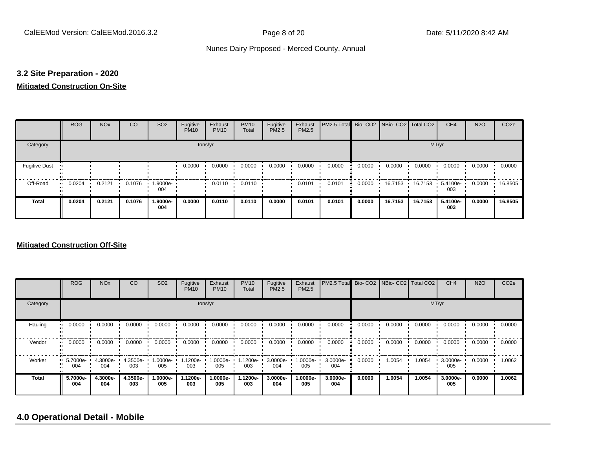### **3.2 Site Preparation - 2020**

### **Mitigated Construction On-Site**

|                           | <b>ROG</b>   | <b>NO<sub>x</sub></b> | CO     | SO <sub>2</sub> | Fugitive<br><b>PM10</b> | Exhaust<br><b>PM10</b> | <b>PM10</b><br>Total | Fugitive<br>PM2.5 | Exhaust<br>PM2.5 | PM2.5 Total |        | Bio- CO2 NBio- CO2 Total CO2 |         | CH <sub>4</sub> | <b>N2O</b> | CO <sub>2</sub> e |
|---------------------------|--------------|-----------------------|--------|-----------------|-------------------------|------------------------|----------------------|-------------------|------------------|-------------|--------|------------------------------|---------|-----------------|------------|-------------------|
| Category                  |              |                       |        |                 | tons/yr                 |                        |                      |                   |                  |             |        |                              | MT/yr   |                 |            |                   |
| <b>Fugitive Dust</b><br>ш |              |                       |        |                 | 0.0000                  | 0.0000                 | 0.0000               | 0.0000            | 0.0000           | 0.0000      | 0.0000 | 0.0000                       | 0.0000  | 0.0000          | 0.0000     | 0.0000            |
| Off-Road                  | 0.0204<br>ш. | 0.2121                | 0.1076 | 1.9000e-<br>004 |                         | 0.0110                 | 0.0110               |                   | 0.0101           | 0.0101      | 0.0000 | 16.7153                      | 16.7153 | 5.4100e-<br>003 | 0.0000     | 16.8505           |
| <b>Total</b>              | 0.0204       | 0.2121                | 0.1076 | 1.9000e-<br>004 | 0.0000                  | 0.0110                 | 0.0110               | 0.0000            | 0.0101           | 0.0101      | 0.0000 | 16.7153                      | 16.7153 | 5.4100e-<br>003 | 0.0000     | 16.8505           |

### **Mitigated Construction Off-Site**

|              | <b>ROG</b>                     | <b>NO<sub>x</sub></b> | CO              | SO <sub>2</sub> | Fugitive<br><b>PM10</b> | Exhaust<br><b>PM10</b> | <b>PM10</b><br>Total | Fugitive<br><b>PM2.5</b> | Exhaust<br>PM2.5 | PM2.5 Total     |        | Bio- CO2   NBio- CO2   Total CO2 |        | CH <sub>4</sub> | <b>N2O</b> | CO <sub>2e</sub> |
|--------------|--------------------------------|-----------------------|-----------------|-----------------|-------------------------|------------------------|----------------------|--------------------------|------------------|-----------------|--------|----------------------------------|--------|-----------------|------------|------------------|
| Category     |                                |                       |                 |                 |                         | tons/yr                |                      |                          |                  |                 |        |                                  |        | MT/yr           |            |                  |
| Hauling      | 0.0000                         | 0.0000                | 0.0000          | 0.0000          | 0.0000                  | 0.0000                 | 0.0000               | 0.0000                   | 0.0000           | 0.0000          | 0.0000 | 0.0000                           | 0.0000 | 0.0000          | 0.0000     | 0.0000           |
| Vendor       | 0.0000<br>                     | 0.0000                | 0.0000          | 0.0000          | 0.0000                  | 0.0000                 | 0.0000               | 0.0000                   | 0.0000           | 0.0000          | 0.0000 | 0.0000                           | 0.0000 | 0.0000          | 0.0000     | 0.0000           |
| Worker       | $\blacksquare$ 5.7000e-<br>004 | 4.3000e-<br>004       | 4.3500e-<br>003 | -.0000e<br>005  | 1.1200e-<br>003         | 1.0000e-<br>005        | 1.1200e-<br>003      | 3.0000e-<br>004          | 1.0000e-<br>005  | 3.0000e-<br>004 | 0.0000 | 1.0054                           | 1.0054 | 3.0000e-<br>005 | 0.0000     | 1.0062           |
| <b>Total</b> | 5.7000e-<br>004                | 4.3000e-<br>004       | 4.3500e-<br>003 | -.0000e<br>005  | 1.1200e-<br>003         | 1.0000e-<br>005        | 1.1200e-<br>003      | 3.0000e-<br>004          | 1.0000e-<br>005  | 3.0000e-<br>004 | 0.0000 | 1.0054                           | 1.0054 | 3.0000e-<br>005 | 0.0000     | 1.0062           |

# **4.0 Operational Detail - Mobile**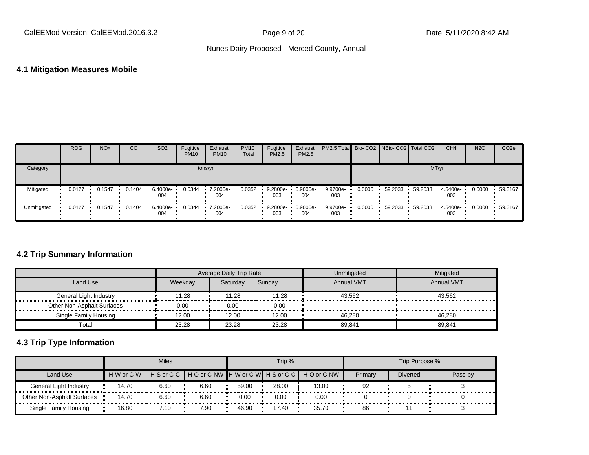### **4.1 Mitigation Measures Mobile**

|             | <b>ROG</b> | <b>NO<sub>x</sub></b> | CO               | SO <sub>2</sub>   | Fugitive<br><b>PM10</b> | Exhaust<br><b>PM10</b> | <b>PM10</b><br>Total | Fugitive<br><b>PM2.5</b> | Exhaust<br><b>PM2.5</b> | <b>PM2.5 Total</b> Bio- CO2 NBio- CO2   Total CO2 |        |         |         | CH <sub>4</sub> | <b>N2O</b> | CO <sub>2e</sub> |
|-------------|------------|-----------------------|------------------|-------------------|-------------------------|------------------------|----------------------|--------------------------|-------------------------|---------------------------------------------------|--------|---------|---------|-----------------|------------|------------------|
| Category    |            |                       |                  |                   | tons/yr                 |                        |                      |                          |                         |                                                   |        |         | MT/yr   |                 |            |                  |
| Mitigated   | 0.0127     | 0.1547                | $0.1404$ $\cdot$ | 6.4000e-<br>004   | 0.0344                  | 7.2000e-<br>004        | 0.0352               | 9.2800e-<br>003          | 6.9000e-<br>004         | 9.9700e-<br>003                                   | 0.0000 | 59.2033 | 59.2033 | 4.5400e-<br>003 | 0.0000     | 59.3167          |
| Unmitigated | 0.0127     | 0.1547                | 0.1404           | $6.4000e-$<br>004 | 0.0344                  | 7.2000e-<br>004        | 0.0352               | 9.2800e-<br>003          | 6.9000e-<br>004         | 9.9700e-<br>003                                   | 0.0000 | 59.2033 | 59.2033 | 4.5400e-<br>003 | 0.0000     | 59.3167          |

# **4.2 Trip Summary Information**

|                            |         | Average Daily Trip Rate |        | Unmitigated       | Mitigated         |
|----------------------------|---------|-------------------------|--------|-------------------|-------------------|
| Land Use                   | Weekdav | Saturdav                | Sunday | <b>Annual VMT</b> | <b>Annual VMT</b> |
| General Light Industry     | 11.28   | 11.28                   | 11.28  | 43.562            | 43.562            |
| Other Non-Asphalt Surfaces | 0.00    | 0.00                    | 0.00   |                   |                   |
| Single Family Housing      | 12.00   | 12.00                   | 12.00  | 46.280            | 46.280            |
| Total                      | 23.28   | 23.28                   | 23.28  | 89,841            | 89,841            |

# **4.3 Trip Type Information**

|                                   |            | <b>Miles</b>    |                                                                  |       | Trip % |       |         | Trip Purpose %  |         |
|-----------------------------------|------------|-----------------|------------------------------------------------------------------|-------|--------|-------|---------|-----------------|---------|
| Land Use                          | H-W or C-W |                 | H-S or C-C   H-O or C-NW   H-W or C-W   H-S or C-C   H-O or C-NW |       |        |       | Primary | <b>Diverted</b> | Pass-by |
| General Light Industry            | 14.70      | 6.60            | 6.60                                                             | 59.00 | 28.00  | 13.00 | 92      |                 |         |
| <b>Other Non-Asphalt Surfaces</b> | 14.70      | 6.60            | 6.60                                                             | 0.00  | 0.00   | 0.00  |         |                 |         |
| Single Family Housing             | 16.80      | $\therefore$ 10 | 7.90                                                             | 46.90 | 17.40  | 35.70 | 86      |                 |         |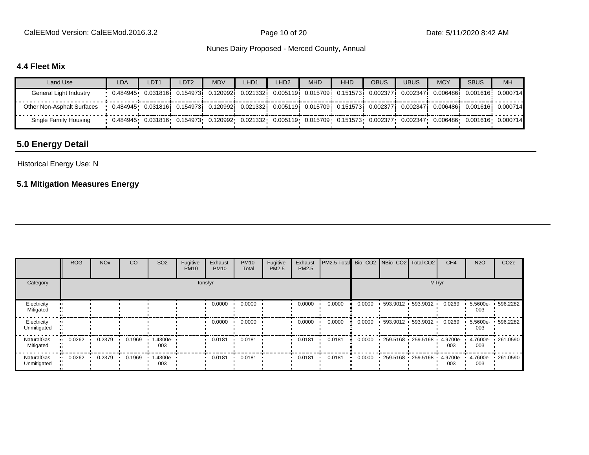CalEEMod Version: CalEEMod.2016.3.2 **Page 10 of 20** Page 10 of 20 Date: 5/11/2020 8:42 AM

Nunes Dairy Proposed - Merced County, Annual

# **4.4 Fleet Mix**

| Land Use                   | <b>LDA</b>                                                                                                                         | LDT <sub>1</sub> | LDT <sub>2</sub> | <b>MDV</b> | LHD1 | LHD2 | <b>MHD</b> | <b>HHD</b> | <b>OBUS</b> | <b>UBUS</b> | <b>MCY</b> | <b>SBUS</b> | <b>MH</b> |
|----------------------------|------------------------------------------------------------------------------------------------------------------------------------|------------------|------------------|------------|------|------|------------|------------|-------------|-------------|------------|-------------|-----------|
| General Light Industry     | • 0.484945• 0.031816; 0.154973; 0.120992; 0.021332; 0.005119; 0.015709; 0.151573; 0.002377; 0.002347; 0.006486; 0.001616; 0.000714 |                  |                  |            |      |      |            |            |             |             |            |             |           |
| Other Non-Asphalt Surfaces | • 0.484945• 0.031816  0.154973  0.120992  0.021332  0.005119  0.015709  0.151573  0.002377  0.002347  0.006486  0.001616  0.000714 |                  |                  |            |      |      |            |            |             |             |            |             |           |
| Single Family Housing      | • 0.484945• 0.031816• 0.154973• 0.120992• 0.021332• 0.005119• 0.015709• 0.151573• 0.002377• 0.002347• 0.006486• 0.001616• 0.000714 |                  |                  |            |      |      |            |            |             |             |            |             |           |

# **5.0 Energy Detail**

### Historical Energy Use: N

# **5.1 Mitigation Measures Energy**

|                                | <b>ROG</b> | <b>NO<sub>x</sub></b> | CO     | SO <sub>2</sub>    | Fugitive<br><b>PM10</b> | Exhaust<br><b>PM10</b> | <b>PM10</b><br>Total | Fugitive<br>PM2.5 | Exhaust<br>PM2.5 | PM2.5 Total Bio- CO2 NBio- CO2 Total CO2 |        |                                    |                     | CH <sub>4</sub> | <b>N2O</b>      | CO <sub>2e</sub>  |
|--------------------------------|------------|-----------------------|--------|--------------------|-------------------------|------------------------|----------------------|-------------------|------------------|------------------------------------------|--------|------------------------------------|---------------------|-----------------|-----------------|-------------------|
| Category                       |            |                       |        |                    |                         | tons/yr                |                      |                   |                  |                                          |        |                                    | MT/yr               |                 |                 |                   |
| Electricity<br>Mitigated       |            |                       |        |                    |                         | 0.0000                 | 0.0000               |                   | 0.0000           | 0.0000                                   | 0.0000 |                                    | 593.9012 593.9012   | 0.0269          | 5.5600e-<br>003 | .596.2282         |
| Electricity<br>Unmitigated     |            |                       |        |                    |                         | 0.0000                 | 0.0000               |                   | 0.0000           | 0.0000                                   | 0.0000 |                                    | 593.9012 593.9012 ' | 0.0269          | 5.5600e-<br>003 | 596.2282          |
| <b>NaturalGas</b><br>Mitigated | 0.0262     | 0.2379                | 0.1969 | 1.4300e-<br>003    |                         | 0.0181                 | 0.0181               |                   | 0.0181           | 0.0181                                   | 0.0000 | $259.5168$ 259.5168                |                     | 4.9700e-<br>003 | 003             | 4.7600e- 261.0590 |
| NaturalGas<br>Unmitigated      | 0.0262     | 0.2379                | 0.1969 | $1.4300e -$<br>003 |                         | 0.0181                 | 0.0181               |                   | 0.0181           | 0.0181                                   | 0.0000 | $-259.5168 - 259.5168 - 4.9700e -$ |                     | 003             | 003             | 4.7600e- 261.0590 |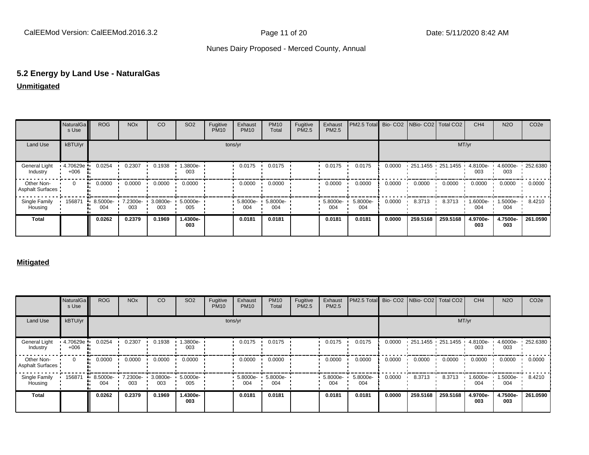# **5.2 Energy by Land Use - NaturalGas**

# **Unmitigated**

|                                       | <b>NaturalGa</b><br>s Use | <b>ROG</b>      | <b>NO<sub>x</sub></b> | CO              | SO <sub>2</sub> | Fugitive<br><b>PM10</b> | Exhaust<br><b>PM10</b> | <b>PM10</b><br>Total | Fugitive<br>PM2.5 | Exhaust<br>PM2.5   | PM2.5 Total Bio- CO2 NBio- CO2 Total CO2 |        |                        |          | CH <sub>4</sub> | <b>N2O</b>      | CO <sub>2e</sub>    |
|---------------------------------------|---------------------------|-----------------|-----------------------|-----------------|-----------------|-------------------------|------------------------|----------------------|-------------------|--------------------|------------------------------------------|--------|------------------------|----------|-----------------|-----------------|---------------------|
| Land Use                              | kBTU/yr                   |                 |                       |                 |                 |                         | tons/yr                |                      |                   |                    |                                          |        |                        | MT/yr    |                 |                 |                     |
| General Light<br>Industry             | 4.70629e<br>$+006$        | 0.0254          | 0.2307                | 0.1938          | 1.3800e-<br>003 |                         | 0.0175                 | 0.0175               |                   | 0.0175             | 0.0175                                   | 0.0000 | $-251.1455 - 251.1455$ |          | 4.8100e-<br>003 | 003             | 4.6000e- 1 252.6380 |
| Other Non-<br><b>Asphalt Surfaces</b> | $\mathbf{0}$<br>          | 0.0000          | 0.0000                | 0.0000          | 0.0000          |                         | 0.0000                 | 0.0000               |                   | 0.0000             | 0.0000                                   | 0.0000 | 0.0000                 | 0.0000   | 0.0000          | 0.0000          | 0.0000              |
| Single Family<br>Housing              | 156871                    | 8.5000e-<br>004 | 7.2300e-<br>003       | 3.0800e-<br>003 | 5.0000e-<br>005 |                         | $-5.8000e-$<br>004     | 5.8000e-<br>004      |                   | $-5.8000e-$<br>004 | 5.8000e-<br>004                          | 0.0000 | 8.3713                 | 8.3713   | 1.6000e-<br>004 | 1.5000e-<br>004 | 8.4210              |
| <b>Total</b>                          |                           | 0.0262          | 0.2379                | 0.1969          | 1.4300e-<br>003 |                         | 0.0181                 | 0.0181               |                   | 0.0181             | 0.0181                                   | 0.0000 | 259.5168               | 259.5168 | 4.9700e-<br>003 | 4.7500e-<br>003 | 261.0590            |

### **Mitigated**

|                                       | NaturalGa<br>s Use | <b>ROG</b>              | <b>NO<sub>x</sub></b> | CO              | SO <sub>2</sub> | Fugitive<br><b>PM10</b> | Exhaust<br><b>PM10</b>                   | <b>PM10</b><br>Total | Fugitive<br>PM2.5 | Exhaust<br>PM2.5   | PM2.5 Total Bio- CO2 NBio- CO2 Total CO2 |        |                   |          | CH <sub>4</sub> | <b>N2O</b>      | CO <sub>2e</sub> |
|---------------------------------------|--------------------|-------------------------|-----------------------|-----------------|-----------------|-------------------------|------------------------------------------|----------------------|-------------------|--------------------|------------------------------------------|--------|-------------------|----------|-----------------|-----------------|------------------|
| Land Use                              | kBTU/yr            |                         |                       |                 |                 |                         | tons/yr                                  |                      |                   |                    |                                          |        |                   |          | MT/yr           |                 |                  |
| General Light<br>Industry             | 4.70629e<br>$+006$ | 0.0254                  | 0.2307                | 0.1938          | .3800e-<br>003  |                         | 0.0175                                   | 0.0175               |                   | 0.0175             | 0.0175                                   | 0.0000 | 251.1455 251.1455 |          | 4.8100e-<br>003 | 4.6000e-<br>003 | $\cdot$ 252.6380 |
| Other Non-<br><b>Asphalt Surfaces</b> | $\mathbf{0}$       | 0.0000                  | 0.0000                | 0.0000          | 0.0000          |                         | 0.0000                                   | 0.0000               |                   | 0.0000             | 0.0000                                   | 0.0000 | 0.0000            | 0.0000   | 0.0000          | 0.0000          | 0.0000           |
| Single Family<br>Housing              | 156871             | $\cdot$ 8.5000e-<br>004 | 7.2300e-<br>003       | 3.0800e-<br>003 | 5.0000e-<br>005 |                         | $\cdot$ 5.8000e- $\cdot$ 5.8000e-<br>004 | 004                  |                   | $-5.8000e-$<br>004 | 5.8000e-<br>004                          | 0.0000 | 8.3713            | 8.3713   | 1.6000e-<br>004 | 1.5000e-<br>004 | 8.4210           |
| <b>Total</b>                          |                    | 0.0262                  | 0.2379                | 0.1969          | 1.4300e-<br>003 |                         | 0.0181                                   | 0.0181               |                   | 0.0181             | 0.0181                                   | 0.0000 | 259.5168          | 259.5168 | 4.9700e-<br>003 | 4.7500e-<br>003 | 261.0590         |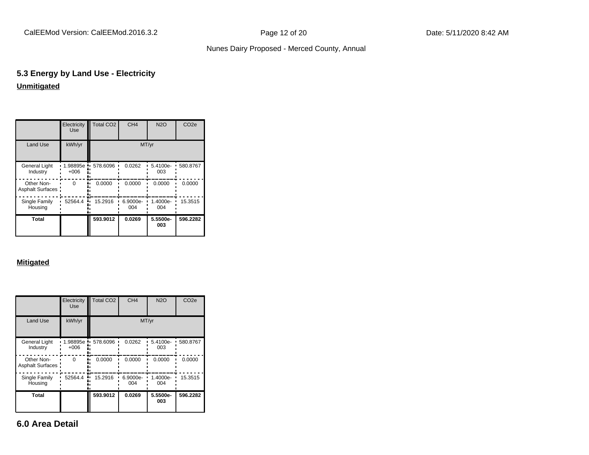# **5.3 Energy by Land Use - Electricity Unmitigated**

|                                       | Electricity<br><b>Use</b> | <b>Total CO2</b> | CH <sub>4</sub> | <b>N2O</b>      | CO <sub>2e</sub> |
|---------------------------------------|---------------------------|------------------|-----------------|-----------------|------------------|
| <b>Land Use</b>                       | kWh/yr                    |                  |                 | MT/yr           |                  |
| <b>General Light</b><br>Industry      | 1.98895e<br>$+006$        | 578.6096         | 0.0262          | 5.4100e-<br>003 | 580.8767         |
| Other Non-<br><b>Asphalt Surfaces</b> | $\Omega$                  | 0.0000           | 0.0000          | 0.0000          | 0.0000           |
| Single Family<br>Housing              | 52564.4                   | 15.2916          | 6.9000e-<br>004 | 1.4000e-<br>004 | 15.3515          |
| Total                                 |                           | 593.9012         | 0.0269          | 5.5500e-<br>003 | 596.2282         |

### **Mitigated**

|                                       | Electricity<br>Use | <b>Total CO2</b> | CH <sub>4</sub> | <b>N2O</b>      | CO <sub>2e</sub> |
|---------------------------------------|--------------------|------------------|-----------------|-----------------|------------------|
| <b>Land Use</b>                       | kWh/yr             |                  |                 | MT/yr           |                  |
| <b>General Light</b><br>Industry      | 1.98895e<br>$+006$ | 578.6096         | 0.0262          | 5.4100e-<br>003 | 580.8767         |
| Other Non-<br><b>Asphalt Surfaces</b> | $\Omega$           | 0.0000           | 0.0000          | 0.0000          | 0.0000           |
| Single Family<br>Housing              | 52564.4            | 15.2916          | 6.9000e-<br>004 | 1.4000e-<br>004 | 15.3515          |
| Total                                 |                    | 593.9012         | 0.0269          | 5.5500e-<br>003 | 596.2282         |

**6.0 Area Detail**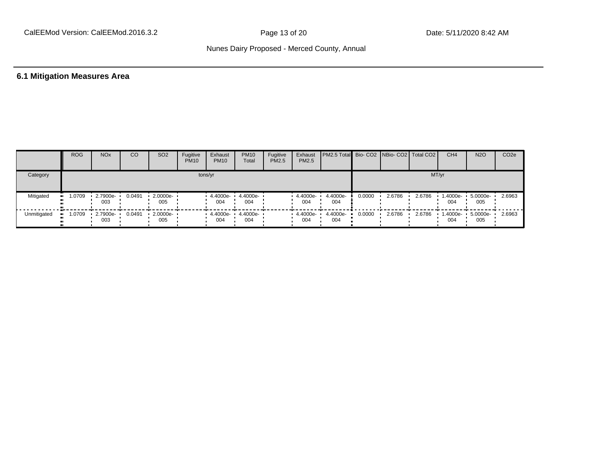# **6.1 Mitigation Measures Area**

|             | <b>ROG</b>             | <b>NO<sub>x</sub></b>           | CO     | SO <sub>2</sub>    | Fugitive<br><b>PM10</b> | Exhaust<br><b>PM10</b>                         | <b>PM10</b><br>Total | Fugitive<br><b>PM2.5</b> | Exhaust<br>PM2.5   | <b>PM2.5 Total</b> Bio- CO2 NBio- CO2   Total CO2 |        |        |        | CH <sub>4</sub> | <b>N2O</b>               | CO <sub>2</sub> e |
|-------------|------------------------|---------------------------------|--------|--------------------|-------------------------|------------------------------------------------|----------------------|--------------------------|--------------------|---------------------------------------------------|--------|--------|--------|-----------------|--------------------------|-------------------|
| Category    |                        |                                 |        |                    |                         | tons/yr                                        |                      |                          |                    |                                                   |        |        |        | MT/yr           |                          |                   |
| Mitigated   | 1.0709<br>             | 2.7900e-<br>003                 | 0.0491 | 2.0000e ·<br>005   |                         | 4.4000e- ·<br>004                              | 4.4000e-<br>004      |                          | 4.4000e-<br>004    | 4.4000e-<br>004                                   | 0.0000 | 2.6786 | 2.6786 | 1.4000e-<br>004 | 5.0000e-<br>005          | 2.6963            |
| Unmitigated | 1.0709<br>$\mathbf{H}$ | $\cdot$ 2.7900e- $\cdot$<br>003 | 0.0491 | $-2.0000e-$<br>005 |                         | $\cdot$ 4.4000e $\cdot$ 4.4000e $\cdot$<br>004 | 004                  |                          | $4.4000e -$<br>004 | 4.4000e-<br>004                                   | 0.0000 | 2.6786 | 2.6786 | 004             | 1.4000e- 5.0000e-<br>005 | 2.6963            |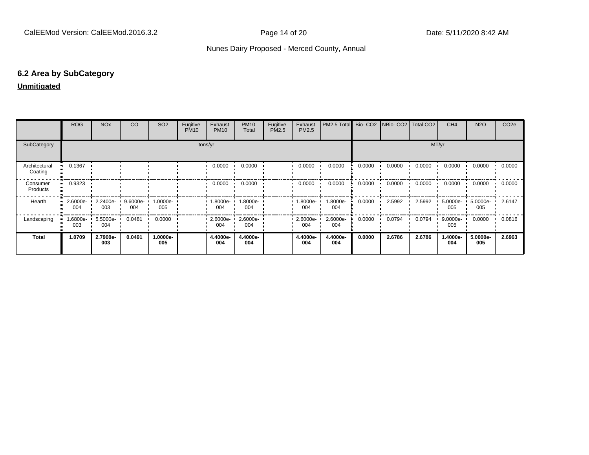### **6.2 Area by SubCategory**

### **Unmitigated**

|                          | <b>ROG</b>      | <b>NO<sub>x</sub></b> | CO                 | SO <sub>2</sub> | Fugitive<br><b>PM10</b> | Exhaust<br><b>PM10</b> | <b>PM10</b><br>Total | Fugitive<br>PM2.5 | Exhaust<br>PM2.5 | PM2.5 Total Bio- CO2 NBio- CO2 Total CO2 |        |        |        | CH <sub>4</sub>   | <b>N2O</b>      | CO <sub>2e</sub> |
|--------------------------|-----------------|-----------------------|--------------------|-----------------|-------------------------|------------------------|----------------------|-------------------|------------------|------------------------------------------|--------|--------|--------|-------------------|-----------------|------------------|
| SubCategory              | tons/yr         |                       |                    |                 |                         |                        |                      | MT/yr             |                  |                                          |        |        |        |                   |                 |                  |
| Architectural<br>Coating | 0.1367          |                       |                    |                 |                         | 0.0000                 | 0.0000               |                   | 0.0000           | 0.0000                                   | 0.0000 | 0.0000 | 0.0000 | 0.0000            | 0.0000          | 0.0000           |
| Consumer<br>Products     | 0.9323          |                       |                    |                 |                         | 0.0000                 | 0.0000               |                   | 0.0000           | 0.0000                                   | 0.0000 | 0.0000 | 0.0000 | 0.0000            | 0.0000          | 0.0000           |
| Hearth                   | 2.6000e-<br>004 | 2.2400e-<br>003       | $9.6000e -$<br>004 | 1.0000e-<br>005 |                         | 1.8000e- L<br>004      | 1.8000e-<br>004      |                   | -.8000e<br>004   | 1.8000e-<br>004                          | 0.0000 | 2.5992 | 2.5992 | $5.0000e-$<br>005 | 5.0000e-<br>005 | 2.6147           |
| Landscaping              | -6800e-<br>003  | 5.5000e-<br>004       | 0.0481             | 0.0000          |                         | $2.6000e - 1$<br>004   | 2.6000e-<br>004      |                   | 2.6000e-<br>004  | 2.6000e-<br>004                          | 0.0000 | 0.0794 | 0.0794 | 9.0000e-<br>005   | 0.0000          | 0.0816           |
| <b>Total</b>             | 1.0709          | 2.7900e-<br>003       | 0.0491             | 1.0000e-<br>005 |                         | 4.4000e-<br>004        | 4.4000e-<br>004      |                   | 4.4000e-<br>004  | 4.4000e-<br>004                          | 0.0000 | 2.6786 | 2.6786 | 1.4000e-<br>004   | 5.0000e-<br>005 | 2.6963           |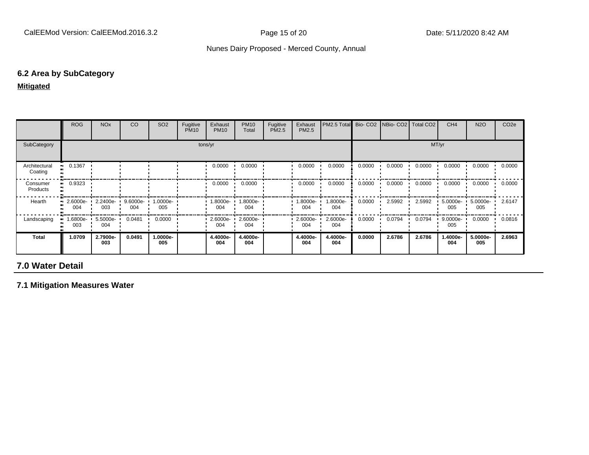### **6.2 Area by SubCategory**

### **Mitigated**

|                          | <b>ROG</b>              | <b>NO<sub>x</sub></b> | CO              | SO <sub>2</sub>    | Fugitive<br><b>PM10</b> | Exhaust<br><b>PM10</b> | <b>PM10</b><br>Total | Fugitive<br><b>PM2.5</b> | Exhaust<br>PM2.5 | PM2.5 Total     |        | Bio- CO2   NBio- CO2   Total CO2 |        | CH <sub>4</sub>    | <b>N2O</b>      | CO <sub>2e</sub> |
|--------------------------|-------------------------|-----------------------|-----------------|--------------------|-------------------------|------------------------|----------------------|--------------------------|------------------|-----------------|--------|----------------------------------|--------|--------------------|-----------------|------------------|
| SubCategory              | tons/yr                 |                       |                 |                    |                         |                        |                      |                          | MT/yr            |                 |        |                                  |        |                    |                 |                  |
| Architectural<br>Coating | 0.1367<br>              |                       |                 |                    |                         | 0.0000                 | 0.0000               |                          | 0.0000           | 0.0000          | 0.0000 | 0.0000                           | 0.0000 | 0.0000             | 0.0000          | 0.0000           |
| Consumer<br>Products     | 0.9323<br>              |                       |                 |                    |                         | 0.0000                 | 0.0000               |                          | 0.0000           | 0.0000          | 0.0000 | 0.0000                           | 0.0000 | 0.0000             | 0.0000          | 0.0000           |
| Hearth                   | $\cdot$ 2.6000e-<br>004 | 2.2400e-<br>003       | 9.6000e-<br>004 | $1.0000e -$<br>005 |                         | 1.8000e-<br>004        | 1.8000e-<br>004      |                          | .8000e-<br>004   | 1.8000e-<br>004 | 0.0000 | 2.5992                           | 2.5992 | 5.0000e-<br>005    | 5.0000e-<br>005 | 2.6147           |
| Landscaping              | .6800e-<br>003          | 5.5000e-<br>004       | 0.0481          | 0.0000             |                         | 2.6000e-<br>004        | 2.6000e-<br>004      |                          | 2.6000e-<br>004  | 2.6000e-<br>004 | 0.0000 | 0.0794                           | 0.0794 | $9.0000e -$<br>005 | 0.0000          | 0.0816           |
| <b>Total</b>             | 1.0709                  | 2.7900e-<br>003       | 0.0491          | -.0000e<br>005     |                         | 4.4000e-<br>004        | 4.4000e-<br>004      |                          | 4.4000e-<br>004  | 4.4000e-<br>004 | 0.0000 | 2.6786                           | 2.6786 | 1.4000e-<br>004    | 5.0000e-<br>005 | 2.6963           |

# **7.0 Water Detail**

**7.1 Mitigation Measures Water**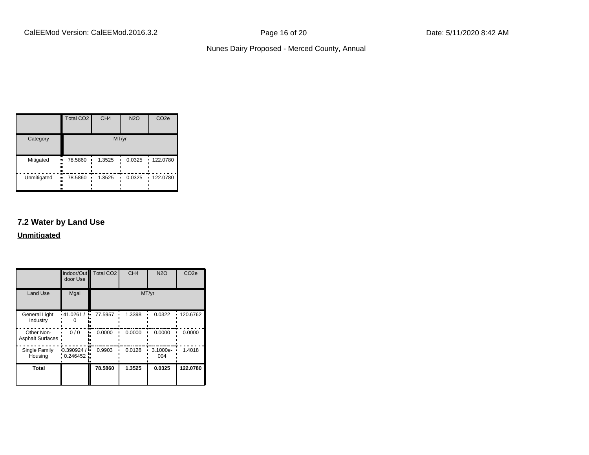|             | Total CO <sub>2</sub>     | CH <sub>4</sub> | <b>N2O</b> | CO <sub>2e</sub> |  |  |  |  |
|-------------|---------------------------|-----------------|------------|------------------|--|--|--|--|
| Category    | MT/yr                     |                 |            |                  |  |  |  |  |
| Mitigated   | 78.5860<br>.,<br><br>     | 1.3525          | 0.0325     | $-122.0780$      |  |  |  |  |
| Unmitigated | 78.5860<br>.,<br><br><br> | 1.3525          | 0.0325     | $-122.0780$      |  |  |  |  |

# **7.2 Water by Land Use**

**Unmitigated**

|                                  | Indoor/Out<br>door Use       | <b>Total CO2</b> | CH <sub>4</sub> | <b>N2O</b>      | CO <sub>2e</sub> |
|----------------------------------|------------------------------|------------------|-----------------|-----------------|------------------|
| <b>Land Use</b>                  | Mgal                         |                  | MT/yr           |                 |                  |
| <b>General Light</b><br>Industry | $\cdot$ 41.0261/<br>۰.       | 77.5957          | 1.3398          | 0.0322          | 120.6762         |
| Other Non-<br>Asphalt Surfaces:  | 0/0                          | 0.0000           | 0.0000          | 0.0000          | 0.0000           |
| Single Family<br>Housing         | $-0.390924/$<br>$0.246452$ . | 0.9903           | 0.0128          | 3.1000e-<br>004 | 1.4018           |
| <b>Total</b>                     |                              | 78.5860          | 1.3525          | 0.0325          | 122.0780         |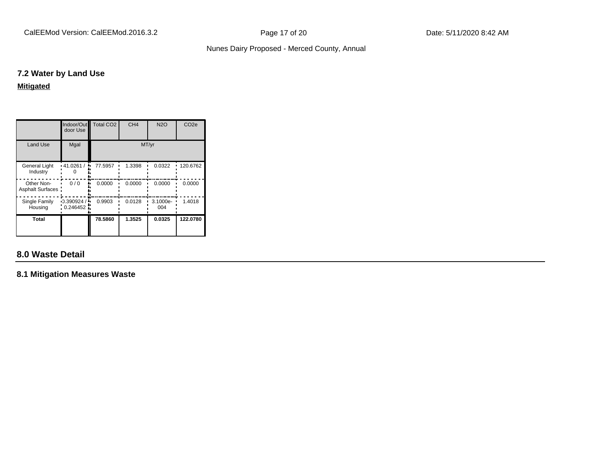### **7.2 Water by Land Use**

**Mitigated**

|                                | Indoor/Out<br>door Use   | Total CO <sub>2</sub> | CH <sub>4</sub> | <b>N2O</b>      | CO <sub>2e</sub> |
|--------------------------------|--------------------------|-----------------------|-----------------|-----------------|------------------|
| <b>Land Use</b>                | Mgal                     |                       | MT/yr           |                 |                  |
| General Light<br>Industry      | $\cdot$ 41.0261/<br>٠.   | 77.5957               | 1.3398          | 0.0322          | 120.6762         |
| Other Non-<br>Asphalt Surfaces | 0/0                      | 0.0000                | 0.0000          | 0.0000          | 0.0000           |
| Single Family<br>Housing       | $-0.390924/$<br>0.246452 | 0.9903                | 0.0128          | 3.1000e-<br>004 | 1.4018           |
| <b>Total</b>                   |                          | 78.5860               | 1.3525          | 0.0325          | 122.0780         |

# **8.0 Waste Detail**

**8.1 Mitigation Measures Waste**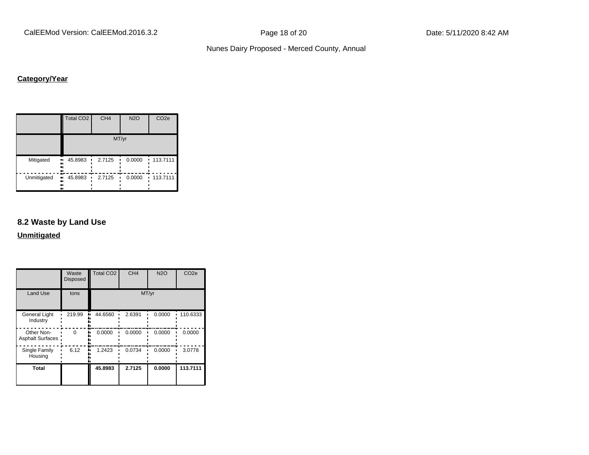CalEEMod Version: CalEEMod.2016.3.2 example 20 Page 18 of 20 Date: 5/11/2020 8:42 AM

### Nunes Dairy Proposed - Merced County, Annual

# **Category/Year**

|             | <b>Total CO2</b>          | CH <sub>4</sub> | <b>N2O</b> | CO <sub>2e</sub> |  |  |  |  |  |
|-------------|---------------------------|-----------------|------------|------------------|--|--|--|--|--|
|             | MT/yr                     |                 |            |                  |  |  |  |  |  |
| Mitigated   | 45.8983<br>.,<br><br><br> | 2.7125          | 0.0000     | 113.7111<br>ı.   |  |  |  |  |  |
| Unmitigated | 45.8983<br>ш,<br><br><br> | 2.7125          | 0.0000     | 113.7111         |  |  |  |  |  |

### **8.2 Waste by Land Use**

**Unmitigated**

|                                       | Waste<br><b>Disposed</b> | Total CO <sub>2</sub> | CH <sub>4</sub> | <b>N2O</b> | CO <sub>2e</sub> |
|---------------------------------------|--------------------------|-----------------------|-----------------|------------|------------------|
| <b>Land Use</b>                       | tons                     |                       |                 | MT/yr      |                  |
| <b>General Light</b><br>Industry      | 219.99                   | 44.6560               | 2.6391          | 0.0000     | 110.6333         |
| Other Non-<br><b>Asphalt Surfaces</b> | U                        | 0.0000                | 0.0000          | 0.0000     | 0.0000           |
| Single Family<br>Housing              | 6.12                     | 1.2423                | 0.0734          | 0.0000     | 3.0778           |
| <b>Total</b>                          |                          | 45.8983               | 2.7125          | 0.0000     | 113.7111         |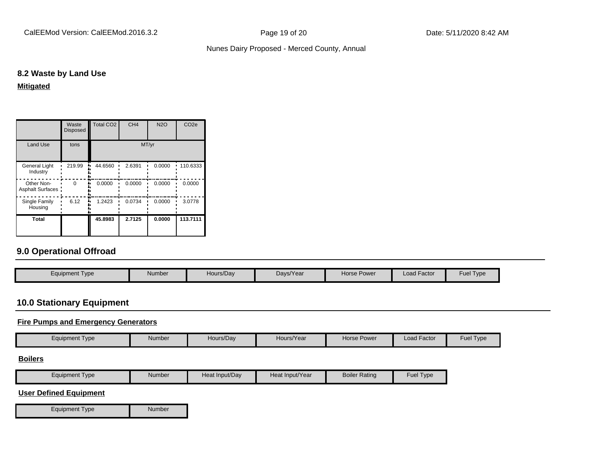## Nunes Dairy Proposed - Merced County, Annual

## **8.2 Waste by Land Use**

**Mitigated**

|                                  | Waste<br><b>Disposed</b> | <b>Total CO2</b> | CH <sub>4</sub> | <b>N2O</b> | CO <sub>2e</sub> |  |
|----------------------------------|--------------------------|------------------|-----------------|------------|------------------|--|
| <b>Land Use</b>                  | tons                     | MT/yr            |                 |            |                  |  |
| <b>General Light</b><br>Industry | 219.99                   | 44.6560          | 2.6391          | 0.0000     | 110.6333         |  |
| Other Non-<br>Asphalt Surfaces:  | ŋ                        | 0.0000           | 0.0000          | 0.0000     | 0.0000           |  |
| Single Family<br>Housing         | 6.12                     | 1.2423           | 0.0734          | 0.0000     | 3.0778           |  |
| Total                            |                          | 45.8983          | 2.7125          | 0.0000     | 113.7111         |  |

# **9.0 Operational Offroad**

| Equipment Type | Hours/Day<br>Number | Days/Year | Horse Power | <b>Load Factor</b> | <b>Fuel Type</b> |
|----------------|---------------------|-----------|-------------|--------------------|------------------|

# **10.0 Stationary Equipment**

### **Fire Pumps and Emergency Generators**

| Equipment Type | Number | Hours/Dav | Hours/Year | Horse Power | Load Factor | Fuel:<br>Type |
|----------------|--------|-----------|------------|-------------|-------------|---------------|

#### **Boilers**

| Equipment Type | Number | Heat Input/Dav | Heat Input/Year | <b>Boiler Rating</b> | $\sim$ $\sim$ $\sim$<br><b>I</b> vpe |
|----------------|--------|----------------|-----------------|----------------------|--------------------------------------|

### **User Defined Equipment**

Equipment Type Number